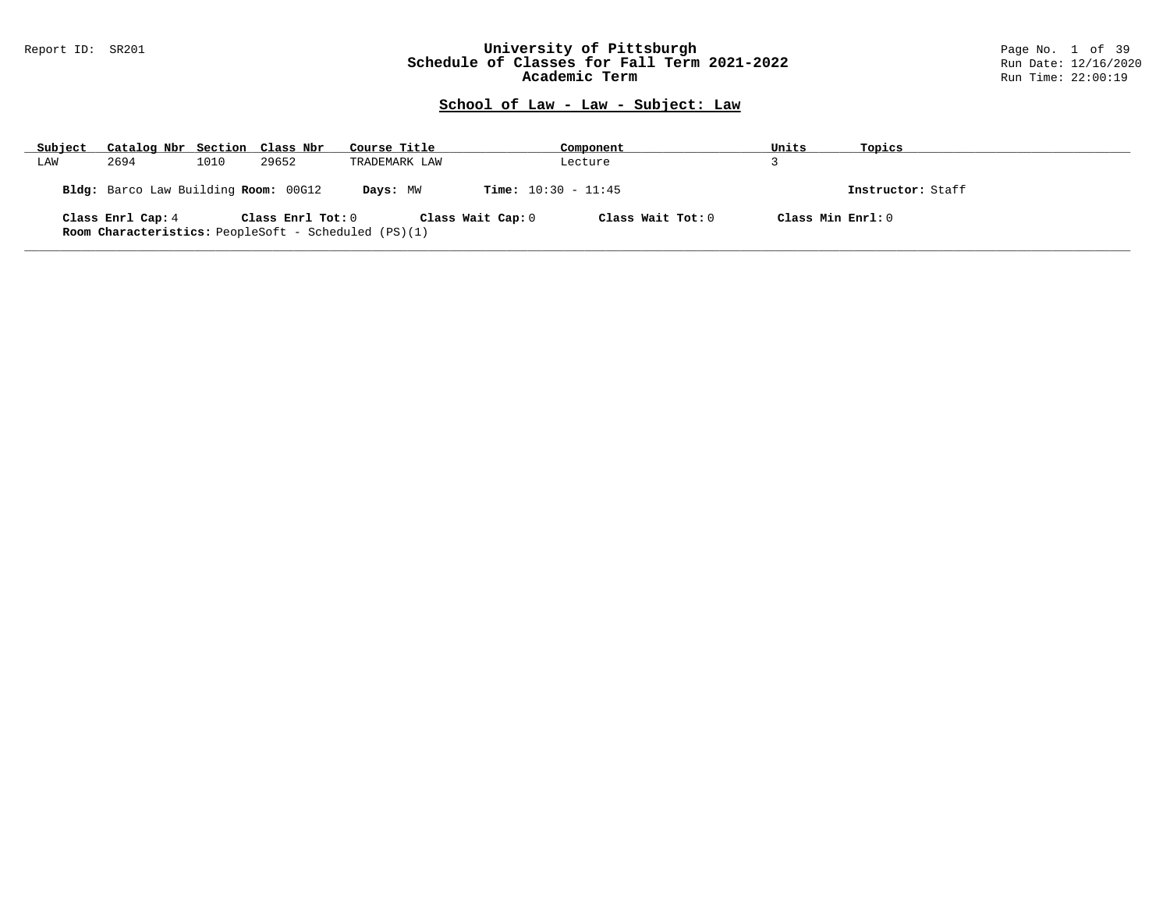### Report ID: SR201 **University of Pittsburgh** Page No. 1 of 39 **Schedule of Classes for Fall Term 2021-2022** Run Date: 12/16/2020 **Academic Term** Run Time: 22:00:19

| Subject | Catalog Nbr Section Class Nbr        |      |                   | Course Title                                                |                              | Component           | Units             | Topics            |
|---------|--------------------------------------|------|-------------------|-------------------------------------------------------------|------------------------------|---------------------|-------------------|-------------------|
| LAW     | 2694                                 | 1010 | 29652             | TRADEMARK LAW                                               |                              | Lecture             |                   |                   |
|         | Bldg: Barco Law Building Room: 00G12 |      |                   | Davs: MW                                                    | <b>Time:</b> $10:30 - 11:45$ |                     |                   | Instructor: Staff |
|         | Class Enrl Cap: 4                    |      | Class Enrl Tot: 0 | <b>Room Characteristics:</b> PeopleSoft - Scheduled (PS)(1) | Class Wait Cap: 0            | Class Wait Tot: $0$ | Class Min Enrl: 0 |                   |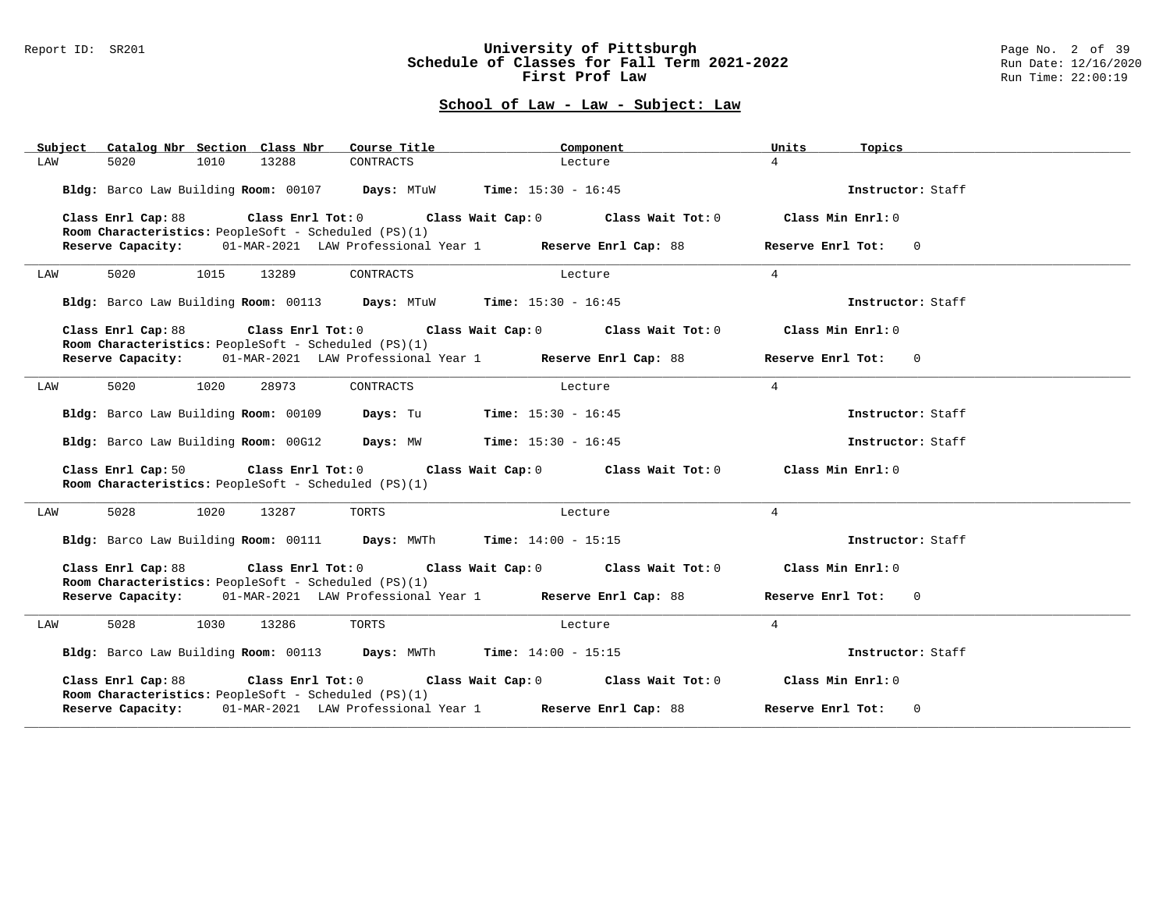#### Report ID: SR201 **University of Pittsburgh** Page No. 2 of 39 **Schedule of Classes for Fall Term 2021-2022** Run Date: 12/16/2020 **First Prof Law Run Time: 22:00:19** Run Time: 22:00:19

| Subject Catalog Nbr Section Class Nbr                                                                                                                                                  | Course Title                 | Component                                                                       | Units<br>Topics     |
|----------------------------------------------------------------------------------------------------------------------------------------------------------------------------------------|------------------------------|---------------------------------------------------------------------------------|---------------------|
| 5020<br>13288<br>LAW<br>1010                                                                                                                                                           | CONTRACTS                    | Lecture                                                                         | $\overline{4}$      |
| Bldg: Barco Law Building Room: 00107 Days: MTuW Time: 15:30 - 16:45                                                                                                                    |                              |                                                                                 | Instructor: Staff   |
| Class Enrl Cap: 88<br>Room Characteristics: PeopleSoft - Scheduled (PS)(1)                                                                                                             |                              | Class Enrl Tot: $0$ Class Wait Cap: $0$ Class Wait Tot: $0$ Class Min Enrl: $0$ |                     |
| Reserve Capacity: 01-MAR-2021 LAW Professional Year 1 Reserve Enrl Cap: 88                                                                                                             |                              |                                                                                 | Reserve Enrl Tot: 0 |
| 5020 000<br>1015<br>13289<br>LAW                                                                                                                                                       | CONTRACTS                    | Lecture                                                                         | $4\overline{ }$     |
| Bldg: Barco Law Building Room: 00113 Days: MTuW Time: 15:30 - 16:45                                                                                                                    |                              |                                                                                 | Instructor: Staff   |
| Class Enrl Cap: 88 Class Enrl Tot: 0 Class Wait Cap: 0 Class Wait Tot: 0<br>Room Characteristics: PeopleSoft - Scheduled (PS)(1)                                                       |                              |                                                                                 | Class Min Enrl: 0   |
| Reserve Capacity: 01-MAR-2021 LAW Professional Year 1 Reserve Enrl Cap: 88                                                                                                             |                              |                                                                                 | Reserve Enrl Tot: 0 |
| 5020<br>1020<br>28973<br>LAW                                                                                                                                                           | CONTRACTS                    | Lecture                                                                         | $\overline{4}$      |
| Bldg: Barco Law Building Room: 00109 Days: Tu                                                                                                                                          | <b>Time:</b> $15:30 - 16:45$ |                                                                                 | Instructor: Staff   |
| Bldg: Barco Law Building Room: 00G12 Days: MW Time: 15:30 - 16:45                                                                                                                      |                              |                                                                                 | Instructor: Staff   |
| Class Enrl Cap: 50 $\qquad$ Class Enrl Tot: 0 $\qquad$ Class Wait Cap: 0 $\qquad$ Class Wait Tot: 0 $\qquad$ Class Min Enrl: 0<br>Room Characteristics: PeopleSoft - Scheduled (PS)(1) |                              |                                                                                 |                     |
| 5028<br>1020<br>13287<br>LAW                                                                                                                                                           | TORTS                        | Lecture                                                                         | $\overline{4}$      |
| Bldg: Barco Law Building Room: 00111 Days: MWTh Time: 14:00 - 15:15                                                                                                                    |                              |                                                                                 | Instructor: Staff   |
| Class Enrl Cap: 88 Class Enrl Tot: 0 Class Wait Cap: 0 Class Wait Tot: 0 Class Min Enrl: 0                                                                                             |                              |                                                                                 |                     |
| Room Characteristics: PeopleSoft - Scheduled (PS)(1)<br>Reserve Capacity: 01-MAR-2021 LAW Professional Year 1 Reserve Enrl Cap: 88                                                     |                              |                                                                                 | Reserve Enrl Tot: 0 |
| 5028<br>LAW<br>1030<br>13286                                                                                                                                                           | TORTS                        | Lecture                                                                         | $\overline{4}$      |
| Bldg: Barco Law Building Room: 00113 Days: MWTh Time: 14:00 - 15:15                                                                                                                    |                              |                                                                                 | Instructor: Staff   |
| Class Enrl Cap: 88<br>Room Characteristics: PeopleSoft - Scheduled (PS)(1)                                                                                                             |                              | Class Enrl Tot: $0$ Class Wait Cap: $0$ Class Wait Tot: $0$ Class Min Enrl: $0$ |                     |
| Reserve Capacity: 01-MAR-2021 LAW Professional Year 1 Reserve Enrl Cap: 88                                                                                                             |                              |                                                                                 | Reserve Enrl Tot: 0 |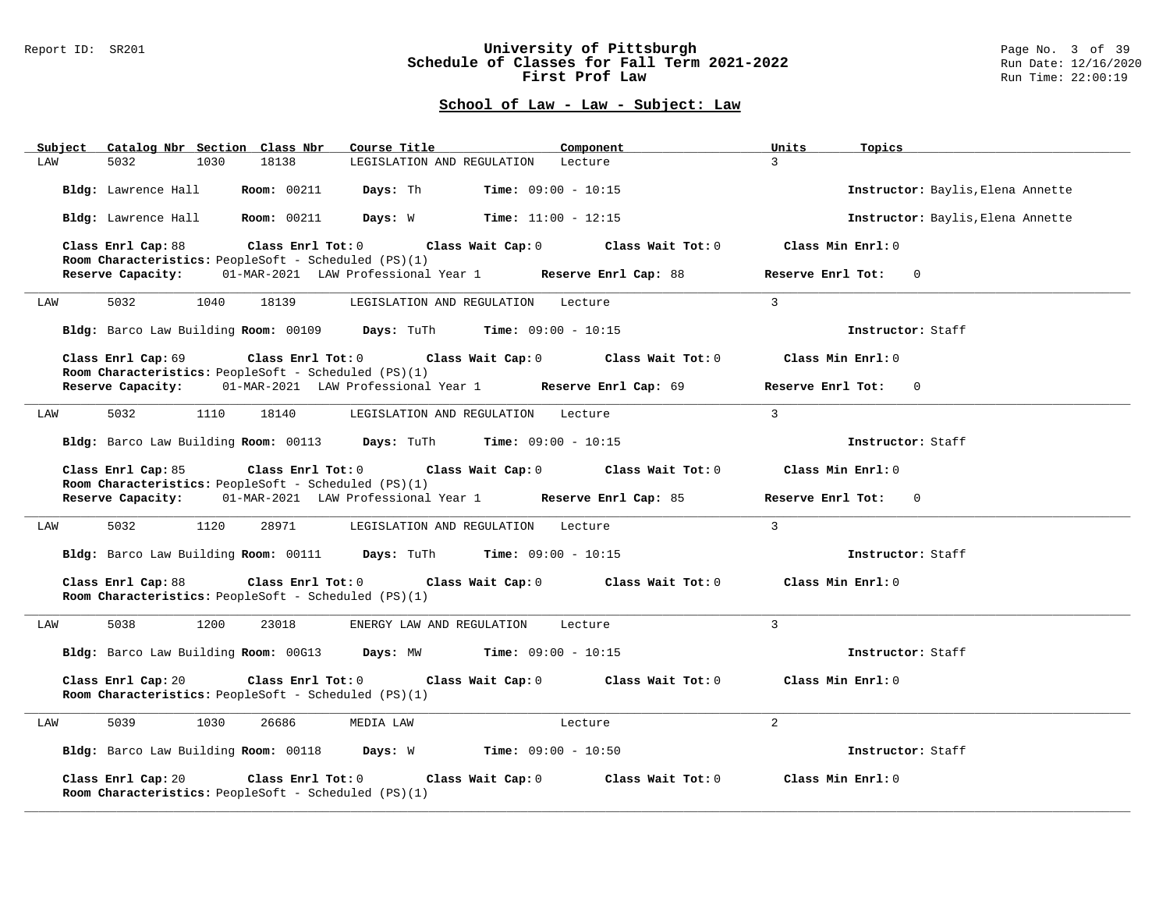#### Report ID: SR201 **University of Pittsburgh** Page No. 3 of 39 **Schedule of Classes for Fall Term 2021-2022** Run Date: 12/16/2020 **First Prof Law Run Time: 22:00:19** Run Time: 22:00:19

| Subject Catalog Nbr Section Class Nbr<br>Course Title                                           | Component                                                               | Units<br>Topics                   |
|-------------------------------------------------------------------------------------------------|-------------------------------------------------------------------------|-----------------------------------|
| 5032<br>1030<br>18138<br>LAW                                                                    | LEGISLATION AND REGULATION Lecture                                      | $\overline{3}$                    |
| Room: 00211 Days: Th<br>Bldg: Lawrence Hall                                                     | <b>Time:</b> $09:00 - 10:15$                                            | Instructor: Baylis, Elena Annette |
| Bldg: Lawrence Hall Room: 00211                                                                 | <b>Days:</b> W <b>Time:</b> $11:00 - 12:15$                             | Instructor: Baylis, Elena Annette |
| Class Enrl Cap: 88<br>Room Characteristics: PeopleSoft - Scheduled (PS)(1)                      | Class Enrl Tot: 0 Class Wait Cap: 0 Class Wait Tot: 0                   | Class Min Enrl: 0                 |
| 01-MAR-2021 LAW Professional Year 1 Reserve Enrl Cap: 88<br>Reserve Capacity:                   |                                                                         | Reserve Enrl Tot: 0               |
| 5032<br>1040<br>LAW<br>18139                                                                    | LEGISLATION AND REGULATION Lecture                                      | $\overline{3}$                    |
| Bldg: Barco Law Building Room: 00109 Days: TuTh Time: 09:00 - 10:15                             |                                                                         | Instructor: Staff                 |
| Class Enrl Cap: 69<br>Room Characteristics: PeopleSoft - Scheduled (PS)(1)                      | Class Enrl Tot: 0 Class Wait Cap: 0 Class Wait Tot: 0                   | Class Min Enrl: 0                 |
| Reserve Capacity: 01-MAR-2021 LAW Professional Year 1 Reserve Enrl Cap: 69                      |                                                                         | Reserve Enrl Tot: 0               |
| 5032<br>1110<br>18140<br>LAW                                                                    | LEGISLATION AND REGULATION<br>Lecture                                   | $\overline{3}$                    |
| Bldg: Barco Law Building Room: 00113 Days: TuTh Time: 09:00 - 10:15                             |                                                                         | Instructor: Staff                 |
| Class Enrl Cap: 85<br>Room Characteristics: PeopleSoft - Scheduled (PS)(1)                      | Class Enrl Tot: $0$ Class Wait Cap: $0$ Class Wait Tot: $0$             | Class Min Enrl: 0                 |
| Reserve Capacity: 01-MAR-2021 LAW Professional Year 1 Reserve Enrl Cap: 85                      |                                                                         | Reserve Enrl Tot: 0               |
| 5032<br>1120<br>28971<br>LAW                                                                    | LEGISLATION AND REGULATION Lecture                                      | $\overline{3}$                    |
| Bldg: Barco Law Building Room: 00111 Days: TuTh Time: 09:00 - 10:15                             |                                                                         | Instructor: Staff                 |
| Class Enrl Cap: 88<br>Class Enrl Tot: 0<br>Room Characteristics: PeopleSoft - Scheduled (PS)(1) | Class Wait Cap: $0$ Class Wait Tot: $0$ Class Min Enrl: $0$             |                                   |
| 1200<br>5038<br>23018<br>ENERGY LAW AND REGULATION<br>LAW                                       | Lecture                                                                 | $\mathbf{3}$                      |
| Bldg: Barco Law Building Room: 00G13 Days: MW Time: 09:00 - 10:15                               |                                                                         | Instructor: Staff                 |
| Class Enrl Cap: 20<br>Room Characteristics: PeopleSoft - Scheduled (PS)(1)                      | Class Enrl Tot: 0 Class Wait Cap: 0 Class Wait Tot: 0 Class Min Enrl: 0 |                                   |
| 5039<br>1030<br>26686<br>MEDIA LAW<br>LAW                                                       | Lecture                                                                 | $\overline{a}$                    |
| Bldg: Barco Law Building Room: 00118 Days: W Time: 09:00 - 10:50                                |                                                                         | Instructor: Staff                 |
| Class Enrl Cap: 20<br>Class Enrl Tot: 0<br>Room Characteristics: PeopleSoft - Scheduled (PS)(1) | Class Wait Tot: 0<br>Class Wait Cap: 0                                  | Class Min Enrl: 0                 |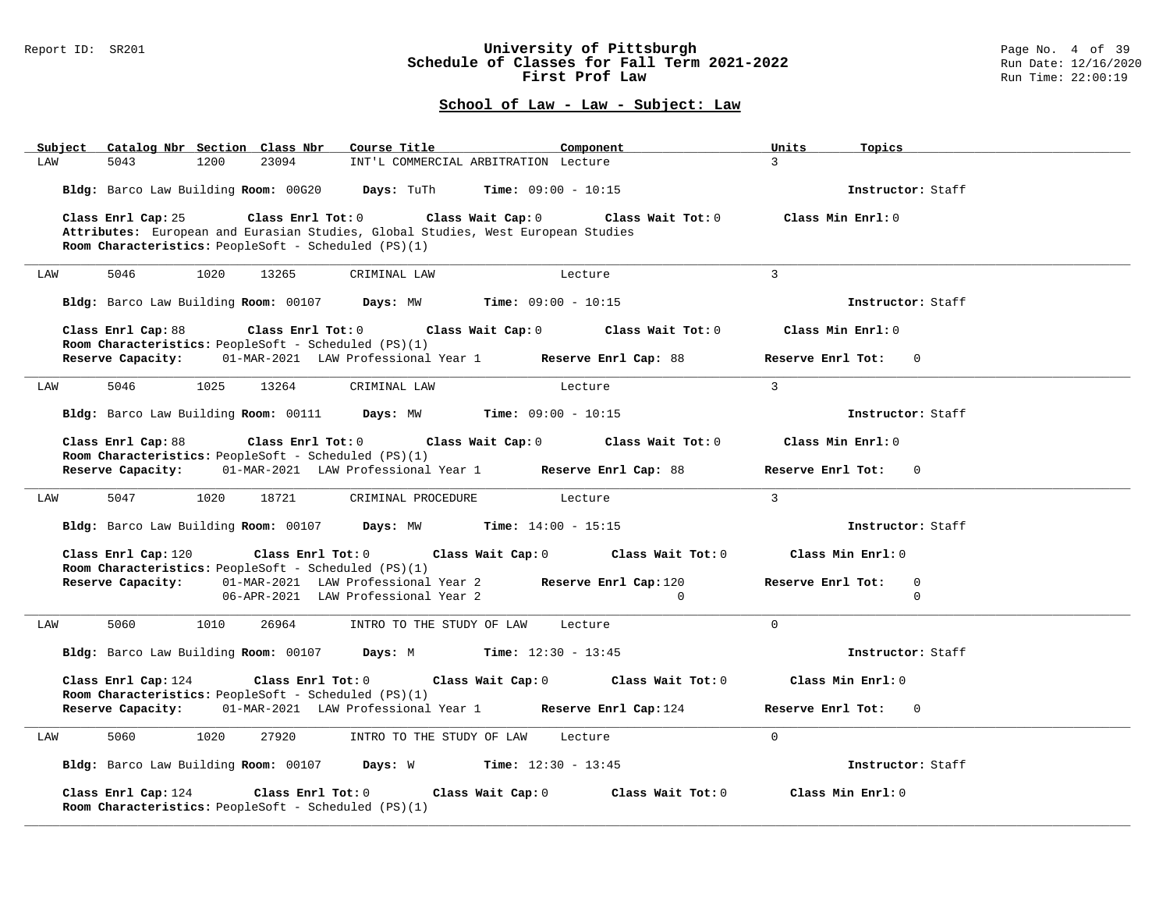### Report ID: SR201 **University of Pittsburgh** Page No. 4 of 39 **Schedule of Classes for Fall Term 2021-2022** Run Date: 12/16/2020 **First Prof Law Run Time: 22:00:19** Run Time: 22:00:19

| Catalog Nbr Section Class Nbr<br>Subject                                                         | Course Title<br>Component                                                                                                                       | Units<br>Topics                                 |
|--------------------------------------------------------------------------------------------------|-------------------------------------------------------------------------------------------------------------------------------------------------|-------------------------------------------------|
| 23094<br>5043<br>1200<br>LAW                                                                     | INT'L COMMERCIAL ARBITRATION Lecture                                                                                                            | $\mathcal{L}$                                   |
|                                                                                                  | Bldg: Barco Law Building Room: 00G20 Days: TuTh Time: 09:00 - 10:15                                                                             | Instructor: Staff                               |
| Class Enrl Cap: 25                                                                               | Class Enrl Tot: $0$ Class Wait Cap: $0$ Class Wait Tot: $0$<br>Attributes: European and Eurasian Studies, Global Studies, West European Studies | Class Min Enrl: 0                               |
| Room Characteristics: PeopleSoft - Scheduled (PS)(1)                                             |                                                                                                                                                 |                                                 |
| 5046<br>1020<br>13265<br>LAW                                                                     | CRIMINAL LAW<br>Lecture                                                                                                                         | $\mathcal{L}$                                   |
|                                                                                                  | Bldg: Barco Law Building Room: 00107 Days: MW Time: 09:00 - 10:15                                                                               | Instructor: Staff                               |
| Class Enrl Cap: 88<br>Room Characteristics: PeopleSoft - Scheduled (PS)(1)                       | Class Enrl Tot: $0$ Class Wait Cap: $0$ Class Wait Tot: $0$                                                                                     | Class Min Enrl: 0                               |
|                                                                                                  | Reserve Capacity: 01-MAR-2021 LAW Professional Year 1 Reserve Enrl Cap: 88                                                                      | Reserve Enrl Tot:<br>$\Omega$                   |
| 5046<br>1025 13264<br>LAW                                                                        | CRIMINAL LAW<br>Lecture                                                                                                                         | $\overline{3}$                                  |
|                                                                                                  | Bldg: Barco Law Building Room: 00111 Days: MW Time: 09:00 - 10:15                                                                               | Instructor: Staff                               |
| Class Enrl Cap: 88<br>Room Characteristics: PeopleSoft - Scheduled (PS)(1)                       | Class Enrl Tot: $0$ Class Wait Cap: $0$ Class Wait Tot: $0$                                                                                     | Class Min Enrl: 0                               |
|                                                                                                  | Reserve Capacity: 01-MAR-2021 LAW Professional Year 1 Reserve Enrl Cap: 88                                                                      | Reserve Enrl Tot:<br>$\Omega$                   |
| 5047 1020<br>18721<br>LAW                                                                        | CRIMINAL PROCEDURE Lecture                                                                                                                      | $\overline{3}$                                  |
|                                                                                                  | Bldg: Barco Law Building Room: 00107 Days: MW Time: 14:00 - 15:15                                                                               | Instructor: Staff                               |
| Class Enrl Cap: 120<br><b>Room Characteristics:</b> PeopleSoft - Scheduled (PS)(1)               | Class Enrl Tot: $0$ Class Wait Cap: $0$ Class Wait Tot: $0$                                                                                     | Class Min Enrl: 0                               |
|                                                                                                  | Reserve Capacity: 01-MAR-2021 LAW Professional Year 2 Reserve Enrl Cap:120<br>06-APR-2021 LAW Professional Year 2<br>$\Omega$                   | Reserve Enrl Tot:<br>$\overline{0}$<br>$\Omega$ |
| 5060<br>1010<br>26964<br>LAW                                                                     | INTRO TO THE STUDY OF LAW Lecture                                                                                                               | $\cap$                                          |
|                                                                                                  | Bldg: Barco Law Building Room: 00107 Days: M Time: 12:30 - 13:45                                                                                | Instructor: Staff                               |
| Class Enrl Cap: 124<br>Room Characteristics: PeopleSoft - Scheduled (PS)(1)                      | Class Enrl Tot: 0 Class Wait Cap: 0 Class Wait Tot: 0                                                                                           | Class Min Enrl: 0                               |
|                                                                                                  | Reserve Capacity: 01-MAR-2021 LAW Professional Year 1 Reserve Enrl Cap: 124                                                                     | Reserve Enrl Tot: 0                             |
| 5060<br>1020<br>27920<br>LAW                                                                     | INTRO TO THE STUDY OF LAW Lecture                                                                                                               | $\Omega$                                        |
|                                                                                                  | Bldg: Barco Law Building Room: 00107 Days: W Time: 12:30 - 13:45                                                                                | Instructor: Staff                               |
| Class Enrl Tot: 0<br>Class Enrl Cap: 124<br>Room Characteristics: PeopleSoft - Scheduled (PS)(1) | Class Wait Cap: 0<br>Class Wait Tot: 0                                                                                                          | Class Min Enrl: 0                               |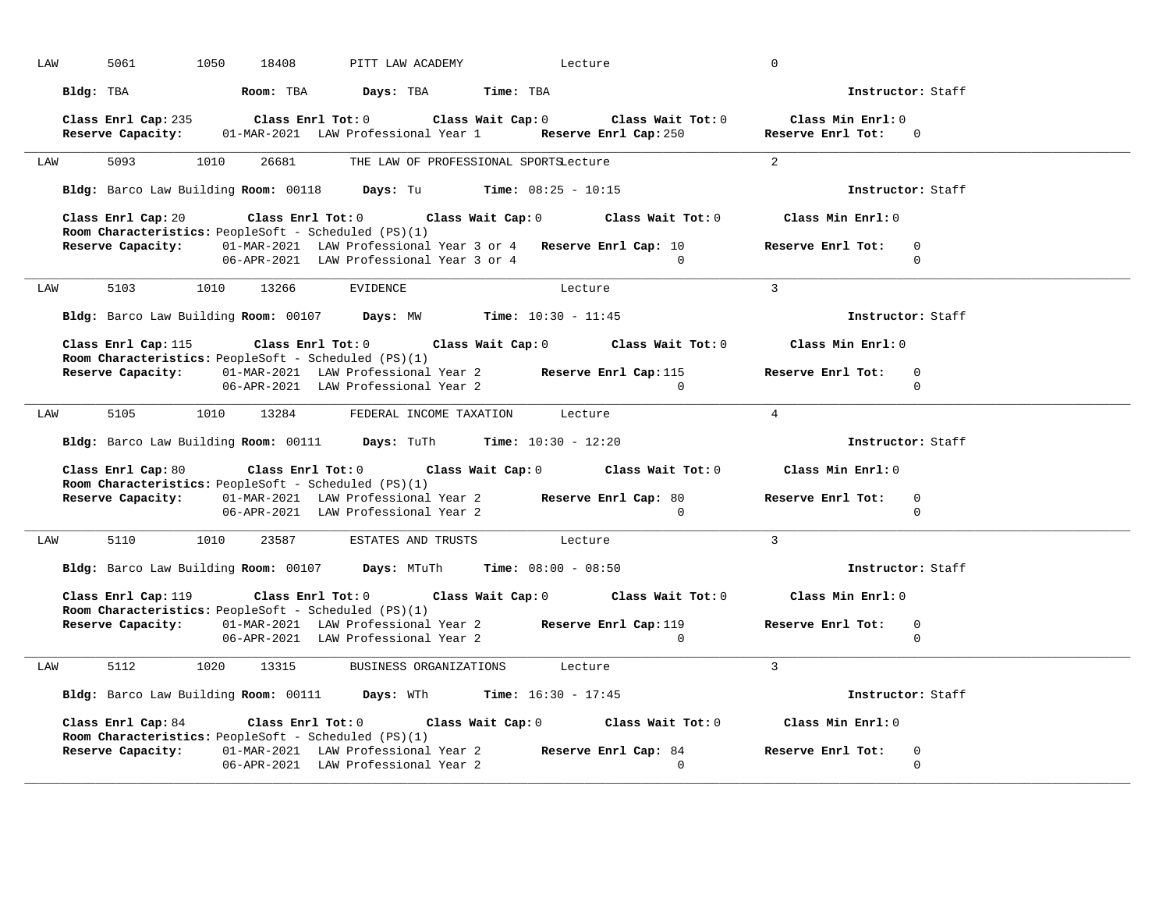| LAW | 5061                | 1050<br>18408                                               | PITT LAW ACADEMY                                                                                                                       | Lecture                               |                | 0                                                                                                          |  |
|-----|---------------------|-------------------------------------------------------------|----------------------------------------------------------------------------------------------------------------------------------------|---------------------------------------|----------------|------------------------------------------------------------------------------------------------------------|--|
|     | Bldg: TBA           |                                                             | Room: TBA Days: TBA Time: TBA                                                                                                          |                                       |                | Instructor: Staff                                                                                          |  |
|     | Reserve Capacity:   |                                                             | Class Enrl Cap: 235 Class Enrl Tot: 0 Class Wait Cap: 0 Class Wait Tot: 0<br>01-MAR-2021 LAW Professional Year 1 Reserve Enrl Cap: 250 |                                       |                | Class Min Enrl: 0<br>Reserve Enrl Tot: 0                                                                   |  |
| LAW | 5093                | 1010<br>26681                                               |                                                                                                                                        | THE LAW OF PROFESSIONAL SPORTSLecture |                | $\overline{2}$                                                                                             |  |
|     |                     |                                                             | Bldg: Barco Law Building Room: $00118$ Days: Tu Time: $08:25 - 10:15$                                                                  |                                       |                | Instructor: Staff                                                                                          |  |
|     |                     | <b>Room Characteristics:</b> PeopleSoft - Scheduled (PS)(1) | Class Enrl Cap: 20 Class Enrl Tot: 0 Class Wait Cap: 0 Class Wait Tot: 0 Class Min Enrl: 0                                             |                                       |                |                                                                                                            |  |
|     | Reserve Capacity:   |                                                             | 01-MAR-2021 LAW Professional Year 3 or 4 Reserve Enrl Cap: 10<br>06-APR-2021 LAW Professional Year 3 or 4                              | $\sim$ 0                              |                | Reserve Enrl Tot:<br>$\overline{0}$<br>$\mathbf 0$                                                         |  |
| LAW |                     | 5103 1010 13266 EVIDENCE                                    |                                                                                                                                        | Lecture                               |                | $\overline{3}$                                                                                             |  |
|     |                     |                                                             | Bldg: Barco Law Building Room: 00107 Days: MW Time: 10:30 - 11:45                                                                      |                                       |                | Instructor: Staff                                                                                          |  |
|     |                     | <b>Room Characteristics:</b> PeopleSoft - Scheduled (PS)(1) | Class Enrl Cap: 115 Class Enrl Tot: 0 Class Wait Cap: 0 Class Wait Tot: 0 Class Min Enrl: 0                                            |                                       |                |                                                                                                            |  |
|     |                     |                                                             | 06-APR-2021 LAW Professional Year 2                                                                                                    |                                       | $\overline{0}$ | Reserve Capacity: 01-MAR-2021 LAW Professional Year 2 Reserve Enrl Cap:115 Reserve Enrl Tot: 0<br>$\Omega$ |  |
| LAW | 5105                | 1010                                                        | 13284 FEDERAL INCOME TAXATION Lecture                                                                                                  |                                       |                | $\overline{4}$                                                                                             |  |
|     |                     |                                                             | Bldg: Barco Law Building Room: 00111 Days: TuTh Time: 10:30 - 12:20                                                                    |                                       |                | Instructor: Staff                                                                                          |  |
|     | Class Enrl Cap: 80  |                                                             | Class Enrl Tot: $0$ Class Wait Cap: $0$ Class Wait Tot: $0$ Class Min Enrl: $0$                                                        |                                       |                |                                                                                                            |  |
|     |                     | Room Characteristics: PeopleSoft - Scheduled (PS)(1)        | Reserve Capacity: 01-MAR-2021 LAW Professional Year 2 Reserve Enrl Cap: 80<br>06-APR-2021 LAW Professional Year 2                      |                                       | $\sim$ 0       | Reserve Enrl Tot:<br>$\overline{0}$<br>$\Omega$                                                            |  |
| LAW | 5110 1010           |                                                             | 23587 ESTATES AND TRUSTS Lecture                                                                                                       |                                       |                | $\overline{3}$                                                                                             |  |
|     |                     |                                                             | Bldg: Barco Law Building Room: 00107 Days: MTuTh Time: 08:00 - 08:50                                                                   |                                       |                | Instructor: Staff                                                                                          |  |
|     | Class Enrl Cap: 119 | Room Characteristics: PeopleSoft - Scheduled (PS)(1)        | Class Enrl Tot: $0$ Class Wait Cap: $0$ Class Wait Tot: $0$ Class Min Enrl: $0$                                                        |                                       |                |                                                                                                            |  |
|     |                     |                                                             | Reserve Capacity: 01-MAR-2021 LAW Professional Year 2 Reserve Enrl Cap:119<br>06-APR-2021 LAW Professional Year 2                      |                                       | $\Omega$       | Reserve Enrl Tot: 0<br>$\Omega$                                                                            |  |
| LAW | 5112                | 1020<br>13315                                               |                                                                                                                                        | BUSINESS ORGANIZATIONS Lecture        |                | $\overline{3}$                                                                                             |  |
|     |                     |                                                             | Bldg: Barco Law Building Room: 00111 Days: WTh Time: 16:30 - 17:45                                                                     |                                       |                | Instructor: Staff                                                                                          |  |
|     | Class Enrl Cap: 84  | <b>Room Characteristics:</b> PeopleSoft - Scheduled (PS)(1) | Class Enrl Tot: $0$ Class Wait Cap: $0$ Class Wait Tot: $0$ Class Min Enrl: $0$                                                        |                                       |                |                                                                                                            |  |
|     |                     |                                                             | Reserve Capacity: 01-MAR-2021 LAW Professional Year 2 Reserve Enrl Cap: 84<br>06-APR-2021 LAW Professional Year 2                      |                                       | $\Omega$       | Reserve Enrl Tot:<br>$\mathbf 0$<br>$\mathbf 0$                                                            |  |
|     |                     |                                                             |                                                                                                                                        |                                       |                |                                                                                                            |  |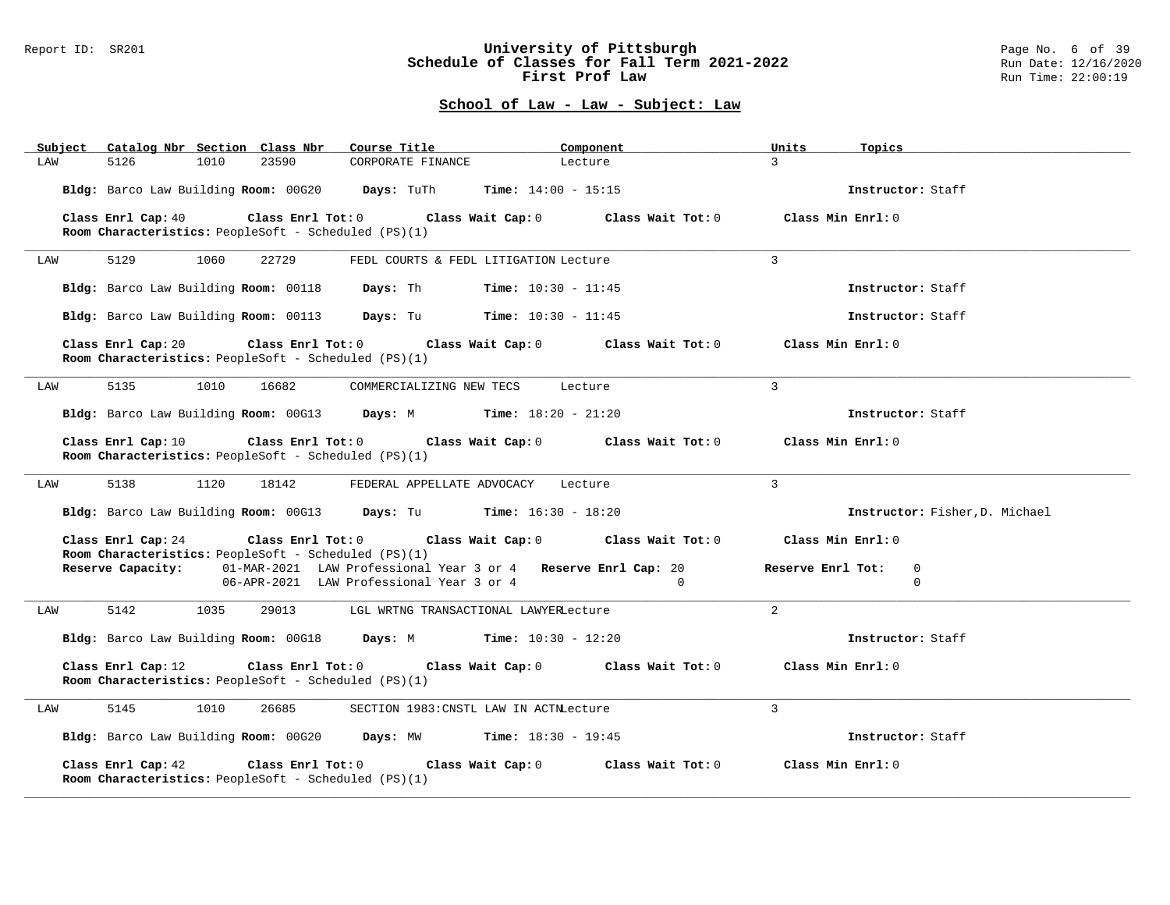#### Report ID: SR201 **University of Pittsburgh** Page No. 6 of 39 **Schedule of Classes for Fall Term 2021-2022** Run Date: 12/16/2020 **First Prof Law Run Time: 22:00:19** Run Time: 22:00:19

| Subject | Catalog Nbr Section Class Nbr        |      |                                                                           | Course Title                             | Component                                                                       |                   | Units             | Topics                         |
|---------|--------------------------------------|------|---------------------------------------------------------------------------|------------------------------------------|---------------------------------------------------------------------------------|-------------------|-------------------|--------------------------------|
| LAW     | 5126                                 | 1010 | 23590                                                                     | CORPORATE FINANCE                        | Lecture                                                                         |                   | $\mathbf{3}$      |                                |
|         |                                      |      |                                                                           |                                          | Bldg: Barco Law Building Room: 00G20 Days: TuTh Time: 14:00 - 15:15             |                   |                   | Instructor: Staff              |
|         | Class Enrl Cap: 40                   |      | Class Enrl Tot: 0<br>Room Characteristics: PeopleSoft - Scheduled (PS)(1) |                                          | Class Wait Cap: 0 Class Wait Tot: 0 Class Min Enrl: 0                           |                   |                   |                                |
|         |                                      |      |                                                                           |                                          |                                                                                 |                   |                   |                                |
| LAW     | 5129                                 | 1060 | 22729                                                                     |                                          | FEDL COURTS & FEDL LITIGATION Lecture                                           |                   | 3                 |                                |
|         | Bldg: Barco Law Building Room: 00118 |      |                                                                           | Days: Th                                 | <b>Time:</b> $10:30 - 11:45$                                                    |                   |                   | Instructor: Staff              |
|         |                                      |      |                                                                           |                                          | Bldg: Barco Law Building Room: 00113 Days: Tu Time: 10:30 - 11:45               |                   |                   | Instructor: Staff              |
|         | Class Enrl Cap: 20                   |      | Room Characteristics: PeopleSoft - Scheduled (PS)(1)                      |                                          | Class Enrl Tot: $0$ Class Wait Cap: $0$ Class Wait Tot: $0$ Class Min Enrl: $0$ |                   |                   |                                |
| LAW     | 5135                                 | 1010 | 16682                                                                     | COMMERCIALIZING NEW TECS                 | Lecture                                                                         |                   | $\overline{3}$    |                                |
|         |                                      |      |                                                                           |                                          | Bldg: Barco Law Building Room: 00G13 Days: M Time: 18:20 - 21:20                |                   |                   | Instructor: Staff              |
|         | Class Enrl Cap: 10                   |      | Room Characteristics: PeopleSoft - Scheduled (PS)(1)                      |                                          | Class Enrl Tot: 0 Class Wait Cap: 0 Class Wait Tot: 0                           |                   |                   | Class Min Enrl: 0              |
| LAW     | 5138                                 | 1120 | 18142                                                                     |                                          | FEDERAL APPELLATE ADVOCACY Lecture                                              |                   | $\mathbf{3}$      |                                |
|         |                                      |      |                                                                           |                                          | Bldg: Barco Law Building Room: 00G13 Days: Tu Time: 16:30 - 18:20               |                   |                   | Instructor: Fisher, D. Michael |
|         | Class Enrl Cap: 24                   |      | Room Characteristics: PeopleSoft - Scheduled (PS)(1)                      |                                          | Class Enrl Tot: $0$ Class Wait Cap: $0$ Class Wait Tot: $0$                     |                   | Class Min Enrl: 0 |                                |
|         | Reserve Capacity:                    |      |                                                                           |                                          | 01-MAR-2021 LAW Professional Year 3 or 4 Reserve Enrl Cap: 20                   |                   | Reserve Enrl Tot: | $\mathbf 0$                    |
|         |                                      |      |                                                                           | 06-APR-2021 LAW Professional Year 3 or 4 |                                                                                 | $\Omega$          |                   | $\Omega$                       |
| LAW     | 5142                                 | 1035 | 29013                                                                     |                                          | LGL WRTNG TRANSACTIONAL LAWYERLecture                                           |                   | $\overline{2}$    |                                |
|         |                                      |      |                                                                           |                                          | Bldg: Barco Law Building Room: 00G18 Days: M Time: 10:30 - 12:20                |                   |                   | Instructor: Staff              |
|         | Class Enrl Cap: 12                   |      | Room Characteristics: PeopleSoft - Scheduled (PS)(1)                      |                                          | Class Enrl Tot: $0$ Class Wait Cap: $0$ Class Wait Tot: $0$ Class Min Enrl: $0$ |                   |                   |                                |
| LAW     | 5145                                 | 1010 | 26685                                                                     |                                          | SECTION 1983: CNSTL LAW IN ACTNLecture                                          |                   | 3                 |                                |
|         |                                      |      |                                                                           |                                          | Bldg: Barco Law Building Room: 00G20 Days: MW Time: 18:30 - 19:45               |                   |                   | Instructor: Staff              |
|         | Class Enrl Cap: 42                   |      | Class Enrl Tot: 0<br>Room Characteristics: PeopleSoft - Scheduled (PS)(1) |                                          | Class Wait Cap: 0                                                               | Class Wait Tot: 0 |                   | Class Min Enrl: 0              |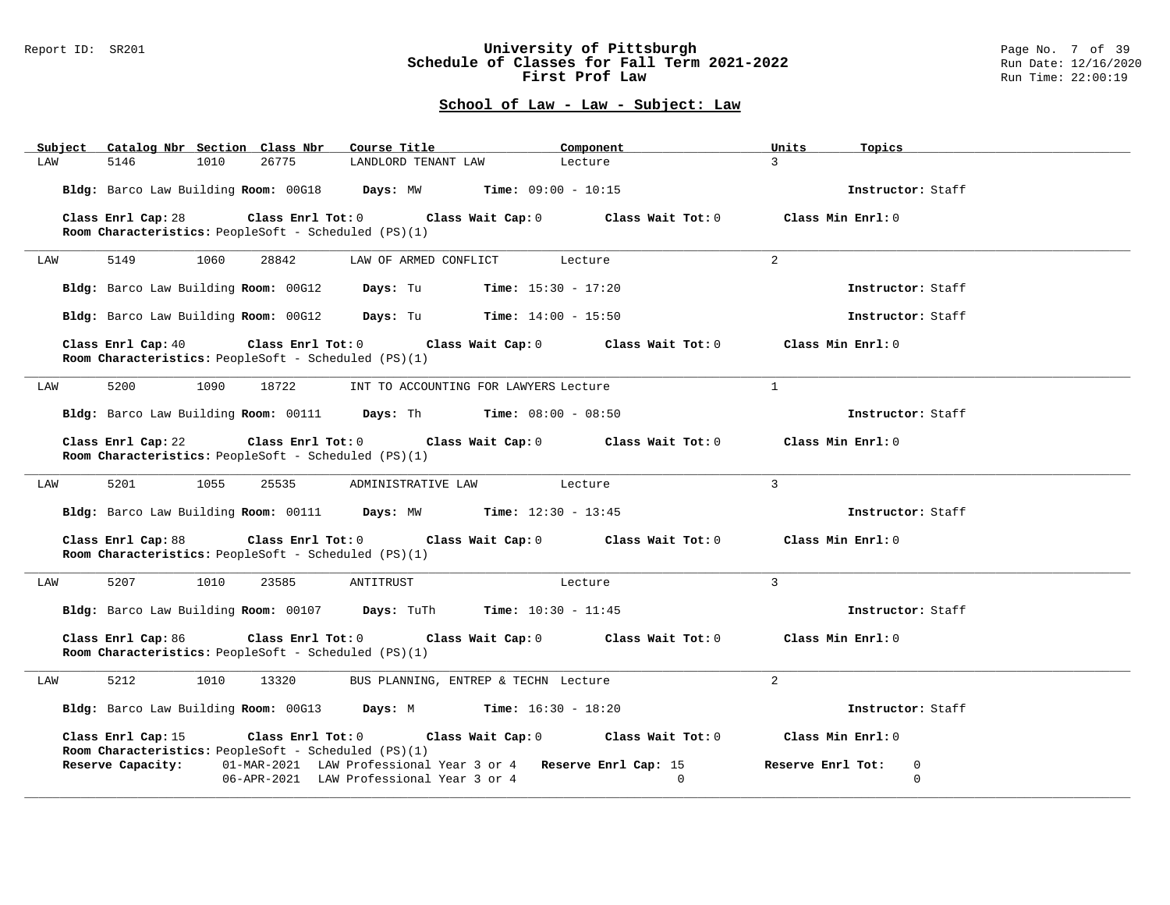### Report ID: SR201 **University of Pittsburgh** Page No. 7 of 39 **Schedule of Classes for Fall Term 2021-2022** Run Date: 12/16/2020 **First Prof Law Run Time: 22:00:19** Run Time: 22:00:19

| Catalog Nbr Section Class Nbr<br>Subject                                                              | Course Title                                                                                              | Component                                             | Units<br>Topics                       |  |
|-------------------------------------------------------------------------------------------------------|-----------------------------------------------------------------------------------------------------------|-------------------------------------------------------|---------------------------------------|--|
| 26775<br>5146<br>1010<br>LAW                                                                          | LANDLORD TENANT LAW                                                                                       | Lecture                                               | $\mathcal{L}$                         |  |
| Bldg: Barco Law Building Room: 00G18 Days: MW Time: 09:00 - 10:15                                     |                                                                                                           |                                                       | Instructor: Staff                     |  |
| Class Enrl Cap: 28<br>Class Enrl Tot: 0<br>Room Characteristics: PeopleSoft - Scheduled (PS)(1)       | Class Wait Cap: 0                                                                                         | Class Wait Tot: 0                                     | Class Min Enrl: 0                     |  |
| 5149<br>1060<br>28842<br>LAW                                                                          | LAW OF ARMED CONFLICT                                                                                     | Lecture                                               | $\overline{2}$                        |  |
| Bldg: Barco Law Building Room: 00G12                                                                  | <b>Days:</b> Tu <b>Time:</b> $15:30 - 17:20$                                                              |                                                       | Instructor: Staff                     |  |
| Bldg: Barco Law Building Room: 00G12 Days: Tu Time: 14:00 - 15:50                                     |                                                                                                           |                                                       | Instructor: Staff                     |  |
| Class Enrl Cap: 40<br>$Class$ $Enr1$ $Tot: 0$<br>Room Characteristics: PeopleSoft - Scheduled (PS)(1) |                                                                                                           | Class Wait Cap: 0 Class Wait Tot: 0 Class Min Enrl: 0 |                                       |  |
| 5200<br>1090<br>18722<br>LAW                                                                          | INT TO ACCOUNTING FOR LAWYERS Lecture                                                                     |                                                       | $\mathbf{1}$                          |  |
| Bldg: Barco Law Building Room: 00111 Days: Th Time: 08:00 - 08:50                                     |                                                                                                           |                                                       | Instructor: Staff                     |  |
| Class Enrl Cap: 22<br>Room Characteristics: PeopleSoft - Scheduled (PS)(1)                            | Class Enrl Tot: 0 Class Wait Cap: 0 Class Wait Tot: 0                                                     |                                                       | Class Min Enrl: 0                     |  |
| 5201<br>1055<br>25535<br>LAW                                                                          | ADMINISTRATIVE LAW Lecture                                                                                |                                                       | $\overline{3}$                        |  |
| Bldg: Barco Law Building Room: 00111 Days: MW Time: 12:30 - 13:45                                     |                                                                                                           |                                                       | Instructor: Staff                     |  |
| Class Enrl Cap: 88<br>Room Characteristics: PeopleSoft - Scheduled (PS)(1)                            | Class Enrl Tot: $0$ Class Wait Cap: $0$ Class Wait Tot: $0$ Class Min Enrl: $0$                           |                                                       |                                       |  |
| 5207<br>1010<br>23585<br>LAW                                                                          | ANTITRUST                                                                                                 | Lecture                                               | 3                                     |  |
| Bldg: Barco Law Building Room: 00107 Days: TuTh Time: 10:30 - 11:45                                   |                                                                                                           |                                                       | Instructor: Staff                     |  |
| Class Enrl Cap: 86<br>Class Enrl Tot: 0<br>Room Characteristics: PeopleSoft - Scheduled (PS)(1)       |                                                                                                           | Class Wait Cap: 0 Class Wait Tot: 0                   | Class Min Enrl: 0                     |  |
| 5212<br>1010<br>13320<br>LAW                                                                          | BUS PLANNING, ENTREP & TECHN Lecture                                                                      |                                                       | 2                                     |  |
| Bldg: Barco Law Building Room: 00G13 Days: M Time: 16:30 - 18:20                                      |                                                                                                           |                                                       | Instructor: Staff                     |  |
| Class Enrl Cap: 15<br>Room Characteristics: PeopleSoft - Scheduled (PS)(1)                            | Class Enrl Tot: 0 Class Wait Cap: 0 Class Wait Tot: 0                                                     |                                                       | Class Min Enrl: 0                     |  |
| Reserve Capacity:                                                                                     | 01-MAR-2021 LAW Professional Year 3 or 4 Reserve Enrl Cap: 15<br>06-APR-2021 LAW Professional Year 3 or 4 | $\Omega$                                              | Reserve Enrl Tot:<br>0<br>$\mathbf 0$ |  |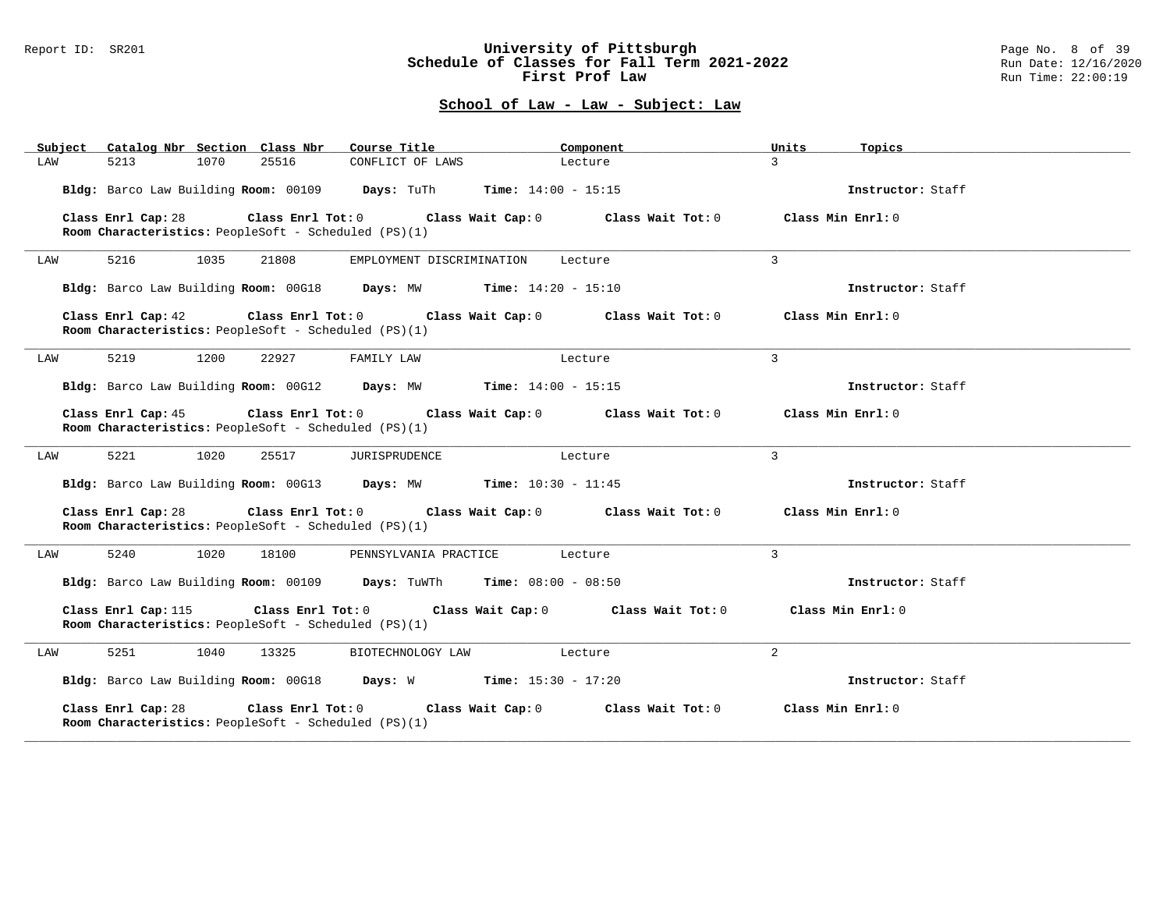#### Report ID: SR201 **University of Pittsburgh** Page No. 8 of 39 **Schedule of Classes for Fall Term 2021-2022** Run Date: 12/16/2020 **First Prof Law Run Time: 22:00:19** Run Time: 22:00:19

| Subject Catalog Nbr Section Class Nbr                                                            | Course Title                                                                                       | Component                    | Units<br>Topics   |  |
|--------------------------------------------------------------------------------------------------|----------------------------------------------------------------------------------------------------|------------------------------|-------------------|--|
| 5213<br>1070<br>25516<br>LAW                                                                     | CONFLICT OF LAWS                                                                                   | Lecture                      | $\mathcal{L}$     |  |
| Bldg: Barco Law Building Room: 00109 Days: TuTh                                                  |                                                                                                    | <b>Time:</b> $14:00 - 15:15$ | Instructor: Staff |  |
| Class Enrl Cap: 28<br>Room Characteristics: PeopleSoft - Scheduled (PS)(1)                       | Class Enrl Tot: $0$ Class Wait Cap: $0$ Class Wait Tot: $0$ Class Min Enrl: $0$                    |                              |                   |  |
| 5216<br>1035<br>21808<br>LAW                                                                     | EMPLOYMENT DISCRIMINATION                                                                          | Lecture                      | 3                 |  |
| Bldg: Barco Law Building Room: 00G18 Days: MW Time: 14:20 - 15:10                                |                                                                                                    |                              | Instructor: Staff |  |
| Class Enrl Cap: 42<br>Room Characteristics: PeopleSoft - Scheduled (PS)(1)                       | Class Enrl Tot: 0 $\qquad$ Class Wait Cap: 0 $\qquad$ Class Wait Tot: 0 $\qquad$ Class Min Enrl: 0 |                              |                   |  |
| 5219<br>1200<br>22927<br>LAW                                                                     | FAMILY LAW                                                                                         | Lecture                      | $\mathcal{E}$     |  |
| Bldg: Barco Law Building Room: 00G12 Days: MW Time: 14:00 - 15:15                                |                                                                                                    |                              | Instructor: Staff |  |
| Class Enrl Cap: 45<br>Room Characteristics: PeopleSoft - Scheduled (PS)(1)                       | Class Enrl Tot: 0 $\qquad$ Class Wait Cap: 0 $\qquad$ Class Wait Tot: 0 $\qquad$ Class Min Enrl: 0 |                              |                   |  |
| 5221<br>1020<br>LAW<br>25517                                                                     | JURISPRUDENCE                                                                                      | Lecture                      | $\mathbf{3}$      |  |
| Bldg: Barco Law Building Room: 00G13 Days: MW Time: 10:30 - 11:45                                |                                                                                                    |                              | Instructor: Staff |  |
| Class Enrl Cap: 28<br>Room Characteristics: PeopleSoft - Scheduled (PS)(1)                       | Class Enrl Tot: $0$ Class Wait Cap: $0$ Class Wait Tot: $0$ Class Min Enrl: $0$                    |                              |                   |  |
| 5240<br>1020<br>18100<br>LAW                                                                     | PENNSYLVANIA PRACTICE                                                                              | Lecture                      | $\mathcal{R}$     |  |
| <b>Bldg:</b> Barco Law Building <b>Room:</b> 00109 <b>Days:</b> TuWTh <b>Time:</b> 08:00 - 08:50 |                                                                                                    |                              | Instructor: Staff |  |
| Class Enrl Cap: 115<br>Class Enrl Tot: 0<br>Room Characteristics: PeopleSoft - Scheduled (PS)(1) | Class Wait Cap: 0                                                                                  | Class Wait Tot: 0            | Class Min Enrl: 0 |  |
| 5251<br>1040<br>13325<br>LAW                                                                     | BIOTECHNOLOGY LAW                                                                                  | Lecture                      | 2                 |  |
| Bldg: Barco Law Building Room: 00G18 Days: W Time: 15:30 - 17:20                                 |                                                                                                    |                              | Instructor: Staff |  |
| Class Enrl Cap: 28<br>Room Characteristics: PeopleSoft - Scheduled (PS)(1)                       | Class Enrl Tot: 0 Class Wait Cap: 0                                                                | Class Wait Tot: 0            | Class Min Enrl: 0 |  |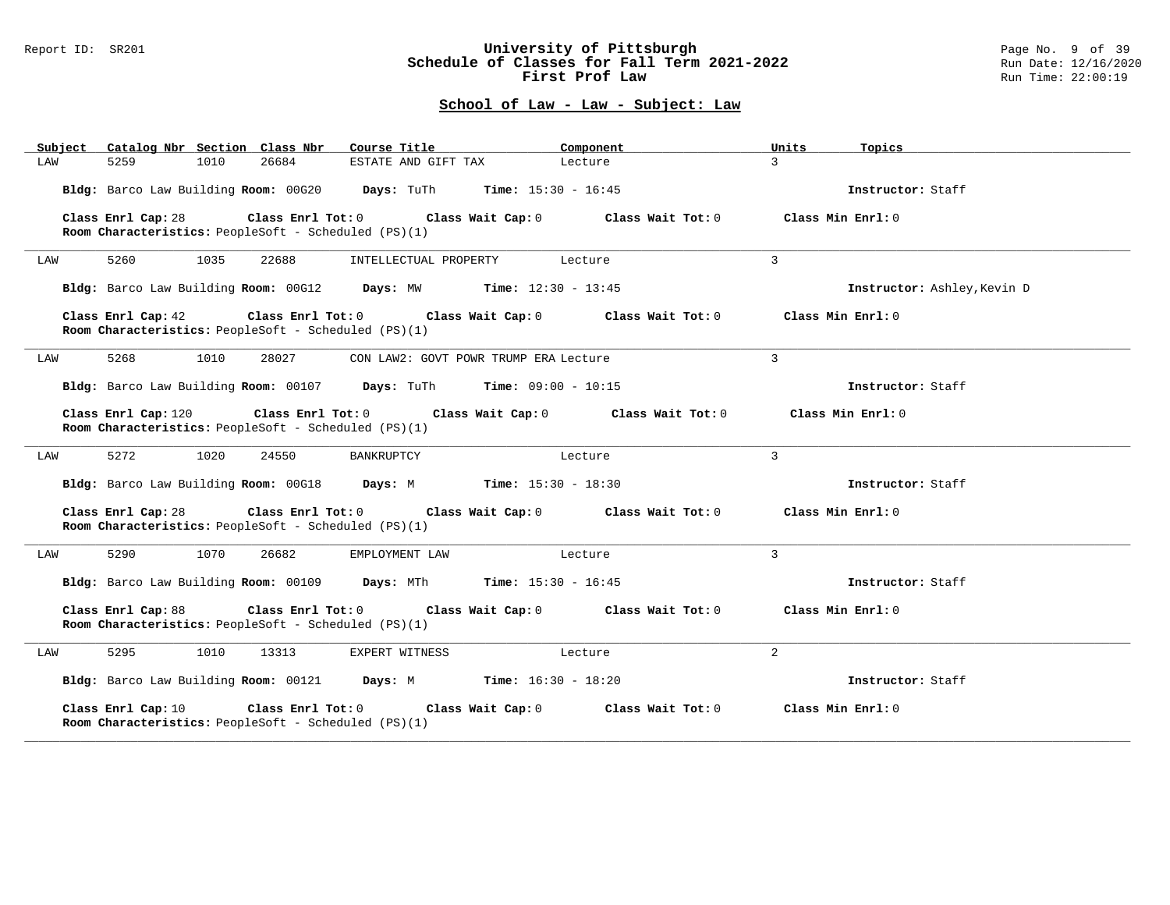### Report ID: SR201 **University of Pittsburgh** Page No. 9 of 39 **Schedule of Classes for Fall Term 2021-2022** Run Date: 12/16/2020 **First Prof Law Run Time: 22:00:19** Run Time: 22:00:19

| Subject Catalog Nbr Section Class Nbr                                                           | Course Title                                                | Component                           | Units<br>Topics             |
|-------------------------------------------------------------------------------------------------|-------------------------------------------------------------|-------------------------------------|-----------------------------|
| 5259<br>1010<br>26684<br>LAW                                                                    | ESTATE AND GIFT TAX                                         | Lecture                             | $\mathcal{L}$               |
| Bldg: Barco Law Building Room: 00G20 Days: TuTh                                                 |                                                             | <b>Time:</b> $15:30 - 16:45$        | Instructor: Staff           |
| Class Enrl Cap: 28<br>Room Characteristics: PeopleSoft - Scheduled (PS)(1)                      | $Class$ $Enr1$ $Tot: 0$                                     | Class Wait Cap: 0 Class Wait Tot: 0 | Class Min Enrl: 0           |
| 5260<br>1035<br>22688<br>LAW                                                                    | INTELLECTUAL PROPERTY                                       | Lecture                             | $\mathcal{L}$               |
| Bldg: Barco Law Building Room: 00G12 Days: MW Time: 12:30 - 13:45                               |                                                             |                                     | Instructor: Ashley, Kevin D |
| Class Enrl Cap: 42<br>Room Characteristics: PeopleSoft - Scheduled (PS)(1)                      | Class Enrl Tot: 0 Class Wait Cap: 0 Class Wait Tot: 0       |                                     | Class Min Enrl: 0           |
| 5268<br>1010<br>28027<br>LAW                                                                    | CON LAW2: GOVT POWR TRUMP ERA Lecture                       |                                     | 3                           |
| Bldg: Barco Law Building Room: 00107 Days: TuTh Time: 09:00 - 10:15                             |                                                             |                                     | Instructor: Staff           |
| Class Enrl Cap: 120<br>Room Characteristics: PeopleSoft - Scheduled (PS)(1)                     | Class Enrl Tot: 0 Class Wait Cap: 0 Class Wait Tot: 0       |                                     | Class Min Enrl: 0           |
| 5272<br>1020<br>24550<br>LAW                                                                    | BANKRUPTCY                                                  | Lecture                             | $\mathbf{3}$                |
| Bldg: Barco Law Building Room: 00G18 Days: M Time: 15:30 - 18:30                                |                                                             |                                     | Instructor: Staff           |
| Class Enrl Cap: 28<br>Room Characteristics: PeopleSoft - Scheduled (PS)(1)                      | Class Enrl Tot: 0 Class Wait Cap: 0 Class Wait Tot: 0       |                                     | Class Min Enrl: 0           |
| 5290<br>1070<br>26682<br>LAW                                                                    | EMPLOYMENT LAW                                              | Lecture                             | 3                           |
| Bldg: Barco Law Building Room: 00109 Days: MTh Time: 15:30 - 16:45                              |                                                             |                                     | Instructor: Staff           |
| Class Enrl Cap: 88<br>Room Characteristics: PeopleSoft - Scheduled (PS)(1)                      | Class Enrl Tot: $0$ Class Wait Cap: $0$ Class Wait Tot: $0$ |                                     | Class Min Enrl: 0           |
| 5295<br>1010<br>13313<br>LAW                                                                    | EXPERT WITNESS                                              | Lecture                             | 2                           |
| Bldg: Barco Law Building Room: 00121 Days: M Time: 16:30 - 18:20                                |                                                             |                                     | Instructor: Staff           |
| Class Enrl Cap: 10<br>Class Enrl Tot: 0<br>Room Characteristics: PeopleSoft - Scheduled (PS)(1) | Class Wait Cap: 0                                           | Class Wait Tot: 0                   | Class Min Enrl: 0           |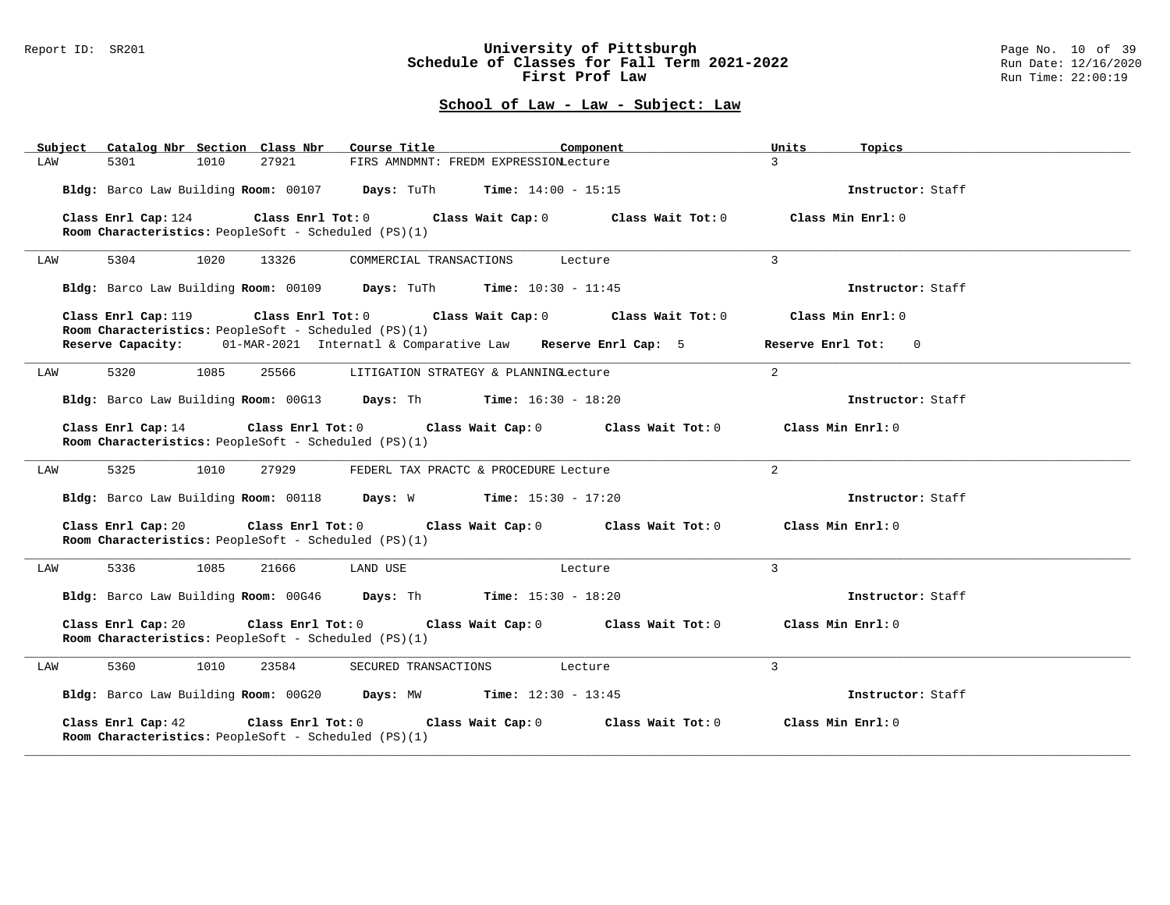#### Report ID: SR201 **University of Pittsburgh** Page No. 10 of 39 **Schedule of Classes for Fall Term 2021-2022** Run Date: 12/16/2020 **First Prof Law Run Time: 22:00:19** Run Time: 22:00:19

| Catalog Nbr Section Class Nbr<br>Subject                                    | Course Title                                                                                      | Component<br>Units                                       | Topics            |
|-----------------------------------------------------------------------------|---------------------------------------------------------------------------------------------------|----------------------------------------------------------|-------------------|
| 5301<br>1010<br>27921<br>LAW                                                | FIRS AMNDMNT: FREDM EXPRESSIONLecture                                                             | $\mathcal{L}$                                            |                   |
|                                                                             | <b>Bldg:</b> Barco Law Building <b>Room:</b> 00107 <b>Days:</b> TuTh <b>Time:</b> $14:00 - 15:15$ |                                                          | Instructor: Staff |
| Class Enrl Cap: 124<br>Room Characteristics: PeopleSoft - Scheduled (PS)(1) | Class Enrl Tot: $0$ Class Wait Cap: $0$ Class Wait Tot: $0$                                       | Class Min Enrl: 0                                        |                   |
| 5304<br>1020<br>13326<br>LAW                                                | COMMERCIAL TRANSACTIONS                                                                           | 3<br>Lecture                                             |                   |
|                                                                             | Bldg: Barco Law Building Room: 00109 Days: TuTh Time: 10:30 - 11:45                               |                                                          | Instructor: Staff |
| Class Enrl Cap: 119<br>Room Characteristics: PeopleSoft - Scheduled (PS)(1) | $Class$ $Enr1$ $Tot: 0$<br>Class Wait Cap: 0 Class Wait Tot: 0                                    | Class Min Enrl: 0                                        |                   |
|                                                                             | Reserve Capacity: 01-MAR-2021 Internatl & Comparative Law Reserve Enrl Cap: 5                     | Reserve Enrl Tot: 0                                      |                   |
| 5320<br>1085<br>25566<br>LAW                                                | LITIGATION STRATEGY & PLANNINGLecture                                                             | 2                                                        |                   |
|                                                                             | Bldg: Barco Law Building Room: 00G13 Days: Th Time: 16:30 - 18:20                                 |                                                          | Instructor: Staff |
| Class Enrl Cap: 14<br>Room Characteristics: PeopleSoft - Scheduled (PS)(1)  | Class Enrl Tot: $0$ Class Wait Cap: $0$ Class Wait Tot: $0$ Class Min Enrl: $0$                   |                                                          |                   |
| 5325<br>1010<br>27929<br>LAW                                                | FEDERL TAX PRACTC & PROCEDURE Lecture                                                             | 2                                                        |                   |
|                                                                             | Bldg: Barco Law Building Room: 00118 Days: W Time: 15:30 - 17:20                                  |                                                          | Instructor: Staff |
| Class Enrl Cap: 20<br>Room Characteristics: PeopleSoft - Scheduled (PS)(1)  | Class Enrl Tot: 0                                                                                 | Class Wait Cap: 0 Class Wait Tot: 0 Class Min Enrl: 0    |                   |
| 5336<br>1085<br>21666<br>LAW                                                | LAND USE                                                                                          | $\mathbf{R}$<br>Lecture                                  |                   |
|                                                                             | Bldg: Barco Law Building Room: 00G46 Days: Th Time: 15:30 - 18:20                                 |                                                          | Instructor: Staff |
| Class Enrl Cap: 20<br>Room Characteristics: PeopleSoft - Scheduled (PS)(1)  | Class Enrl Tot: 0                                                                                 | Class Wait Cap: 0 Class Wait Tot: 0<br>Class Min Enrl: 0 |                   |
| 5360<br>1010<br>23584<br>LAW                                                | SECURED TRANSACTIONS Lecture                                                                      | 3                                                        |                   |
|                                                                             | Bldg: Barco Law Building Room: 00G20 Days: MW Time: 12:30 - 13:45                                 |                                                          | Instructor: Staff |
| Class Enrl Cap: 42<br>Room Characteristics: PeopleSoft - Scheduled (PS)(1)  | Class Enrl Tot: 0<br>Class Wait Cap: 0                                                            | Class Wait Tot: 0<br>Class Min Enrl: 0                   |                   |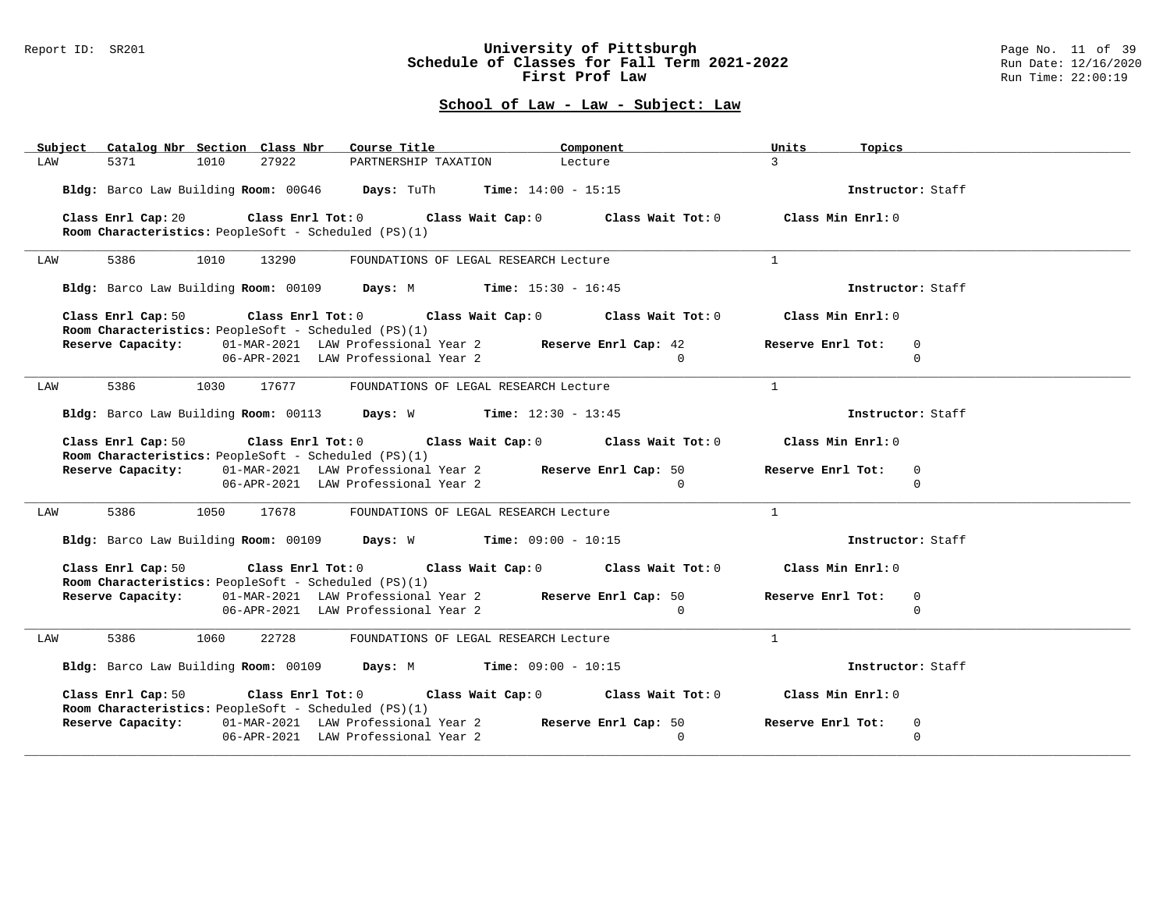#### Report ID: SR201 **University of Pittsburgh** Page No. 11 of 39 **Schedule of Classes for Fall Term 2021-2022** Run Date: 12/16/2020 **First Prof Law Run Time: 22:00:19** Run Time: 22:00:19

| Subject Catalog Nbr Section Class Nbr Course Title                                                                                                                                     |                                                                                 | Component      | Units<br><b>Topics Example 19</b>            |  |
|----------------------------------------------------------------------------------------------------------------------------------------------------------------------------------------|---------------------------------------------------------------------------------|----------------|----------------------------------------------|--|
| 5371<br>1010<br>27922<br>LAW                                                                                                                                                           | PARTNERSHIP TAXATION Lecture                                                    |                | $\mathcal{S}$                                |  |
| Bldg: Barco Law Building Room: 00G46 Days: TuTh Time: 14:00 - 15:15                                                                                                                    |                                                                                 |                | Instructor: Staff                            |  |
| Class Enrl Cap: 20 Class Enrl Tot: 0 Class Wait Cap: 0 Class Wait Tot: 0 Class Min Enrl: 0<br>Room Characteristics: PeopleSoft - Scheduled (PS)(1)                                     |                                                                                 |                |                                              |  |
| 5386 700<br>1010 13290<br>LAW                                                                                                                                                          | FOUNDATIONS OF LEGAL RESEARCH Lecture                                           |                | $\mathbf{1}$                                 |  |
| Bldg: Barco Law Building Room: 00109 Days: M Time: 15:30 - 16:45                                                                                                                       |                                                                                 |                | Instructor: Staff                            |  |
| Class Enrl Cap: 50 $\qquad$ Class Enrl Tot: 0 $\qquad$ Class Wait Cap: 0 $\qquad$ Class Wait Tot: 0 $\qquad$ Class Min Enrl: 0<br>Room Characteristics: PeopleSoft - Scheduled (PS)(1) |                                                                                 |                |                                              |  |
| Reserve Capacity: 01-MAR-2021 LAW Professional Year 2 Reserve Enrl Cap: 42                                                                                                             | 06-APR-2021 LAW Professional Year 2                                             | $\sim$ 0       | Reserve Enrl Tot:<br>$\mathbf 0$<br>$\Omega$ |  |
|                                                                                                                                                                                        |                                                                                 |                |                                              |  |
| 5386 1030<br>17677<br>LAW                                                                                                                                                              | FOUNDATIONS OF LEGAL RESEARCH Lecture                                           |                | $\mathbf{1}$                                 |  |
| Bldg: Barco Law Building Room: 00113 Days: W Time: 12:30 - 13:45                                                                                                                       |                                                                                 |                | Instructor: Staff                            |  |
| Class Enrl Cap: 50 $\qquad$ Class Enrl Tot: 0 $\qquad$ Class Wait Cap: 0 $\qquad$ Class Wait Tot: 0 $\qquad$ Class Min Enrl: 0<br>Room Characteristics: PeopleSoft - Scheduled (PS)(1) |                                                                                 |                |                                              |  |
| Reserve Capacity: 01-MAR-2021 LAW Professional Year 2 Reserve Enrl Cap: 50                                                                                                             | 06-APR-2021 LAW Professional Year 2                                             | $\sim$ 0       | Reserve Enrl Tot:<br>$\Omega$<br>$\Omega$    |  |
| 5386 1050 17678<br>LAW                                                                                                                                                                 | FOUNDATIONS OF LEGAL RESEARCH Lecture                                           |                | $\mathbf{1}$                                 |  |
| Bldg: Barco Law Building Room: 00109 Days: W Time: 09:00 - 10:15                                                                                                                       |                                                                                 |                | Instructor: Staff                            |  |
| Class Enrl Cap: 50 $\qquad$ Class Enrl Tot: 0 $\qquad$ Class Wait Cap: 0 $\qquad$ Class Wait Tot: 0 $\qquad$ Class Min Enrl: 0<br>Room Characteristics: PeopleSoft - Scheduled (PS)(1) |                                                                                 |                |                                              |  |
| Reserve Capacity: 01-MAR-2021 LAW Professional Year 2 Reserve Enrl Cap: 50                                                                                                             |                                                                                 |                | Reserve Enrl Tot:<br>$\mathbf 0$             |  |
|                                                                                                                                                                                        | 06-APR-2021 LAW Professional Year 2                                             | $\overline{0}$ | $\Omega$                                     |  |
| 5386<br>1060<br>22728<br>LAW                                                                                                                                                           | FOUNDATIONS OF LEGAL RESEARCH Lecture                                           |                | $\overline{1}$                               |  |
| Bldg: Barco Law Building Room: 00109 Days: M Time: 09:00 - 10:15                                                                                                                       |                                                                                 |                | Instructor: Staff                            |  |
| Class Enrl Cap: 50<br>Room Characteristics: PeopleSoft - Scheduled (PS)(1)                                                                                                             | Class Enrl Tot: $0$ Class Wait Cap: $0$ Class Wait Tot: $0$ Class Min Enrl: $0$ |                |                                              |  |
| Reserve Capacity: 01-MAR-2021 LAW Professional Year 2 Reserve Enrl Cap: 50                                                                                                             |                                                                                 |                | Reserve Enrl Tot:<br>$\mathbf{0}$            |  |
|                                                                                                                                                                                        | 06-APR-2021 LAW Professional Year 2                                             | $\Omega$       | $\mathbf 0$                                  |  |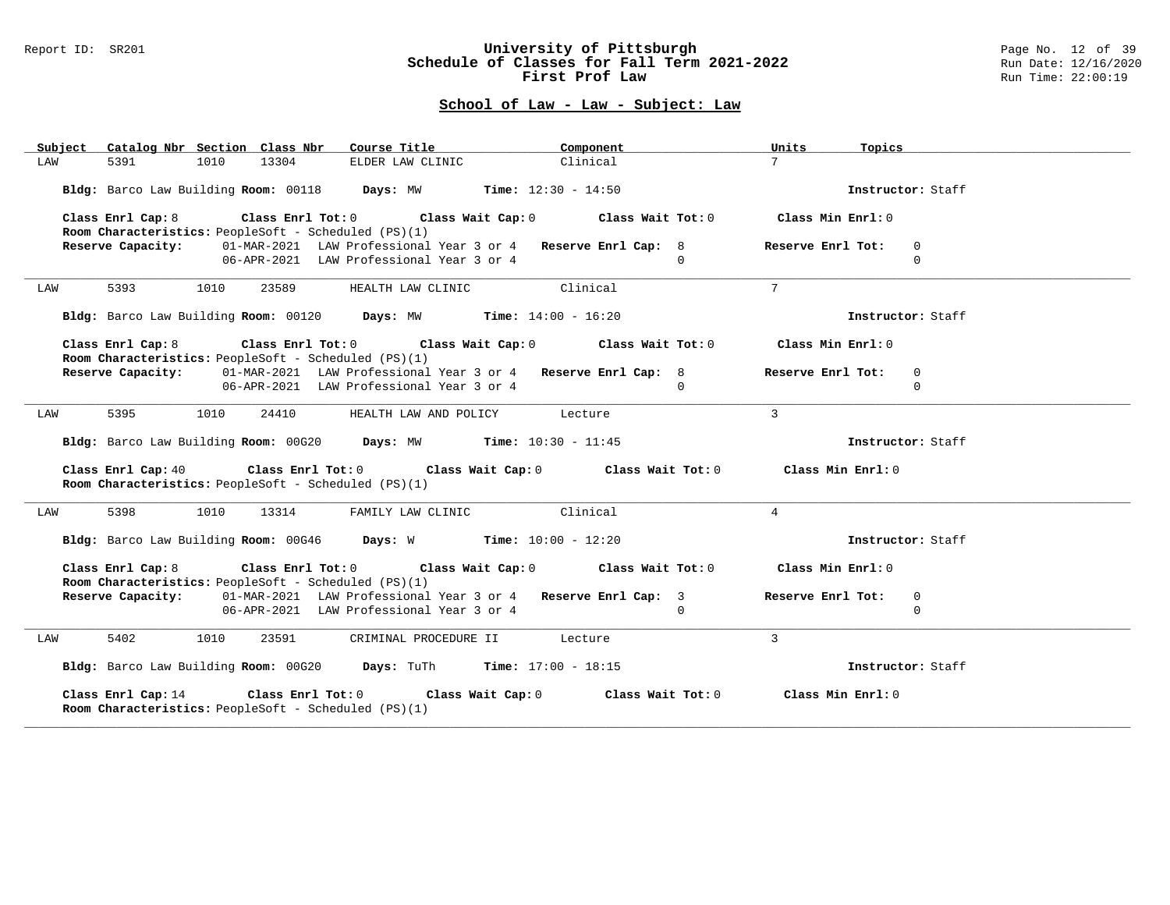#### Report ID: SR201 **University of Pittsburgh** Page No. 12 of 39 **Schedule of Classes for Fall Term 2021-2022** Run Date: 12/16/2020 **First Prof Law Run Time: 22:00:19** Run Time: 22:00:19

| Catalog Nbr Section Class Nbr<br>Subject | Course Title <b>Source Search</b>                                                                                                       | Component         | Units<br>Topics                              |
|------------------------------------------|-----------------------------------------------------------------------------------------------------------------------------------------|-------------------|----------------------------------------------|
| 1010<br>LAW<br>5391                      | 13304<br>ELDER LAW CLINIC                                                                                                               | Clinical          | 7 <sup>7</sup>                               |
|                                          | Bldg: Barco Law Building Room: 00118 Days: MW Time: 12:30 - 14:50                                                                       |                   | Instructor: Staff                            |
| Class Enrl Cap: 8                        | Class Enrl Tot: $0$ Class Wait Cap: $0$ Class Wait Tot: $0$<br>Room Characteristics: PeopleSoft - Scheduled (PS)(1)                     |                   | Class Min Enrl: 0                            |
| Reserve Capacity:                        | 01-MAR-2021 LAW Professional Year 3 or 4 Reserve Enrl Cap: 8<br>06-APR-2021 LAW Professional Year 3 or 4                                | $\cap$            | Reserve Enrl Tot:<br>$\mathbf 0$<br>$\Omega$ |
| 5393<br>1010<br>LAW                      | 23589<br>HEALTH LAW CLINIC                                                                                                              | Clinical          | 7                                            |
|                                          | Bldg: Barco Law Building Room: 00120 Days: MW Time: 14:00 - 16:20                                                                       |                   | Instructor: Staff                            |
| Class Enrl Cap: 8                        | Class Enrl Tot: $0$ Class Wait Cap: $0$ Class Wait Tot: $0$<br>Room Characteristics: PeopleSoft - Scheduled (PS)(1)                     |                   | Class Min Enrl: 0                            |
|                                          | Reserve Capacity: 01-MAR-2021 LAW Professional Year 3 or 4 Reserve Enrl Cap: 8<br>06-APR-2021 LAW Professional Year 3 or 4              | $\cap$            | Reserve Enrl Tot:<br>$\mathbf 0$<br>$\Omega$ |
| 5395<br>1010<br>LAW                      | 24410<br>HEALTH LAW AND POLICY Lecture                                                                                                  |                   | $\mathbf{3}$                                 |
|                                          | Bldg: Barco Law Building Room: 00G20 Days: MW Time: 10:30 - 11:45                                                                       |                   | Instructor: Staff                            |
| Class Enrl Cap: 40                       | Class Enrl Tot: $0$ Class Wait Cap: $0$ Class Wait Tot: $0$ Class Min Enrl: $0$<br>Room Characteristics: PeopleSoft - Scheduled (PS)(1) |                   |                                              |
| 5398<br>1010<br>LAW                      | FAMILY LAW CLINIC Clinical<br>13314                                                                                                     |                   | $\overline{4}$                               |
|                                          | Bldg: Barco Law Building Room: 00G46 Days: W Time: 10:00 - 12:20                                                                        |                   | Instructor: Staff                            |
|                                          | Class Enrl Cap: 8 Class Enrl Tot: 0 Class Wait Cap: 0 Class Wait Tot: 0<br>Room Characteristics: PeopleSoft - Scheduled (PS)(1)         |                   | Class Min Enrl: 0                            |
|                                          | Reserve Capacity: 01-MAR-2021 LAW Professional Year 3 or 4 Reserve Enrl Cap: 3<br>06-APR-2021 LAW Professional Year 3 or 4              | $\Omega$          | Reserve Enrl Tot:<br>$\mathbf 0$<br>$\Omega$ |
| 5402<br>1010<br>LAW                      | 23591<br>CRIMINAL PROCEDURE II Lecture                                                                                                  |                   | $\overline{3}$                               |
|                                          | Bldg: Barco Law Building Room: 00G20 Days: TuTh Time: 17:00 - 18:15                                                                     |                   | Instructor: Staff                            |
| Class Enrl Cap: 14                       | Class Enrl Tot: 0 Class Wait Cap: 0<br>Room Characteristics: PeopleSoft - Scheduled (PS)(1)                                             | Class Wait Tot: 0 | Class Min Enrl: 0                            |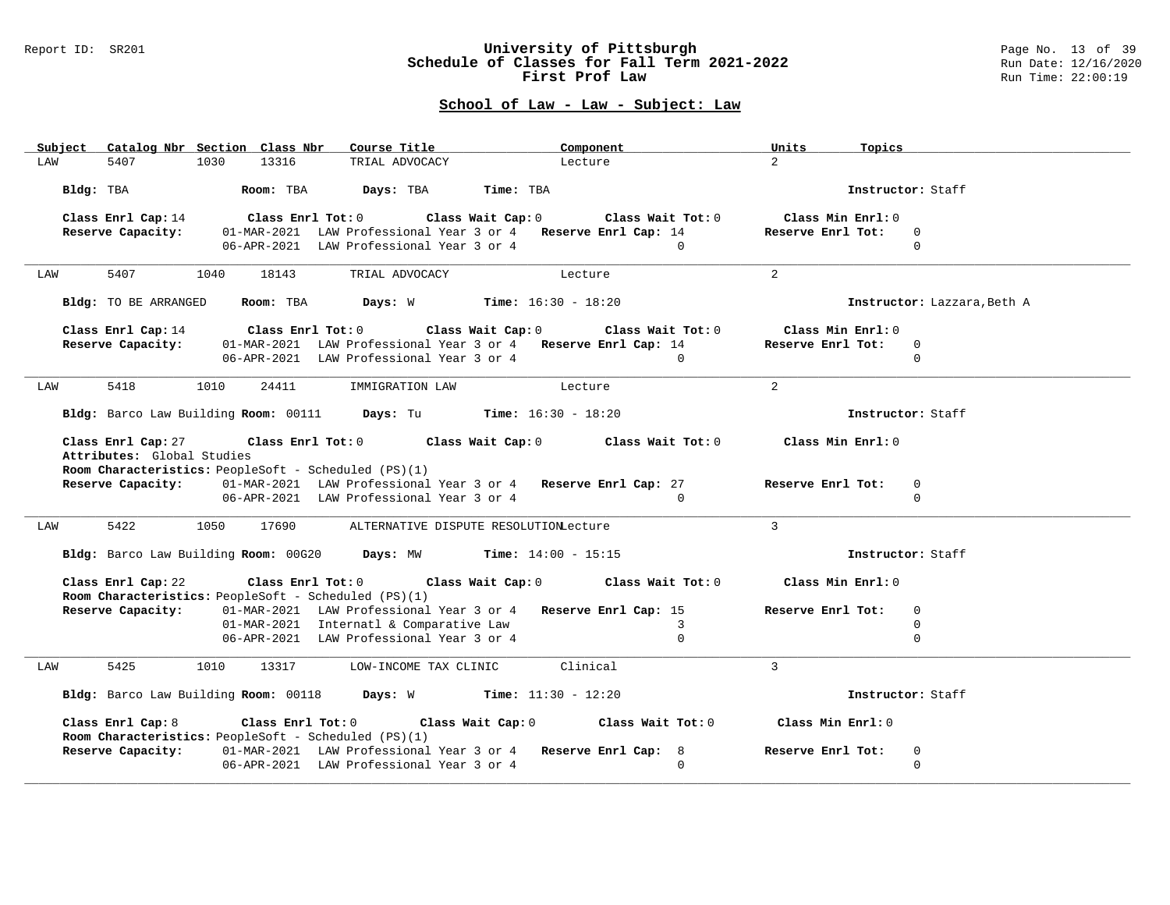#### Report ID: SR201 **University of Pittsburgh** Page No. 13 of 39 **Schedule of Classes for Fall Term 2021-2022** Run Date: 12/16/2020 **First Prof Law Run Time: 22:00:19** Run Time: 22:00:19

|                                                                                       |                            | Subject Catalog Nbr Section Class Nbr | Course Title                                                                                                                                   | Component                             |                   | Units<br>Topics                                                                 |                             |  |
|---------------------------------------------------------------------------------------|----------------------------|---------------------------------------|------------------------------------------------------------------------------------------------------------------------------------------------|---------------------------------------|-------------------|---------------------------------------------------------------------------------|-----------------------------|--|
| LAW                                                                                   | 5407                       | 13316<br>1030                         | TRIAL ADVOCACY                                                                                                                                 | Lecture                               |                   | $2^{\circ}$                                                                     |                             |  |
|                                                                                       |                            |                                       |                                                                                                                                                | Time: TBA                             |                   |                                                                                 | Instructor: Staff           |  |
|                                                                                       | Class Enrl Cap: 14         |                                       | Class Enrl Tot: $0$ Class Wait Cap: $0$ Class Wait Tot: $0$                                                                                    |                                       |                   | Class Min Enrl: 0                                                               |                             |  |
|                                                                                       | Reserve Capacity:          |                                       | 01-MAR-2021 LAW Professional Year 3 or 4 Reserve Enrl Cap: 14                                                                                  |                                       |                   | Reserve Enrl Tot:                                                               | $\overline{0}$              |  |
|                                                                                       |                            |                                       | 06-APR-2021 LAW Professional Year 3 or 4 0                                                                                                     |                                       |                   |                                                                                 | $\Omega$                    |  |
| LAW                                                                                   | 5407                       | 1040<br>18143                         | TRIAL ADVOCACY                                                                                                                                 | Lecture                               |                   | $2^{1}$                                                                         |                             |  |
|                                                                                       | Bldg: TO BE ARRANGED       |                                       | <b>Room:</b> TBA <b>Days:</b> W <b>Time:</b> 16:30 - 18:20                                                                                     |                                       |                   |                                                                                 | Instructor: Lazzara, Beth A |  |
|                                                                                       | Class Enrl Cap: 14         |                                       | Class Enrl Tot: 0 Class Wait Cap: 0                                                                                                            |                                       | Class Wait Tot: 0 | Class Min Enrl: 0                                                               |                             |  |
|                                                                                       | Reserve Capacity:          |                                       | 01-MAR-2021 LAW Professional Year 3 or 4 Reserve Enrl Cap: 14                                                                                  |                                       |                   | Reserve Enrl Tot:                                                               | $\Omega$                    |  |
|                                                                                       |                            |                                       | 06-APR-2021 LAW Professional Year 3 or 4                                                                                                       |                                       | $\Omega$          |                                                                                 | $\Omega$                    |  |
| LAW                                                                                   | 5418                       | 1010<br>24411                         | IMMIGRATION LAW                                                                                                                                | Lecture                               |                   | $\overline{2}$                                                                  |                             |  |
|                                                                                       |                            |                                       | Bldg: Barco Law Building Room: 00111 Days: Tu Time: 16:30 - 18:20                                                                              |                                       |                   |                                                                                 | Instructor: Staff           |  |
|                                                                                       | Class Enrl Cap: 27         |                                       |                                                                                                                                                |                                       |                   | Class Enrl Tot: $0$ Class Wait Cap: $0$ Class Wait Tot: $0$ Class Min Enrl: $0$ |                             |  |
|                                                                                       | Attributes: Global Studies |                                       |                                                                                                                                                |                                       |                   |                                                                                 |                             |  |
|                                                                                       |                            |                                       | Room Characteristics: PeopleSoft - Scheduled (PS)(1)<br><b>Reserve Capacity:</b> 01-MAR-2021 LAW Professional Year 3 or 4 Reserve Enrl Cap: 27 |                                       |                   | Reserve Enrl Tot:                                                               | $\mathbf{0}$                |  |
|                                                                                       |                            |                                       | 06-APR-2021 LAW Professional Year 3 or 4                                                                                                       |                                       | $\Omega$          |                                                                                 | $\Omega$                    |  |
|                                                                                       |                            |                                       |                                                                                                                                                |                                       |                   |                                                                                 |                             |  |
| LAW                                                                                   | 5422                       | 1050<br>17690                         |                                                                                                                                                | ALTERNATIVE DISPUTE RESOLUTIONLecture |                   | $\mathcal{L}$                                                                   |                             |  |
|                                                                                       |                            |                                       | Bldg: Barco Law Building Room: 00G20 Days: MW Time: 14:00 - 15:15                                                                              |                                       |                   | Instructor: Staff                                                               |                             |  |
|                                                                                       | Class Enrl Cap: 22         |                                       | Class Enrl Tot: $0$ Class Wait Cap: $0$ Class Wait Tot: $0$<br><b>Room Characteristics:</b> PeopleSoft - Scheduled (PS)(1)                     |                                       |                   | Class Min Enrl: 0                                                               |                             |  |
|                                                                                       | Reserve Capacity:          |                                       | 01-MAR-2021 LAW Professional Year 3 or 4 Reserve Enrl Cap: 15                                                                                  |                                       |                   | Reserve Enrl Tot:                                                               | $\Omega$                    |  |
|                                                                                       |                            |                                       | 01-MAR-2021 Internatl & Comparative Law                                                                                                        |                                       | $\overline{3}$    |                                                                                 | $\Omega$                    |  |
|                                                                                       |                            |                                       | 06-APR-2021 LAW Professional Year 3 or 4                                                                                                       |                                       | $\Omega$          |                                                                                 | $\Omega$                    |  |
| LAW                                                                                   | 5425                       |                                       | 1010 13317 LOW-INCOME TAX CLINIC Clinical                                                                                                      |                                       |                   | $\mathbf{3}$                                                                    |                             |  |
| Bldg: Barco Law Building Room: 00118 Days: W Time: 11:30 - 12:20<br>Instructor: Staff |                            |                                       |                                                                                                                                                |                                       |                   |                                                                                 |                             |  |
|                                                                                       | Class Enrl Cap: 8          |                                       | Class Enrl Tot: 0 Class Wait Cap: 0 Class Wait Tot: 0<br>Room Characteristics: PeopleSoft - Scheduled (PS)(1)                                  |                                       |                   | Class Min Enrl: 0                                                               |                             |  |
|                                                                                       | Reserve Capacity:          |                                       | 01-MAR-2021 LAW Professional Year 3 or 4 Reserve Enrl Cap: 8                                                                                   |                                       |                   | Reserve Enrl Tot:                                                               | $\mathbf 0$                 |  |
|                                                                                       |                            |                                       | 06-APR-2021 LAW Professional Year 3 or 4                                                                                                       |                                       | $\Omega$          |                                                                                 | $\Omega$                    |  |
|                                                                                       |                            |                                       |                                                                                                                                                |                                       |                   |                                                                                 |                             |  |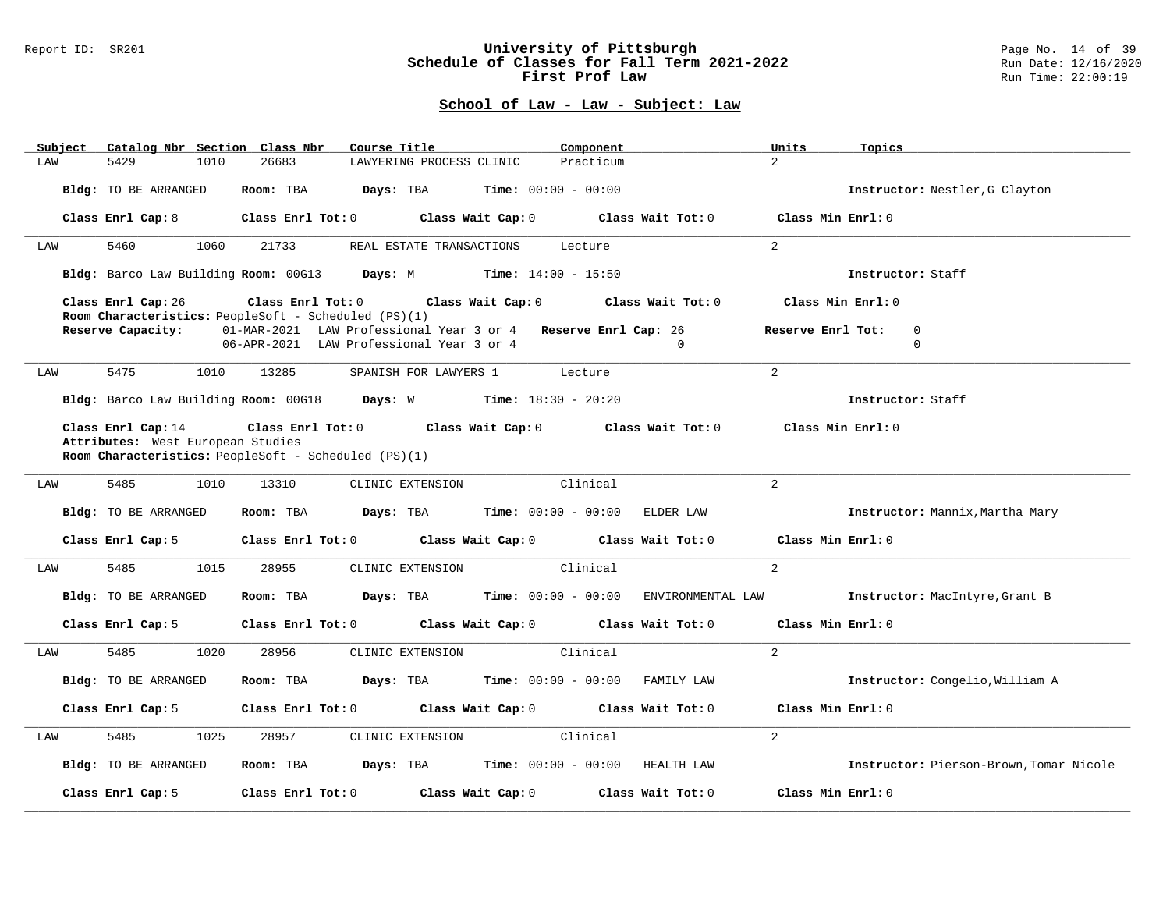#### Report ID: SR201 **University of Pittsburgh** Page No. 14 of 39 **Schedule of Classes for Fall Term 2021-2022** Run Date: 12/16/2020 **First Prof Law Run Time: 22:00:19** Run Time: 22:00:19

| Catalog Nbr Section Class Nbr<br>Subject                | Course Title                                                                                                                                                      | Component                                                                                   | Units<br>Topics                                                                          |
|---------------------------------------------------------|-------------------------------------------------------------------------------------------------------------------------------------------------------------------|---------------------------------------------------------------------------------------------|------------------------------------------------------------------------------------------|
| 5429<br>1010<br>LAW                                     | 26683<br>LAWYERING PROCESS CLINIC                                                                                                                                 | Practicum                                                                                   | $\overline{2}$                                                                           |
| Bldg: TO BE ARRANGED                                    | Room: TBA $Days:$ TBA $Time: 00:00 - 00:00$                                                                                                                       |                                                                                             | Instructor: Nestler, G Clayton                                                           |
|                                                         |                                                                                                                                                                   | Class Enrl Cap: 8 $\,$ Class Enrl Tot: 0 $\,$ Class Wait Cap: 0 $\,$ Class Wait Tot: 0 $\,$ | Class Min Enrl: 0                                                                        |
| 5460<br>1060<br>LAW                                     | 21733<br>REAL ESTATE TRANSACTIONS                                                                                                                                 | Lecture                                                                                     | $\overline{2}$                                                                           |
|                                                         | Bldg: Barco Law Building Room: 00G13 Days: M Time: 14:00 - 15:50                                                                                                  |                                                                                             | Instructor: Staff                                                                        |
| Class Enrl Cap: 26<br>Reserve Capacity:                 | Room Characteristics: PeopleSoft - Scheduled (PS)(1)<br>01-MAR-2021 LAW Professional Year 3 or 4 Reserve Enrl Cap: 26<br>06-APR-2021 LAW Professional Year 3 or 4 | Class Enrl Tot: 0 Class Wait Cap: 0 Class Wait Tot: 0<br>$\Omega$                           | Class Min Enrl: 0<br>$\Omega$<br>Reserve Enrl Tot:<br>$\Omega$                           |
| 5475<br>1010<br>LAW                                     | 13285                                                                                                                                                             | SPANISH FOR LAWYERS 1 Lecture                                                               | 2                                                                                        |
|                                                         | Bldg: Barco Law Building Room: 00G18 Days: W Time: 18:30 - 20:20                                                                                                  |                                                                                             | Instructor: Staff                                                                        |
| Class Enrl Cap: 14<br>Attributes: West European Studies | Room Characteristics: PeopleSoft - Scheduled (PS)(1)                                                                                                              | Class Enrl Tot: 0 Class Wait Cap: 0 Class Wait Tot: 0 Class Min Enrl: 0                     |                                                                                          |
| 5485<br>1010<br>LAW                                     | 13310<br>CLINIC EXTENSION                                                                                                                                         | Clinical                                                                                    | $\overline{2}$                                                                           |
| Bldg: TO BE ARRANGED                                    | Room: TBA Days: TBA Time: 00:00 - 00:00 ELDER LAW                                                                                                                 |                                                                                             | Instructor: Mannix, Martha Mary                                                          |
|                                                         |                                                                                                                                                                   | Class Enrl Cap: 5 Class Enrl Tot: 0 Class Wait Cap: 0 Class Wait Tot: 0 Class Min Enrl: 0   |                                                                                          |
| 5485<br>1015<br>LAW                                     | 28955<br>CLINIC EXTENSION                                                                                                                                         | Clinical                                                                                    | $\overline{2}$                                                                           |
| Bldg: TO BE ARRANGED                                    |                                                                                                                                                                   |                                                                                             | Room: TBA Days: TBA Time: 00:00 - 00:00 ENVIRONMENTAL LAW Instructor: MacIntyre, Grant B |
|                                                         |                                                                                                                                                                   | Class Enrl Cap: 5 Class Enrl Tot: 0 Class Wait Cap: 0 Class Wait Tot: 0 Class Min Enrl: 0   |                                                                                          |
| 5485<br>1020<br>LAW                                     | 28956<br>CLINIC EXTENSION                                                                                                                                         | Clinical                                                                                    | 2 <sup>1</sup>                                                                           |
| Bldg: TO BE ARRANGED                                    |                                                                                                                                                                   | <b>Room:</b> TBA $Days:$ TBA $Time: 00:00 - 00:00$ FAMILY LAW                               | Instructor: Congelio, William A                                                          |
| Class Enrl Cap: 5                                       |                                                                                                                                                                   | Class Enrl Tot: 0 Class Wait Cap: 0 Class Wait Tot: 0                                       | Class Min Enrl: 0                                                                        |
| 5485<br>LAW<br>1025                                     | 28957<br>CLINIC EXTENSION                                                                                                                                         | Clinical                                                                                    | $\overline{a}$                                                                           |
| Bldg: TO BE ARRANGED                                    |                                                                                                                                                                   | Room: TBA Days: TBA Time: 00:00 - 00:00 HEALTH LAW                                          | Instructor: Pierson-Brown, Tomar Nicole                                                  |
| Class Enrl Cap: 5                                       | Class Enrl Tot: 0 Class Wait Cap: 0                                                                                                                               | Class Wait Tot: 0                                                                           | Class Min Enrl: 0                                                                        |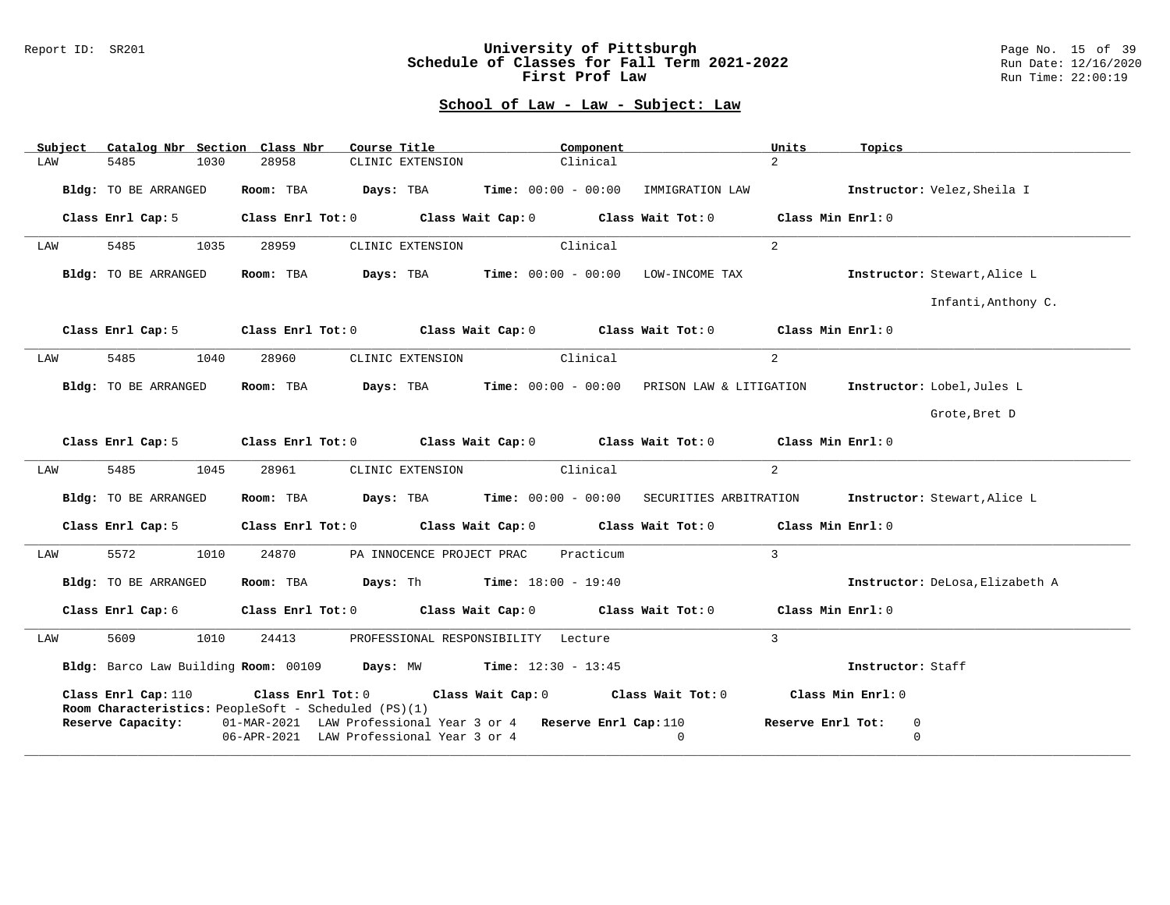#### Report ID: SR201 **University of Pittsburgh** Page No. 15 of 39 **Schedule of Classes for Fall Term 2021-2022** Run Date: 12/16/2020 **First Prof Law Run Time: 22:00:19** Run Time: 22:00:19

| Subject                                                                                                                                                        | Catalog Nbr Section Class Nbr |      |           |                                                                                                            | Course Title                                        |  | Component |                                                                                                    | Units             | Topics                         |                                 |
|----------------------------------------------------------------------------------------------------------------------------------------------------------------|-------------------------------|------|-----------|------------------------------------------------------------------------------------------------------------|-----------------------------------------------------|--|-----------|----------------------------------------------------------------------------------------------------|-------------------|--------------------------------|---------------------------------|
| LAW                                                                                                                                                            | 5485                          | 1030 | 28958     |                                                                                                            | CLINIC EXTENSION                                    |  | Clinical  |                                                                                                    | $2^{\circ}$       |                                |                                 |
|                                                                                                                                                                | Bldg: TO BE ARRANGED          |      | Room: TBA |                                                                                                            | $\texttt{Days:}$ TBA $\texttt{Time:}$ 00:00 - 00:00 |  |           | IMMIGRATION LAW                                                                                    |                   |                                | Instructor: Velez, Sheila I     |
|                                                                                                                                                                | Class Enrl Cap: 5             |      |           | Class Enrl Tot: 0 Class Wait Cap: 0                                                                        |                                                     |  |           | Class Wait Tot: $0$ Class Min Enrl: $0$                                                            |                   |                                |                                 |
| LAW                                                                                                                                                            | 5485                          | 1035 | 28959     |                                                                                                            | CLINIC EXTENSION                                    |  | Clinical  |                                                                                                    | $\overline{a}$    |                                |                                 |
|                                                                                                                                                                | Bldg: TO BE ARRANGED          |      | Room: TBA |                                                                                                            |                                                     |  |           | $\texttt{Davis:}$ TBA $\texttt{Time:}$ 00:00 - 00:00 LOW-INCOME TAX                                |                   |                                | Instructor: Stewart, Alice L    |
|                                                                                                                                                                |                               |      |           |                                                                                                            |                                                     |  |           |                                                                                                    |                   |                                | Infanti, Anthony C.             |
|                                                                                                                                                                | Class Enrl Cap: 5             |      |           |                                                                                                            |                                                     |  |           | Class Enrl Tot: $0$ Class Wait Cap: $0$ Class Wait Tot: $0$ Class Min Enrl: $0$                    |                   |                                |                                 |
| LAW                                                                                                                                                            | 5485                          | 1040 | 28960     |                                                                                                            | CLINIC EXTENSION                                    |  | Clinical  |                                                                                                    | $\overline{2}$    |                                |                                 |
|                                                                                                                                                                | Bldg: TO BE ARRANGED          |      |           |                                                                                                            |                                                     |  |           | Room: TBA Days: TBA Time: $00:00 - 00:00$ PRISON LAW & LITIGATION Instructor: Lobel, Jules L       |                   |                                |                                 |
|                                                                                                                                                                |                               |      |           |                                                                                                            |                                                     |  |           |                                                                                                    |                   |                                | Grote, Bret D                   |
|                                                                                                                                                                |                               |      |           |                                                                                                            |                                                     |  |           | Class Enrl Cap: 5 Class Enrl Tot: 0 Class Wait Cap: 0 Class Wait Tot: 0 Class Min Enrl: 0          |                   |                                |                                 |
| LAW                                                                                                                                                            | 5485                          | 1045 | 28961     |                                                                                                            | CLINIC EXTENSION                                    |  | Clinical  |                                                                                                    | $\overline{a}$    |                                |                                 |
|                                                                                                                                                                | Bldg: TO BE ARRANGED          |      |           |                                                                                                            |                                                     |  |           | <b>Room:</b> TBA <b>Days:</b> TBA <b>Time:</b> 00:00 - 00:00 SECURITIES ARBITRATION                |                   |                                | Instructor: Stewart, Alice L    |
|                                                                                                                                                                | Class Enrl Cap: 5             |      |           |                                                                                                            |                                                     |  |           | Class Enrl Tot: 0 Class Wait Cap: 0 Class Wait Tot: 0 Class Min Enrl: 0                            |                   |                                |                                 |
| LAW                                                                                                                                                            | 5572                          | 1010 | 24870     |                                                                                                            | PA INNOCENCE PROJECT PRAC                           |  | Practicum |                                                                                                    | $\overline{3}$    |                                |                                 |
|                                                                                                                                                                | Bldg: TO BE ARRANGED          |      |           | Room: TBA $Days:$ Th Time: $18:00 - 19:40$                                                                 |                                                     |  |           |                                                                                                    |                   |                                | Instructor: DeLosa, Elizabeth A |
|                                                                                                                                                                | Class Enrl Cap: 6             |      |           |                                                                                                            |                                                     |  |           | Class Enrl Tot: 0 $\qquad$ Class Wait Cap: 0 $\qquad$ Class Wait Tot: 0 $\qquad$ Class Min Enrl: 0 |                   |                                |                                 |
| LAW                                                                                                                                                            | 5609                          | 1010 | 24413     |                                                                                                            | PROFESSIONAL RESPONSIBILITY Lecture                 |  |           |                                                                                                    | $\overline{3}$    |                                |                                 |
|                                                                                                                                                                |                               |      |           | Bldg: Barco Law Building Room: 00109 Days: MW Time: 12:30 - 13:45                                          |                                                     |  |           |                                                                                                    |                   | Instructor: Staff              |                                 |
| Class Enrl Tot: $0$ Class Wait Cap: $0$ Class Wait Tot: $0$ Class Min Enrl: $0$<br>Class Enrl Cap: 110<br>Room Characteristics: PeopleSoft - Scheduled (PS)(1) |                               |      |           |                                                                                                            |                                                     |  |           |                                                                                                    |                   |                                |                                 |
|                                                                                                                                                                | Reserve Capacity:             |      |           | 01-MAR-2021 LAW Professional Year 3 or 4 Reserve Enrl Cap: 110<br>06-APR-2021 LAW Professional Year 3 or 4 |                                                     |  |           | $\Omega$                                                                                           | Reserve Enrl Tot: | $\overline{0}$<br>$\mathbf{0}$ |                                 |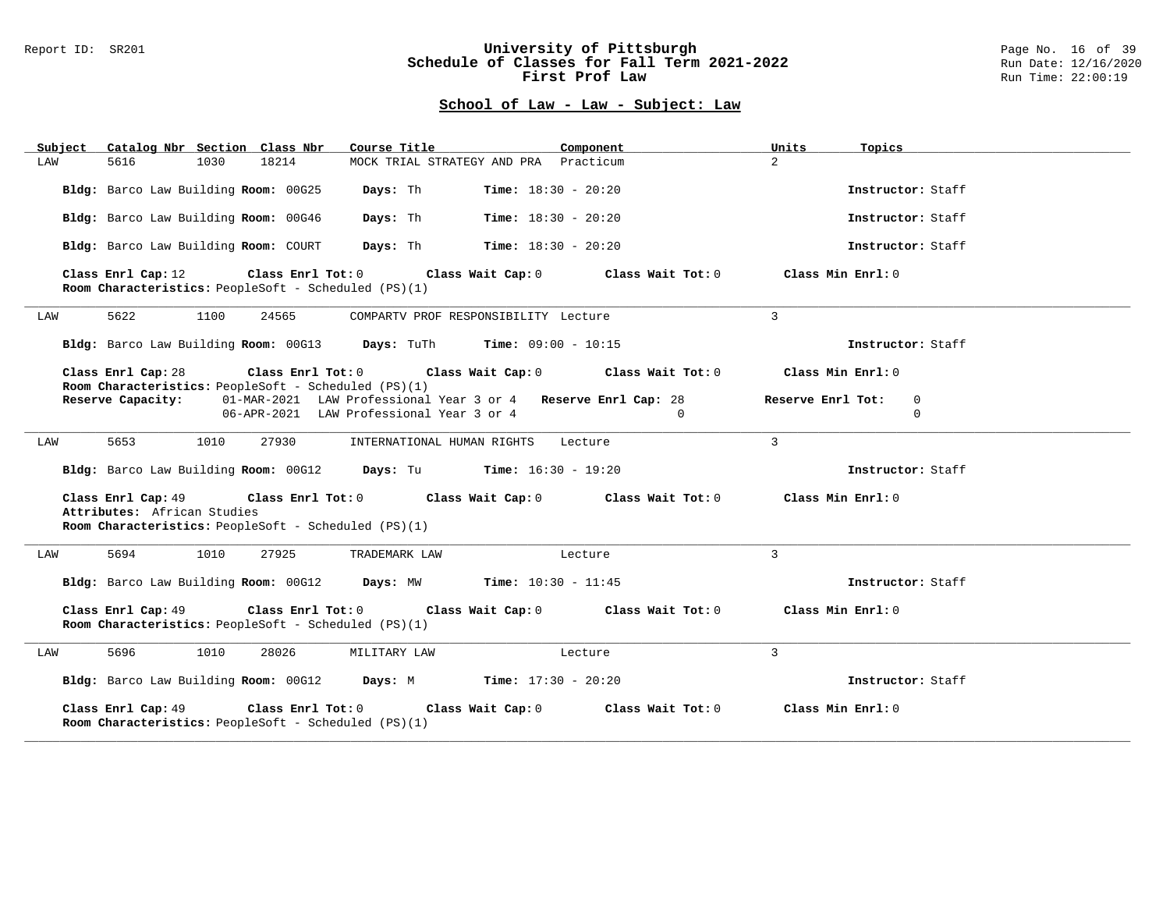#### Report ID: SR201 **University of Pittsburgh** Page No. 16 of 39 **Schedule of Classes for Fall Term 2021-2022** Run Date: 12/16/2020 **First Prof Law Run Time: 22:00:19** Run Time: 22:00:19

| Subject Catalog Nbr Section Class Nbr                                                                                                                                               | Course Title                                                                                              | Component<br>Units                                       | Topics                      |  |  |  |  |
|-------------------------------------------------------------------------------------------------------------------------------------------------------------------------------------|-----------------------------------------------------------------------------------------------------------|----------------------------------------------------------|-----------------------------|--|--|--|--|
| 18214<br>LAW<br>5616<br>1030                                                                                                                                                        | MOCK TRIAL STRATEGY AND PRA Practicum                                                                     | $2^{\circ}$                                              |                             |  |  |  |  |
| Bldg: Barco Law Building Room: 00G25                                                                                                                                                | Days: Th<br><b>Time:</b> $18:30 - 20:20$                                                                  |                                                          | Instructor: Staff           |  |  |  |  |
| Bldg: Barco Law Building Room: 00G46                                                                                                                                                | Days: Th<br><b>Time:</b> $18:30 - 20:20$                                                                  |                                                          | Instructor: Staff           |  |  |  |  |
| Bldg: Barco Law Building Room: COURT                                                                                                                                                | Days: Th<br><b>Time:</b> $18:30 - 20:20$                                                                  |                                                          | Instructor: Staff           |  |  |  |  |
| Class Enrl Cap: 12<br>Class Enrl Tot: 0<br>Room Characteristics: PeopleSoft - Scheduled (PS)(1)                                                                                     |                                                                                                           | Class Wait Cap: 0 Class Wait Tot: 0<br>Class Min Enrl: 0 |                             |  |  |  |  |
| 5622<br>1100<br>24565<br>LAW                                                                                                                                                        | COMPARTV PROF RESPONSIBILITY Lecture                                                                      | $\mathcal{E}$                                            |                             |  |  |  |  |
| Bldg: Barco Law Building Room: 00G13 Days: TuTh Time: 09:00 - 10:15                                                                                                                 |                                                                                                           |                                                          | Instructor: Staff           |  |  |  |  |
| Class Enrl Cap: 28<br>Room Characteristics: PeopleSoft - Scheduled (PS)(1)                                                                                                          | Class Enrl Tot: $0$ Class Wait Cap: $0$ Class Wait Tot: $0$                                               | $Class Min Ernst: 0$                                     |                             |  |  |  |  |
| Reserve Capacity:                                                                                                                                                                   | 01-MAR-2021 LAW Professional Year 3 or 4 Reserve Enrl Cap: 28<br>06-APR-2021 LAW Professional Year 3 or 4 | Reserve Enrl Tot:<br>$\mathbf{0}$                        | $\mathbf{0}$<br>$\mathbf 0$ |  |  |  |  |
| 5653<br>1010<br>27930<br>LAW                                                                                                                                                        | INTERNATIONAL HUMAN RIGHTS                                                                                | $\mathbf{3}$<br>Lecture                                  |                             |  |  |  |  |
| Bldg: Barco Law Building Room: 00G12 Days: Tu Time: 16:30 - 19:20                                                                                                                   |                                                                                                           |                                                          | Instructor: Staff           |  |  |  |  |
| Class Enrl Cap: $49$ Class Enrl Tot: 0 Class Wait Cap: 0 Class Wait Tot: 0 Class Min Enrl: 0<br>Attributes: African Studies<br>Room Characteristics: PeopleSoft - Scheduled (PS)(1) |                                                                                                           |                                                          |                             |  |  |  |  |
| 5694<br>1010<br>27925<br>LAW                                                                                                                                                        | TRADEMARK LAW                                                                                             | 3<br>Lecture                                             |                             |  |  |  |  |
| Bldg: Barco Law Building Room: 00G12 Days: MW Time: 10:30 - 11:45                                                                                                                   |                                                                                                           |                                                          | Instructor: Staff           |  |  |  |  |
| Class Enrl Cap: 49<br>Class Enrl Tot: 0<br>Class Wait Cap: 0 Class Wait Tot: 0<br>Class Min Enrl: 0<br>Room Characteristics: PeopleSoft - Scheduled (PS)(1)                         |                                                                                                           |                                                          |                             |  |  |  |  |
| 5696<br>1010<br>28026<br>LAW                                                                                                                                                        | MILITARY LAW                                                                                              | $\overline{3}$<br>Lecture                                |                             |  |  |  |  |
| Bldg: Barco Law Building Room: 00G12 Days: M Time: 17:30 - 20:20                                                                                                                    |                                                                                                           |                                                          | Instructor: Staff           |  |  |  |  |
| Class Enrl Cap: 49<br>Class Enrl Tot: 0<br>Room Characteristics: PeopleSoft - Scheduled (PS)(1)                                                                                     | Class Wait Cap: 0                                                                                         | Class Min Enrl: 0<br>Class Wait Tot: 0                   |                             |  |  |  |  |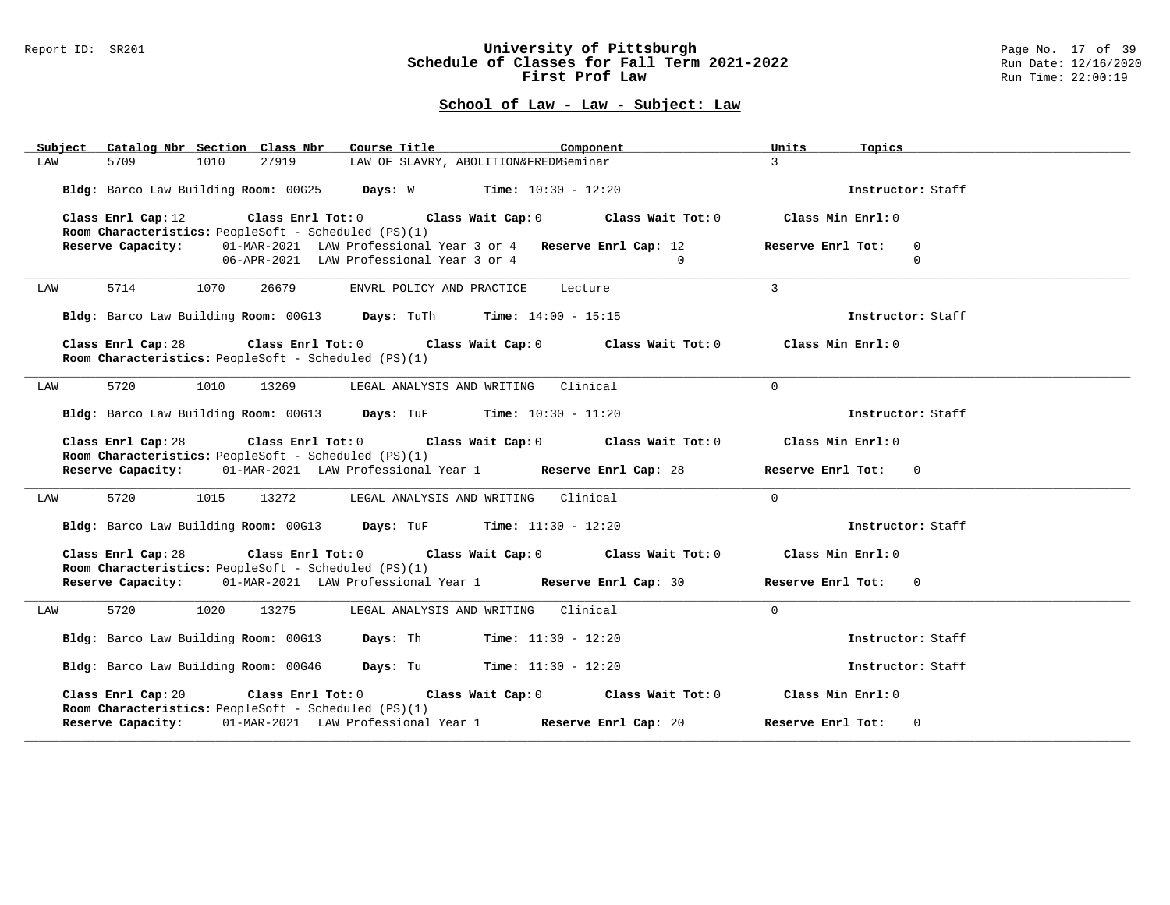#### Report ID: SR201 **University of Pittsburgh** Page No. 17 of 39 **Schedule of Classes for Fall Term 2021-2022** Run Date: 12/16/2020 **First Prof Law Run Time: 22:00:19** Run Time: 22:00:19

| Subject Catalog Nbr Section Class Nbr                                      | Course Title <b>Source Search</b><br>Component                                                                                 | Units<br>Topics                              |
|----------------------------------------------------------------------------|--------------------------------------------------------------------------------------------------------------------------------|----------------------------------------------|
| 1010<br>27919<br>LAW<br>5709                                               | LAW OF SLAVRY, ABOLITION&FREDMSeminar                                                                                          | $\overline{3}$                               |
|                                                                            | Bldg: Barco Law Building Room: 00G25 Days: W Time: 10:30 - 12:20                                                               | Instructor: Staff                            |
| Class Enrl Cap: 12<br>Room Characteristics: PeopleSoft - Scheduled (PS)(1) | Class Enrl Tot: $0$ Class Wait Cap: $0$ Class Wait Tot: $0$ Class Min Enrl: $0$                                                |                                              |
| Reserve Capacity:                                                          | 01-MAR-2021 LAW Professional Year 3 or 4 Reserve Enrl Cap: 12<br>06-APR-2021 LAW Professional Year 3 or 4<br>$\overline{0}$    | Reserve Enrl Tot:<br>$\mathbf 0$<br>$\Omega$ |
| 5714<br>1070<br>26679<br>LAW                                               | ENVRL POLICY AND PRACTICE Lecture                                                                                              | $\overline{3}$                               |
|                                                                            | Bldg: Barco Law Building Room: 00G13 Days: TuTh Time: 14:00 - 15:15                                                            | Instructor: Staff                            |
| Class Enrl Cap: 28<br>Room Characteristics: PeopleSoft - Scheduled (PS)(1) | Class Enrl Tot: $0$ Class Wait Cap: $0$ Class Wait Tot: $0$ Class Min Enrl: $0$                                                |                                              |
| 5720<br>1010<br>13269<br>LAW                                               | LEGAL ANALYSIS AND WRITING Clinical                                                                                            | $\Omega$                                     |
|                                                                            | Bldg: Barco Law Building Room: 00G13 Days: TuF Time: 10:30 - 11:20                                                             | Instructor: Staff                            |
| Class Enrl Cap: 28                                                         | Class Enrl Tot: $0$ Class Wait Cap: $0$ Class Wait Tot: $0$ Class Min Enrl: $0$                                                |                                              |
| Room Characteristics: PeopleSoft - Scheduled (PS)(1)                       | Reserve Capacity: 01-MAR-2021 LAW Professional Year 1 Reserve Enrl Cap: 28                                                     | Reserve Enrl Tot: 0                          |
| 5720<br>1015<br>13272<br>LAW                                               | LEGAL ANALYSIS AND WRITING Clinical                                                                                            | $\Omega$                                     |
|                                                                            | Bldg: Barco Law Building Room: 00G13 Days: TuF Time: 11:30 - 12:20                                                             | Instructor: Staff                            |
| Class Enrl Cap: 28<br>Room Characteristics: PeopleSoft - Scheduled (PS)(1) | Class Enrl Tot: $0$ Class Wait Cap: $0$ Class Wait Tot: $0$ Class Min Enrl: $0$                                                |                                              |
|                                                                            | Reserve Capacity: 01-MAR-2021 LAW Professional Year 1 Reserve Enrl Cap: 30                                                     | Reserve Enrl Tot: 0                          |
| 5720<br>1020<br>13275<br>LAW                                               | LEGAL ANALYSIS AND WRITING Clinical                                                                                            | $\Omega$                                     |
|                                                                            | Bldg: Barco Law Building Room: 00G13 Days: Th Time: 11:30 - 12:20                                                              | Instructor: Staff                            |
|                                                                            | Bldg: Barco Law Building Room: 00G46 Days: Tu Time: 11:30 - 12:20                                                              | Instructor: Staff                            |
|                                                                            | Class Enrl Cap: 20 $\qquad$ Class Enrl Tot: 0 $\qquad$ Class Wait Cap: 0 $\qquad$ Class Wait Tot: 0 $\qquad$ Class Min Enrl: 0 |                                              |
| Room Characteristics: PeopleSoft - Scheduled (PS)(1)                       | Reserve Capacity: 01-MAR-2021 LAW Professional Year 1 Reserve Enrl Cap: 20                                                     | Reserve Enrl Tot: 0                          |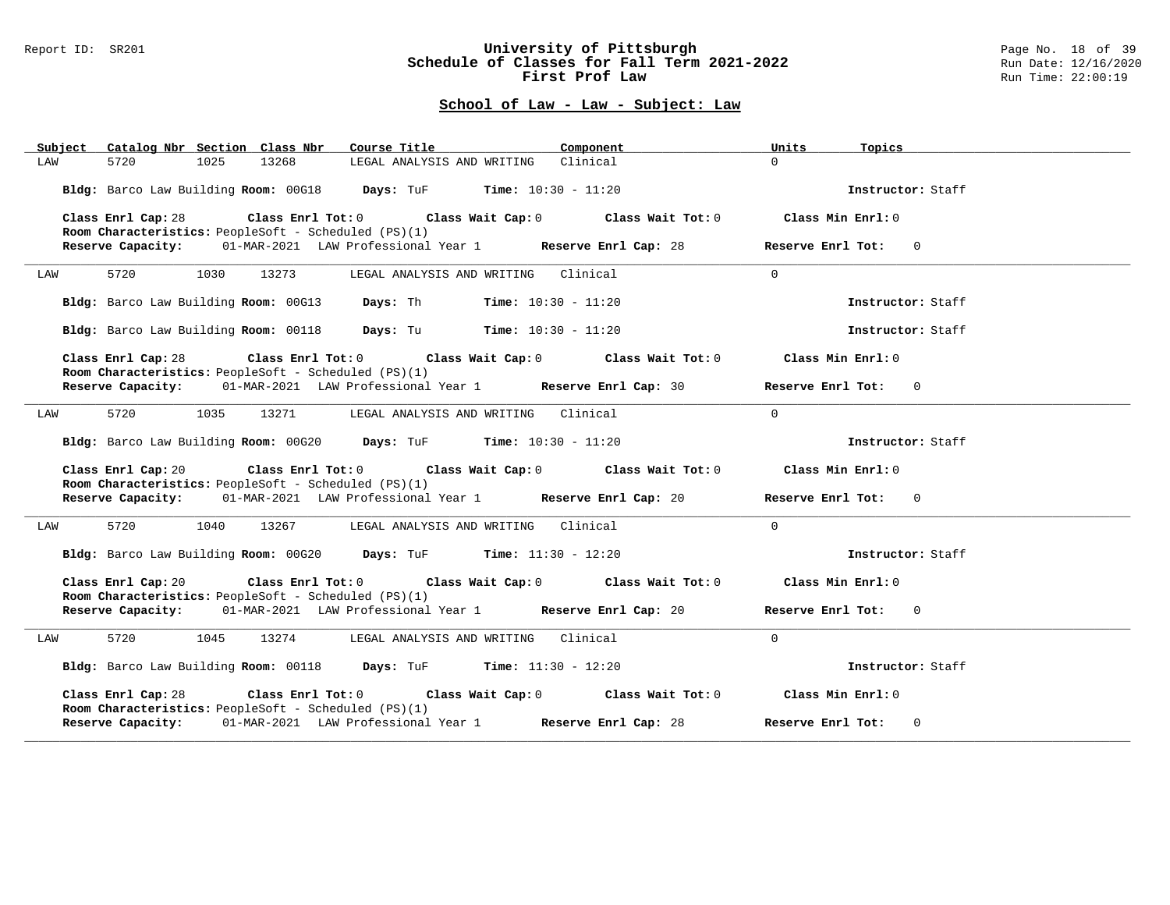#### Report ID: SR201 **University of Pittsburgh** Page No. 18 of 39 **Schedule of Classes for Fall Term 2021-2022** Run Date: 12/16/2020 **First Prof Law Run Time: 22:00:19** Run Time: 22:00:19

| Catalog Nbr Section Class Nbr<br>Subject                                   | Component<br>Course Title <b>Source Search</b>                                  | Units<br>Topics                     |
|----------------------------------------------------------------------------|---------------------------------------------------------------------------------|-------------------------------------|
| 1025<br>13268<br>5720<br>LAW                                               | LEGAL ANALYSIS AND WRITING Clinical                                             | $\Omega$                            |
|                                                                            | Bldg: Barco Law Building Room: 00G18 Days: TuF Time: 10:30 - 11:20              | Instructor: Staff                   |
| Class Enrl Cap: 28<br>Room Characteristics: PeopleSoft - Scheduled (PS)(1) | Class Enrl Tot: $0$ Class Wait Cap: $0$ Class Wait Tot: $0$ Class Min Enrl: $0$ |                                     |
| Reserve Capacity:                                                          | 01-MAR-2021 LAW Professional Year 1 Reserve Enrl Cap: 28                        | Reserve Enrl Tot: 0                 |
| 5720<br>1030<br>13273<br>LAW                                               | LEGAL ANALYSIS AND WRITING Clinical                                             | $\Omega$                            |
|                                                                            | Bldg: Barco Law Building Room: 00G13 Days: Th Time: 10:30 - 11:20               | Instructor: Staff                   |
|                                                                            | Bldg: Barco Law Building Room: 00118 Days: Tu Time: 10:30 - 11:20               | Instructor: Staff                   |
| Class Enrl Cap: 28<br>Room Characteristics: PeopleSoft - Scheduled (PS)(1) | Class Enrl Tot: $0$ Class Wait Cap: $0$ Class Wait Tot: $0$ Class Min Enrl: $0$ |                                     |
|                                                                            | Reserve Capacity: 01-MAR-2021 LAW Professional Year 1 Reserve Enrl Cap: 30      | Reserve Enrl Tot: 0                 |
| 5720<br>1035<br>13271<br>LAW                                               | LEGAL ANALYSIS AND WRITING Clinical                                             | $\Omega$                            |
|                                                                            | Bldg: Barco Law Building Room: 00G20 Days: TuF Time: 10:30 - 11:20              | Instructor: Staff                   |
| Class Enrl Cap: 20<br>Room Characteristics: PeopleSoft - Scheduled (PS)(1) | Class Enrl Tot: $0$ Class Wait Cap: $0$ Class Wait Tot: $0$ Class Min Enrl: $0$ |                                     |
|                                                                            | Reserve Capacity: 01-MAR-2021 LAW Professional Year 1 Reserve Enrl Cap: 20      | Reserve Enrl Tot: 0                 |
| 5720<br>1040<br>13267<br>LAW                                               | LEGAL ANALYSIS AND WRITING Clinical                                             | $\Omega$                            |
|                                                                            | Bldg: Barco Law Building Room: 00G20 Days: TuF Time: 11:30 - 12:20              | Instructor: Staff                   |
| Class Enrl Cap: 20<br>Room Characteristics: PeopleSoft - Scheduled (PS)(1) | Class Enrl Tot: $0$ Class Wait Cap: $0$ Class Wait Tot: $0$                     | Class Min Enrl: 0                   |
|                                                                            | Reserve Capacity: 01-MAR-2021 LAW Professional Year 1 Reserve Enrl Cap: 20      | Reserve Enrl Tot: 0                 |
| 5720<br>1045<br>LAW                                                        | 13274 LEGAL ANALYSIS AND WRITING Clinical                                       | $\Omega$                            |
|                                                                            | Bldg: Barco Law Building Room: 00118 Days: TuF Time: 11:30 - 12:20              | Instructor: Staff                   |
| Class Enrl Cap: 28<br>Room Characteristics: PeopleSoft - Scheduled (PS)(1) | Class Enrl Tot: $0$ Class Wait Cap: $0$ Class Wait Tot: $0$                     | Class Min Enrl: 0                   |
|                                                                            | Reserve Capacity: 01-MAR-2021 LAW Professional Year 1 Reserve Enrl Cap: 28      | Reserve Enrl Tot:<br>$\overline{0}$ |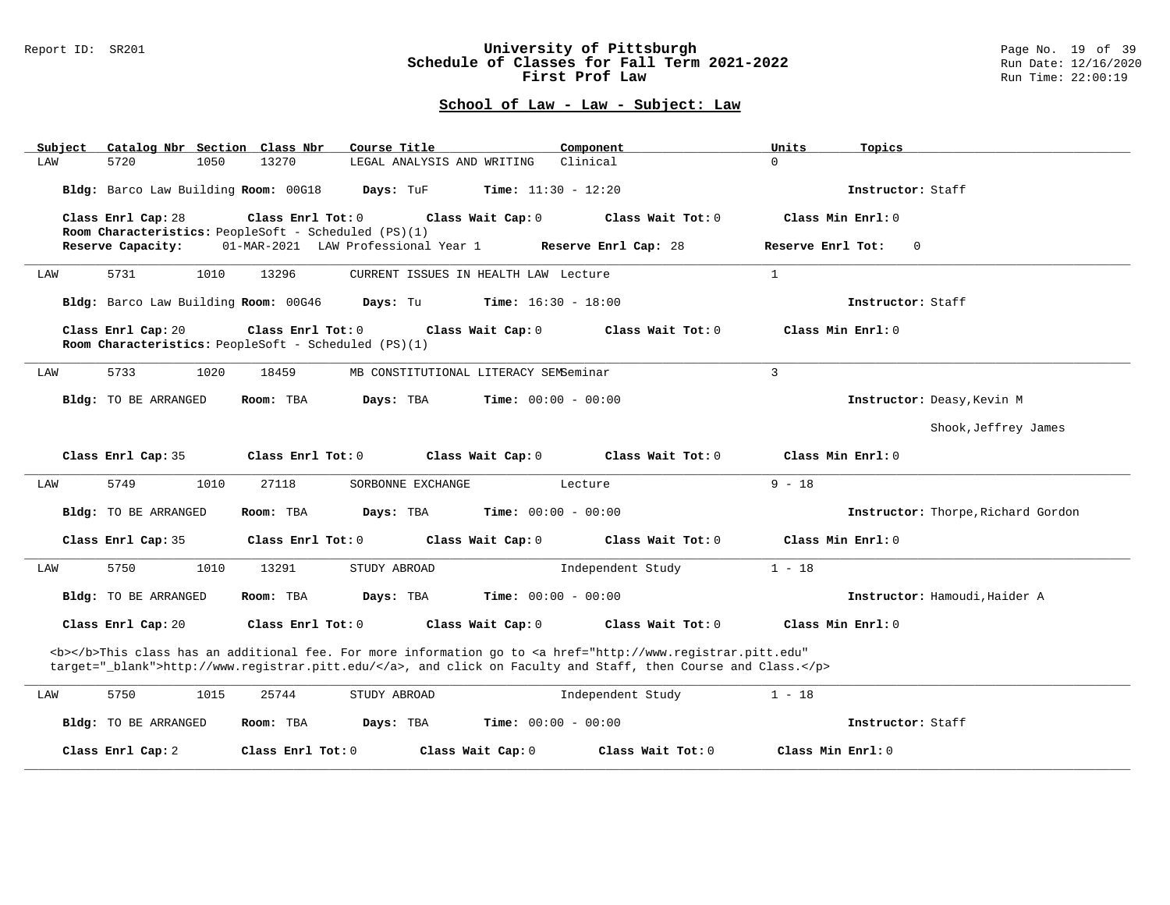#### Report ID: SR201 **University of Pittsburgh** Page No. 19 of 39 **Schedule of Classes for Fall Term 2021-2022** Run Date: 12/16/2020 **First Prof Law Run Time: 22:00:19** Run Time: 22:00:19

| Catalog Nbr Section Class Nbr<br>Subject                                                                                                                                                                                           | Course Title                                                                                   | Component                    | Units<br>Topics                    |  |  |  |  |
|------------------------------------------------------------------------------------------------------------------------------------------------------------------------------------------------------------------------------------|------------------------------------------------------------------------------------------------|------------------------------|------------------------------------|--|--|--|--|
| LAW<br>5720<br>1050                                                                                                                                                                                                                | 13270<br>LEGAL ANALYSIS AND WRITING                                                            | Clinical                     | $\Omega$                           |  |  |  |  |
| Bldg: Barco Law Building Room: 00G18                                                                                                                                                                                               | Days: TuF                                                                                      | <b>Time:</b> $11:30 - 12:20$ | Instructor: Staff                  |  |  |  |  |
| Class Enrl Cap: 28                                                                                                                                                                                                                 | Class Enrl Tot: 0<br>Class Wait Cap: 0                                                         | Class Wait Tot: 0            | Class Min Enrl: 0                  |  |  |  |  |
| Reserve Capacity:                                                                                                                                                                                                                  | Room Characteristics: PeopleSoft - Scheduled (PS)(1)<br>01-MAR-2021 LAW Professional Year 1    | Reserve Enrl Cap: 28         | Reserve Enrl Tot:<br>0             |  |  |  |  |
|                                                                                                                                                                                                                                    |                                                                                                |                              |                                    |  |  |  |  |
| 5731<br>1010<br>LAW                                                                                                                                                                                                                | 13296<br>CURRENT ISSUES IN HEALTH LAW Lecture                                                  |                              | $\mathbf{1}$                       |  |  |  |  |
| Bldg: Barco Law Building Room: 00G46                                                                                                                                                                                               | Days: Tu                                                                                       | <b>Time:</b> $16:30 - 18:00$ | Instructor: Staff                  |  |  |  |  |
| Class Enrl Cap: 20                                                                                                                                                                                                                 | Class Enrl Tot: 0<br>Class Wait Cap: 0<br>Room Characteristics: PeopleSoft - Scheduled (PS)(1) | Class Wait Tot: 0            | Class Min Enrl: 0                  |  |  |  |  |
| 5733<br>1020<br>LAW                                                                                                                                                                                                                | 18459<br>MB CONSTITUTIONAL LITERACY SEMSeminar                                                 |                              | $\mathbf{3}$                       |  |  |  |  |
| Bldg: TO BE ARRANGED                                                                                                                                                                                                               | Room: TBA<br>Days: TBA                                                                         | <b>Time:</b> $00:00 - 00:00$ | Instructor: Deasy, Kevin M         |  |  |  |  |
|                                                                                                                                                                                                                                    |                                                                                                |                              | Shook, Jeffrey James               |  |  |  |  |
| Class Enrl Cap: 35                                                                                                                                                                                                                 | Class Enrl Tot: 0<br>Class Wait Cap: 0                                                         | Class Wait Tot: 0            | Class Min Enrl: 0                  |  |  |  |  |
| 5749<br>1010<br>LAW                                                                                                                                                                                                                | 27118<br>SORBONNE EXCHANGE                                                                     | Lecture                      | $9 - 18$                           |  |  |  |  |
| <b>Bldg:</b> TO BE ARRANGED                                                                                                                                                                                                        | Days: TBA<br>Room: TBA                                                                         | <b>Time:</b> $00:00 - 00:00$ | Instructor: Thorpe, Richard Gordon |  |  |  |  |
| Class Enrl Cap: 35                                                                                                                                                                                                                 | Class Enrl Tot: 0<br>Class Wait Cap: 0                                                         | Class Wait Tot: 0            | Class Min Enrl: 0                  |  |  |  |  |
| 5750<br>1010<br>LAW                                                                                                                                                                                                                | 13291<br>STUDY ABROAD                                                                          | Independent Study            | $1 - 18$                           |  |  |  |  |
| <b>Bldg:</b> TO BE ARRANGED                                                                                                                                                                                                        | Days: TBA<br>Room: TBA                                                                         | <b>Time:</b> $00:00 - 00:00$ | Instructor: Hamoudi, Haider A      |  |  |  |  |
| Class Enrl Cap: 20                                                                                                                                                                                                                 | Class Enrl Tot: 0<br>Class Wait Cap: 0                                                         | Class Wait Tot: 0            | Class Min Enrl: 0                  |  |  |  |  |
| <b></b> This class has an additional fee. For more information go to <a <br="" href="http://www.registrar.pitt.edu">target="_blank"&gt;http://www.registrar.pitt.edu/</a> , and click on Faculty and Staff, then Course and Class. |                                                                                                |                              |                                    |  |  |  |  |
| 5750<br>1015<br>LAW                                                                                                                                                                                                                | 25744<br>STUDY ABROAD                                                                          | Independent Study            | $1 - 18$                           |  |  |  |  |
| <b>Bldg:</b> TO BE ARRANGED                                                                                                                                                                                                        | Room: TBA<br>Days: TBA                                                                         | <b>Time:</b> $00:00 - 00:00$ | Instructor: Staff                  |  |  |  |  |
| Class Enrl Cap: 2                                                                                                                                                                                                                  | Class Enrl Tot: 0<br>Class Wait Cap: 0                                                         | Class Wait Tot: 0            | Class Min Enrl: 0                  |  |  |  |  |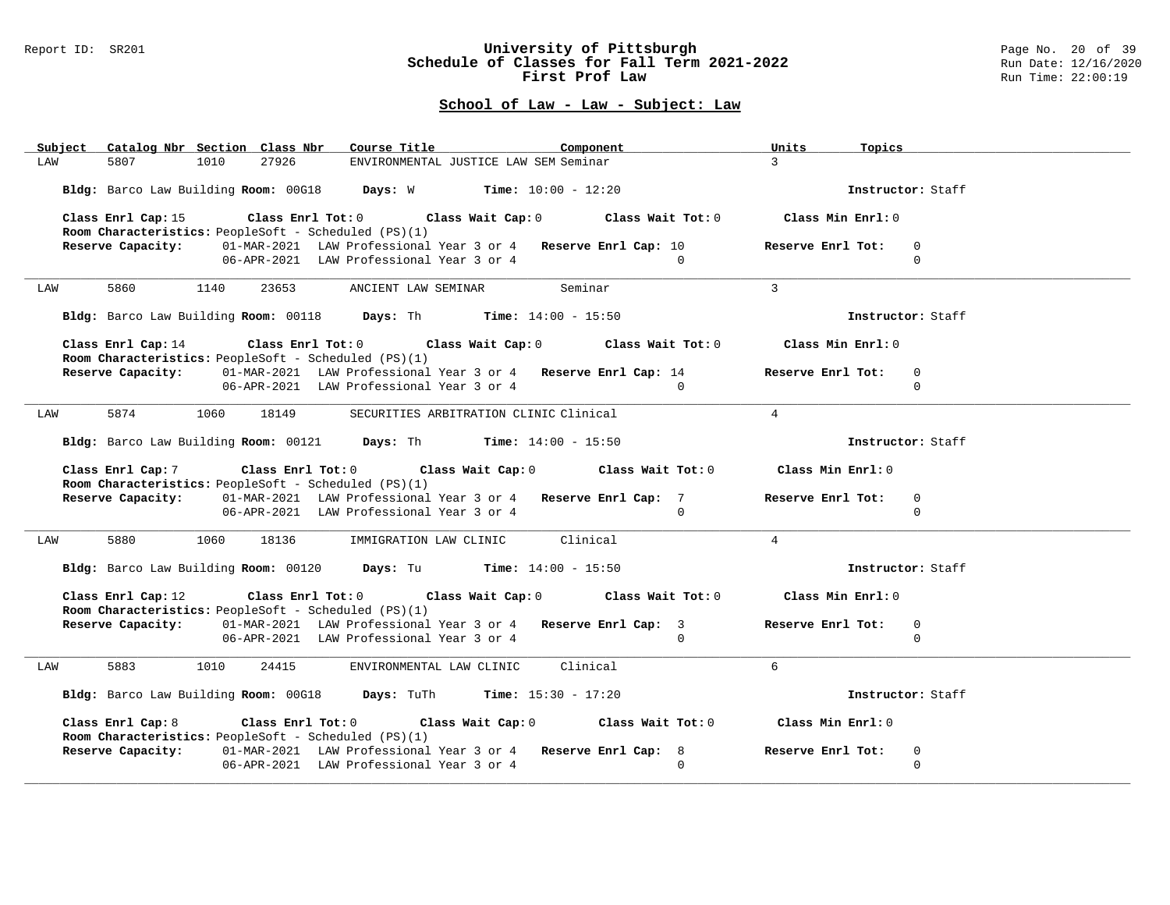### Report ID: SR201 **University of Pittsburgh** Page No. 20 of 39 **Schedule of Classes for Fall Term 2021-2022** Run Date: 12/16/2020 **First Prof Law Run Time: 22:00:19** Run Time: 22:00:19

| Subject Catalog Nbr Section Class Nbr Course Title                        |                                                                                                                             | Component      | Units<br>Topics                              |  |
|---------------------------------------------------------------------------|-----------------------------------------------------------------------------------------------------------------------------|----------------|----------------------------------------------|--|
| 27926<br>5807<br>1010<br>LAW                                              | ENVIRONMENTAL JUSTICE LAW SEM Seminar                                                                                       |                | $\mathcal{L}$                                |  |
|                                                                           | Bldg: Barco Law Building Room: 00G18 Days: W Time: 10:00 - 12:20                                                            |                | Instructor: Staff                            |  |
| Room Characteristics: PeopleSoft - Scheduled (PS)(1)                      | Class Enrl Cap: 15 Class Enrl Tot: 0 Class Wait Cap: 0 Class Wait Tot: 0 Class Min Enrl: 0                                  |                |                                              |  |
|                                                                           | Reserve Capacity: 01-MAR-2021 LAW Professional Year 3 or 4 Reserve Enrl Cap: 10<br>06-APR-2021 LAW Professional Year 3 or 4 | $\overline{0}$ | Reserve Enrl Tot:<br>$\mathbf 0$<br>$\Omega$ |  |
| 5860 1140<br>LAW                                                          | 23653 ANCIENT LAW SEMINAR Seminar                                                                                           |                | $\overline{3}$                               |  |
|                                                                           | Bldg: Barco Law Building Room: 00118 Days: Th Time: 14:00 - 15:50                                                           |                | Instructor: Staff                            |  |
| Room Characteristics: PeopleSoft - Scheduled (PS)(1)                      | Class Enrl Cap: 14 Class Enrl Tot: 0 Class Wait Cap: 0 Class Wait Tot: 0 Class Min Enrl: 0                                  |                |                                              |  |
|                                                                           | Reserve Capacity: 01-MAR-2021 LAW Professional Year 3 or 4 Reserve Enrl Cap: 14                                             |                | $\mathbf 0$<br>Reserve Enrl Tot:             |  |
|                                                                           | 06-APR-2021 LAW Professional Year 3 or 4 0                                                                                  |                | $\Omega$                                     |  |
| 5874 1060 18149<br>LAW                                                    | SECURITIES ARBITRATION CLINIC Clinical                                                                                      |                | $\overline{4}$                               |  |
|                                                                           | Bldg: Barco Law Building Room: 00121 Days: Th Time: 14:00 - 15:50                                                           |                | Instructor: Staff                            |  |
| Room Characteristics: PeopleSoft - Scheduled (PS)(1)                      | Class Enrl Cap: 7 Class Enrl Tot: 0 Class Wait Cap: 0 Class Wait Tot: 0 Class Min Enrl: 0                                   |                |                                              |  |
|                                                                           | Reserve Capacity: 01-MAR-2021 LAW Professional Year 3 or 4 Reserve Enrl Cap: 7<br>06-APR-2021 LAW Professional Year 3 or 4  | $\Omega$       | Reserve Enrl Tot:<br>0<br>$\Omega$           |  |
| 5880<br>1060<br>LAW                                                       | IMMIGRATION LAW CLINIC Clinical<br>18136                                                                                    |                | $\overline{4}$                               |  |
|                                                                           | Bldg: Barco Law Building Room: 00120 Days: Tu Time: 14:00 - 15:50                                                           |                | Instructor: Staff                            |  |
| Room Characteristics: PeopleSoft - Scheduled (PS)(1)                      | Class Enrl Cap: 12 Class Enrl Tot: 0 Class Wait Cap: 0 Class Wait Tot: 0 Class Min Enrl: 0                                  |                |                                              |  |
|                                                                           | Reserve Capacity: 01-MAR-2021 LAW Professional Year 3 or 4 Reserve Enrl Cap: 3                                              |                | Reserve Enrl Tot:<br>$\mathbf 0$             |  |
|                                                                           | 06-APR-2021 LAW Professional Year 3 or 4                                                                                    | $\Omega$       | $\Omega$                                     |  |
| 5883 1010<br>LAW                                                          | ENVIRONMENTAL LAW CLINIC Clinical<br>24415                                                                                  |                | 6                                            |  |
|                                                                           | Bldg: Barco Law Building Room: 00G18 Days: TuTh Time: 15:30 - 17:20                                                         |                | Instructor: Staff                            |  |
| Class Enrl Cap: 8<br>Room Characteristics: PeopleSoft - Scheduled (PS)(1) | Class Enrl Tot: 0 $\qquad$ Class Wait Cap: 0 $\qquad$ Class Wait Tot: 0 $\qquad$ Class Min Enrl: 0                          |                |                                              |  |
|                                                                           | Reserve Capacity: 01-MAR-2021 LAW Professional Year 3 or 4 Reserve Enrl Cap: 8                                              |                | Reserve Enrl Tot:<br>0                       |  |
|                                                                           | 06-APR-2021 LAW Professional Year 3 or 4                                                                                    | $\cap$         | $\Omega$                                     |  |
|                                                                           |                                                                                                                             |                |                                              |  |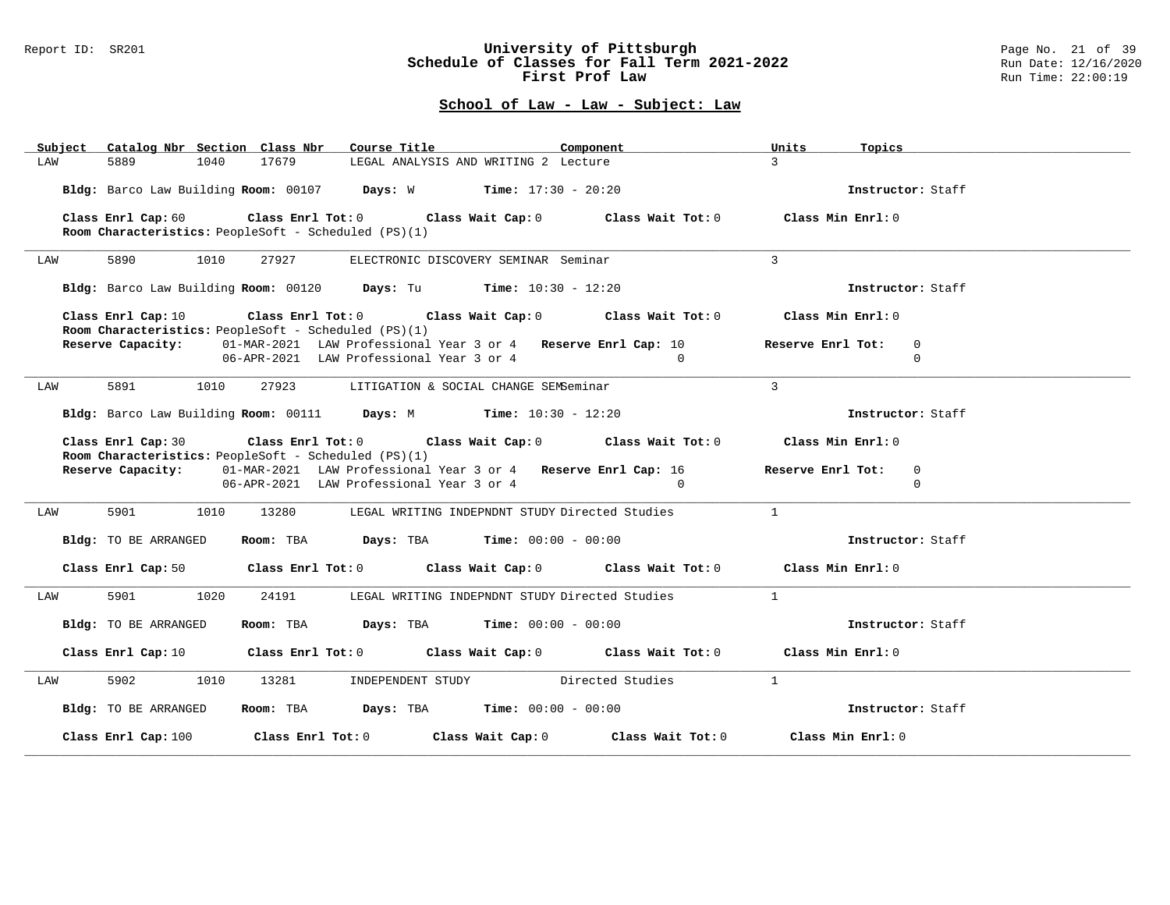#### Report ID: SR201 **University of Pittsburgh** Page No. 21 of 39 **Schedule of Classes for Fall Term 2021-2022** Run Date: 12/16/2020 **First Prof Law Run Time: 22:00:19** Run Time: 22:00:19

| Subject Catalog Nbr Section Class Nbr                | Course Title <b>Source Search</b>                                                                                              | Component      | Units<br>Topics                                 |
|------------------------------------------------------|--------------------------------------------------------------------------------------------------------------------------------|----------------|-------------------------------------------------|
| 17679<br>5889<br>1040<br>LAW                         | LEGAL ANALYSIS AND WRITING 2 Lecture                                                                                           | $\mathcal{R}$  |                                                 |
|                                                      | Bldg: Barco Law Building Room: 00107 Days: W Time: 17:30 - 20:20                                                               |                | Instructor: Staff                               |
| Room Characteristics: PeopleSoft - Scheduled (PS)(1) | Class Enrl Cap: 60 Class Enrl Tot: 0 Class Wait Cap: 0 Class Wait Tot: 0 Class Min Enrl: 0                                     |                |                                                 |
| 5890<br>1010<br>LAW                                  | 27927<br>ELECTRONIC DISCOVERY SEMINAR Seminar                                                                                  | $\mathbf{R}$   |                                                 |
|                                                      | Bldg: Barco Law Building Room: 00120 Days: Tu Time: 10:30 - 12:20                                                              |                | Instructor: Staff                               |
|                                                      | Class Enrl Cap: 10 $\qquad$ Class Enrl Tot: 0 $\qquad$ Class Wait Cap: 0 $\qquad$ Class Wait Tot: 0 $\qquad$ Class Min Enrl: 0 |                |                                                 |
| Room Characteristics: PeopleSoft - Scheduled (PS)(1) | Reserve Capacity: 01-MAR-2021 LAW Professional Year 3 or 4 Reserve Enrl Cap: 10<br>06-APR-2021 LAW Professional Year 3 or 4    | $\Omega$       | Reserve Enrl Tot:<br>$\overline{0}$<br>$\Omega$ |
| 5891<br>1010<br>LAW                                  | 27923 LITIGATION & SOCIAL CHANGE SEMSeminar                                                                                    | $\mathbf{3}$   |                                                 |
|                                                      | Bldg: Barco Law Building Room: 00111 Days: M Time: 10:30 - 12:20                                                               |                | Instructor: Staff                               |
|                                                      | Class Enrl Cap: 30 Class Enrl Tot: 0 Class Wait Cap: 0 Class Wait Tot: 0                                                       |                | Class Min Enrl: 0                               |
| Room Characteristics: PeopleSoft - Scheduled (PS)(1) | Reserve Capacity: 01-MAR-2021 LAW Professional Year 3 or 4 Reserve Enrl Cap: 16                                                |                | Reserve Enrl Tot: 0                             |
|                                                      | 06-APR-2021 LAW Professional Year 3 or 4                                                                                       | $\overline{0}$ | $\Omega$                                        |
| 5901 1010<br>LAW                                     | 13280 LEGAL WRITING INDEPNDNT STUDY Directed Studies                                                                           | $\sim$ 1       |                                                 |
| Bldg: TO BE ARRANGED                                 | Room: TBA $Days:$ TBA $Time: 00:00 - 00:00$                                                                                    |                | Instructor: Staff                               |
|                                                      | Class Enrl Cap: 50 $\qquad$ Class Enrl Tot: 0 $\qquad$ Class Wait Cap: 0 $\qquad$ Class Wait Tot: 0 $\qquad$ Class Min Enrl: 0 |                |                                                 |
| 5901 1020<br>LAW                                     | 24191<br>LEGAL WRITING INDEPNDNT STUDY Directed Studies                                                                        | $\overline{1}$ |                                                 |
| Bldg: TO BE ARRANGED                                 | Room: TBA $Days:$ TBA $Time: 00:00 - 00:00$                                                                                    |                | Instructor: Staff                               |
|                                                      | Class Enrl Cap: 10 $\qquad$ Class Enrl Tot: 0 $\qquad$ Class Wait Cap: 0 $\qquad$ Class Wait Tot: 0 $\qquad$ Class Min Enrl: 0 |                |                                                 |
| 5902<br>1010<br>LAW                                  | INDEPENDENT STUDY Directed Studies<br>13281                                                                                    | $\overline{1}$ |                                                 |
| Bldg: TO BE ARRANGED                                 | Room: TBA $Days:$ TBA Time: $00:00 - 00:00$                                                                                    |                | Instructor: Staff                               |
|                                                      | Class Enrl Cap: 100 Class Enrl Tot: 0 Class Wait Cap: 0 Class Wait Tot: 0 Class Min Enrl: 0                                    |                |                                                 |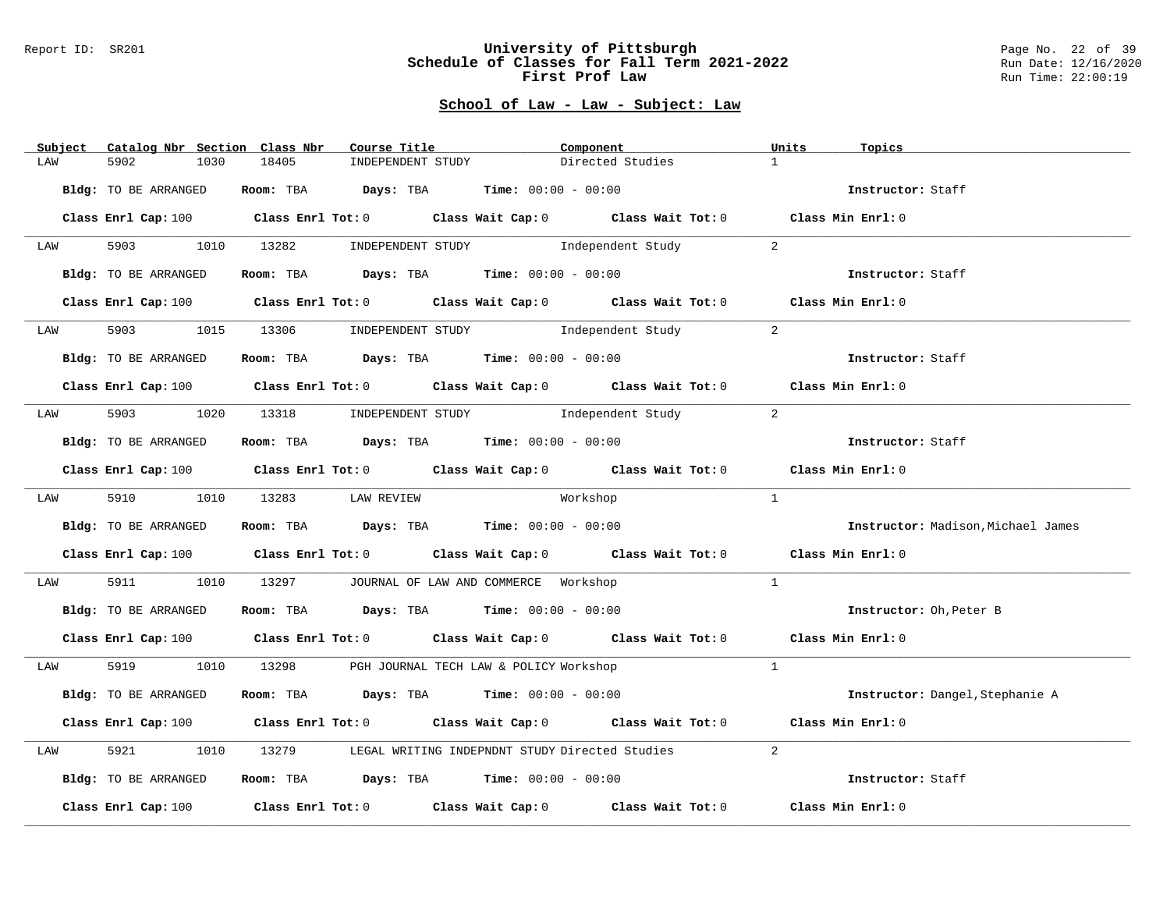#### Report ID: SR201 **University of Pittsburgh** Page No. 22 of 39 **Schedule of Classes for Fall Term 2021-2022** Run Date: 12/16/2020 **First Prof Law Run Time: 22:00:19** Run Time: 22:00:19

| Subject | Catalog Nbr Section Class Nbr | Course Title                                                   | Component                                                                                   | Units<br>Topics                    |
|---------|-------------------------------|----------------------------------------------------------------|---------------------------------------------------------------------------------------------|------------------------------------|
| LAW     | 5902<br>1030                  | 18405<br>INDEPENDENT STUDY                                     | Directed Studies                                                                            | 1                                  |
|         | Bldg: TO BE ARRANGED          | Room: TBA $Days:$ TBA Time: $00:00 - 00:00$                    |                                                                                             | Instructor: Staff                  |
|         |                               |                                                                | Class Enrl Cap: 100 Class Enrl Tot: 0 Class Wait Cap: 0 Class Wait Tot: 0 Class Min Enrl: 0 |                                    |
| LAW     |                               |                                                                | 5903 1010 13282 INDEPENDENT STUDY Independent Study                                         | 2                                  |
|         | Bldg: TO BE ARRANGED          | Room: TBA $Days: TBA$ Time: $00:00 - 00:00$                    |                                                                                             | Instructor: Staff                  |
|         |                               |                                                                | Class Enrl Cap: 100 Class Enrl Tot: 0 Class Wait Cap: 0 Class Wait Tot: 0 Class Min Enrl: 0 |                                    |
| LAW     |                               |                                                                | 5903 1015 13306 INDEPENDENT STUDY Independent Study                                         | 2                                  |
|         | Bldg: TO BE ARRANGED          | Room: TBA $Days:$ TBA $Time: 00:00 - 00:00$                    |                                                                                             | Instructor: Staff                  |
|         |                               |                                                                | Class Enrl Cap: 100 Class Enrl Tot: 0 Class Wait Cap: 0 Class Wait Tot: 0 Class Min Enrl: 0 |                                    |
|         |                               |                                                                | LAW 5903 1020 13318 INDEPENDENT STUDY Independent Study                                     | 2                                  |
|         | Bldg: TO BE ARRANGED          | Room: TBA $Days:$ TBA $Time: 00:00 - 00:00$                    |                                                                                             | Instructor: Staff                  |
|         |                               |                                                                | Class Enrl Cap: 100 Class Enrl Tot: 0 Class Wait Cap: 0 Class Wait Tot: 0 Class Min Enrl: 0 |                                    |
|         |                               | LAW 5910 1010 13283 LAWREVIEW                                  | Workshop                                                                                    | $\overline{1}$                     |
|         | Bldg: TO BE ARRANGED          | Room: TBA $Days: TBA$ Time: $00:00 - 00:00$                    |                                                                                             | Instructor: Madison, Michael James |
|         |                               |                                                                | Class Enrl Cap: 100 Class Enrl Tot: 0 Class Wait Cap: 0 Class Wait Tot: 0 Class Min Enrl: 0 |                                    |
| LAW     | 5911<br>1010                  | 13297 JOURNAL OF LAW AND COMMERCE Workshop                     |                                                                                             | $\mathbf{1}$                       |
|         | Bldg: TO BE ARRANGED          | Room: TBA $Days:$ TBA $Time: 00:00 - 00:00$                    |                                                                                             | Instructor: Oh, Peter B            |
|         |                               |                                                                | Class Enrl Cap: 100 Class Enrl Tot: 0 Class Wait Cap: 0 Class Wait Tot: 0 Class Min Enrl: 0 |                                    |
|         |                               | LAW 5919 1010 13298 PGH JOURNAL TECH LAW & POLICY Workshop     |                                                                                             | $\overline{1}$                     |
|         | Bldg: TO BE ARRANGED          | Room: TBA $\rule{1em}{0.15mm}$ Days: TBA Time: $00:00 - 00:00$ |                                                                                             | Instructor: Dangel, Stephanie A    |
|         |                               |                                                                | Class Enrl Cap: 100 Class Enrl Tot: 0 Class Wait Cap: 0 Class Wait Tot: 0 Class Min Enrl: 0 |                                    |
| LAW     | 5921<br>1010                  |                                                                | 13279 LEGAL WRITING INDEPNDNT STUDY Directed Studies                                        | 2                                  |
|         | Bldg: TO BE ARRANGED          | Room: TBA $\rule{1em}{0.15mm}$ Days: TBA Time: $00:00 - 00:00$ |                                                                                             | Instructor: Staff                  |
|         | Class Enrl Cap: 100           |                                                                | Class Enrl Tot: $0$ Class Wait Cap: $0$ Class Wait Tot: $0$                                 | Class Min Enrl: 0                  |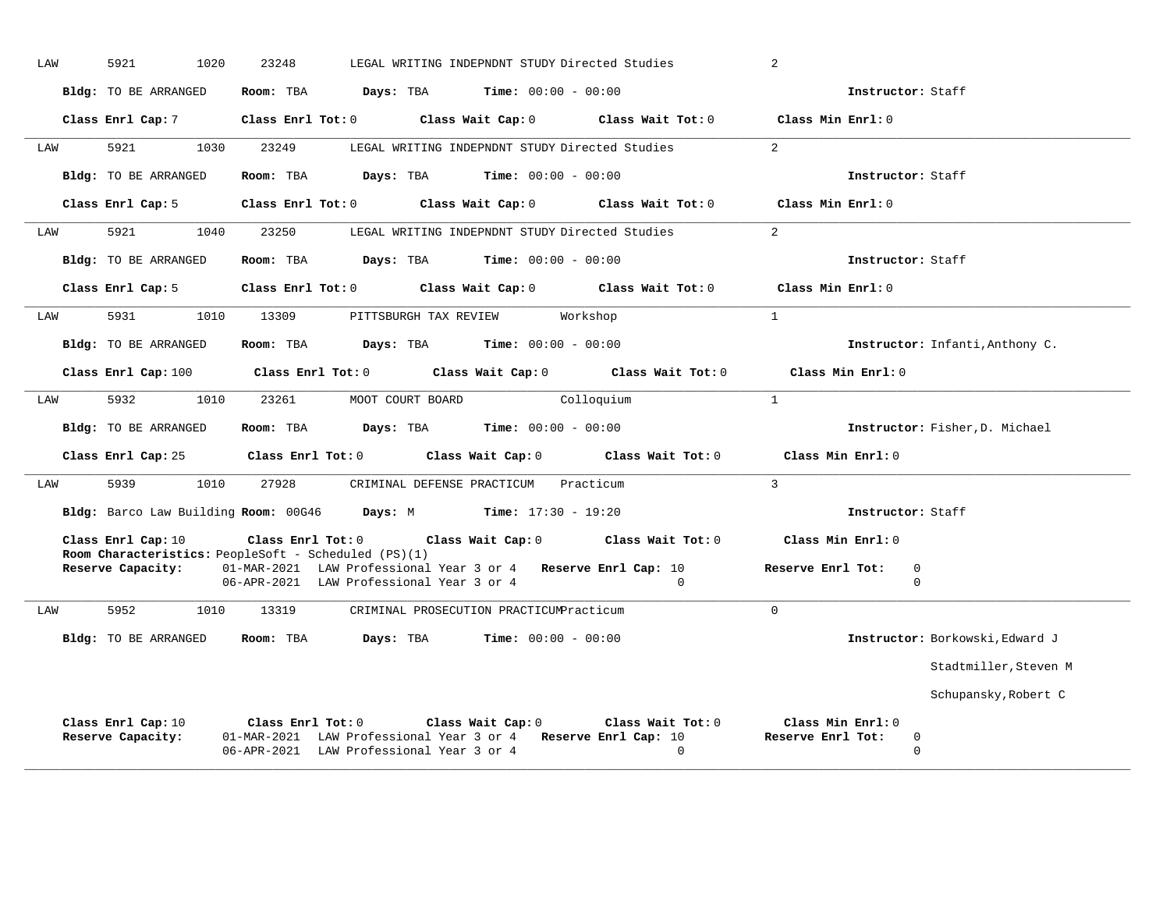| LAW | 1020<br>5921                                                               | 23248                                                                                                     | LEGAL WRITING INDEPNDNT STUDY Directed Studies       |                              |                                                       | 2                                      |                                 |
|-----|----------------------------------------------------------------------------|-----------------------------------------------------------------------------------------------------------|------------------------------------------------------|------------------------------|-------------------------------------------------------|----------------------------------------|---------------------------------|
|     | Bldg: TO BE ARRANGED                                                       | Room: TBA                                                                                                 | Days: TBA                                            | $Time: 00:00 - 00:00$        |                                                       | Instructor: Staff                      |                                 |
|     | Class Enrl Cap: 7                                                          | Class Enrl Tot: 0 Class Wait Cap: 0                                                                       |                                                      |                              | $Class$ Wait Tot: $0$                                 | Class Min Enrl: 0                      |                                 |
| LAW | 5921<br>1030                                                               | 23249                                                                                                     | LEGAL WRITING INDEPNDNT STUDY Directed Studies       |                              |                                                       | $\overline{2}$                         |                                 |
|     | <b>Bldg:</b> TO BE ARRANGED                                                | Room: TBA                                                                                                 | Days: TBA                                            | <b>Time:</b> $00:00 - 00:00$ |                                                       | Instructor: Staff                      |                                 |
|     | Class Enrl Cap: 5                                                          | $Class$ $Enr1$ $Tot: 0$                                                                                   |                                                      | Class Wait Cap: 0            | Class Wait Tot: 0                                     | Class Min Enrl: 0                      |                                 |
| LAW | 5921<br>1040                                                               | 23250                                                                                                     | LEGAL WRITING INDEPNDNT STUDY Directed Studies       |                              |                                                       | 2                                      |                                 |
|     | <b>Bldg:</b> TO BE ARRANGED                                                | Room: TBA                                                                                                 | Days: TBA                                            | $Time: 00:00 - 00:00$        |                                                       | Instructor: Staff                      |                                 |
|     | Class Enrl Cap: 5                                                          | $Class$ $Enr1$ $Tot: 0$                                                                                   |                                                      |                              | Class Wait Cap: 0 Class Wait Tot: 0                   | Class Min Enrl: $0$                    |                                 |
| LAW | 5931<br>1010                                                               | 13309                                                                                                     | PITTSBURGH TAX REVIEW                                |                              | Workshop                                              | $\mathbf{1}$                           |                                 |
|     | Bldg: TO BE ARRANGED                                                       | Room: TBA                                                                                                 | <b>Days:</b> TBA <b>Time:</b> $00:00 - 00:00$        |                              |                                                       |                                        | Instructor: Infanti, Anthony C. |
|     | Class Enrl Cap: $100$ Class Enrl Tot: 0                                    |                                                                                                           |                                                      |                              | Class Wait Cap: 0 Class Wait Tot: 0                   | Class Min Enrl: 0                      |                                 |
| LAW | 5932<br>1010                                                               | 23261                                                                                                     | MOOT COURT BOARD                                     | Colloguium                   |                                                       | $\mathbf{1}$                           |                                 |
|     | Bldg: TO BE ARRANGED                                                       | Room: TBA                                                                                                 | $\texttt{Davis:}$ TBA $\texttt{Time:}$ 00:00 - 00:00 |                              |                                                       |                                        | Instructor: Fisher, D. Michael  |
|     | Class Enrl Cap: 25                                                         |                                                                                                           | Class Enrl Tot: 0 Class Wait Cap: 0                  |                              | Class Wait Tot: 0                                     | Class Min Enrl: 0                      |                                 |
| LAW | 5939<br>1010                                                               | 27928                                                                                                     | CRIMINAL DEFENSE PRACTICUM Practicum                 |                              |                                                       | $\overline{3}$                         |                                 |
|     | Bldg: Barco Law Building Room: 00G46 Days: M Time: 17:30 - 19:20           |                                                                                                           |                                                      |                              |                                                       | Instructor: Staff                      |                                 |
|     | Class Enrl Cap: 10<br>Room Characteristics: PeopleSoft - Scheduled (PS)(1) | Class Enrl Tot: 0                                                                                         |                                                      |                              | Class Wait Cap: 0 Class Wait Tot: 0                   | Class Min Enrl: 0                      |                                 |
|     | Reserve Capacity:                                                          | 01-MAR-2021 LAW Professional Year 3 or 4 Reserve Enrl Cap: 10<br>06-APR-2021 LAW Professional Year 3 or 4 |                                                      |                              | $\Omega$                                              | Reserve Enrl Tot:                      | $\mathbf 0$<br>$\Omega$         |
| LAW | 5952<br>1010                                                               | 13319                                                                                                     | CRIMINAL PROSECUTION PRACTICUMPracticum              |                              |                                                       | $\Omega$                               |                                 |
|     | Bldg: TO BE ARRANGED                                                       | Room: TBA                                                                                                 | Days: TBA                                            | <b>Time:</b> $00:00 - 00:00$ |                                                       |                                        | Instructor: Borkowski, Edward J |
|     |                                                                            |                                                                                                           |                                                      |                              |                                                       |                                        | Stadtmiller, Steven M           |
|     |                                                                            |                                                                                                           |                                                      |                              |                                                       |                                        | Schupansky, Robert C            |
|     | Class Enrl Cap: 10<br>Reserve Capacity:                                    | 01-MAR-2021 LAW Professional Year 3 or 4<br>06-APR-2021 LAW Professional Year 3 or 4                      | Class Enrl Tot: 0 Class Wait Cap: 0                  |                              | Class Wait Tot: 0<br>Reserve Enrl Cap: 10<br>$\Omega$ | Class Min Enrl: 0<br>Reserve Enrl Tot: | 0<br>$\Omega$                   |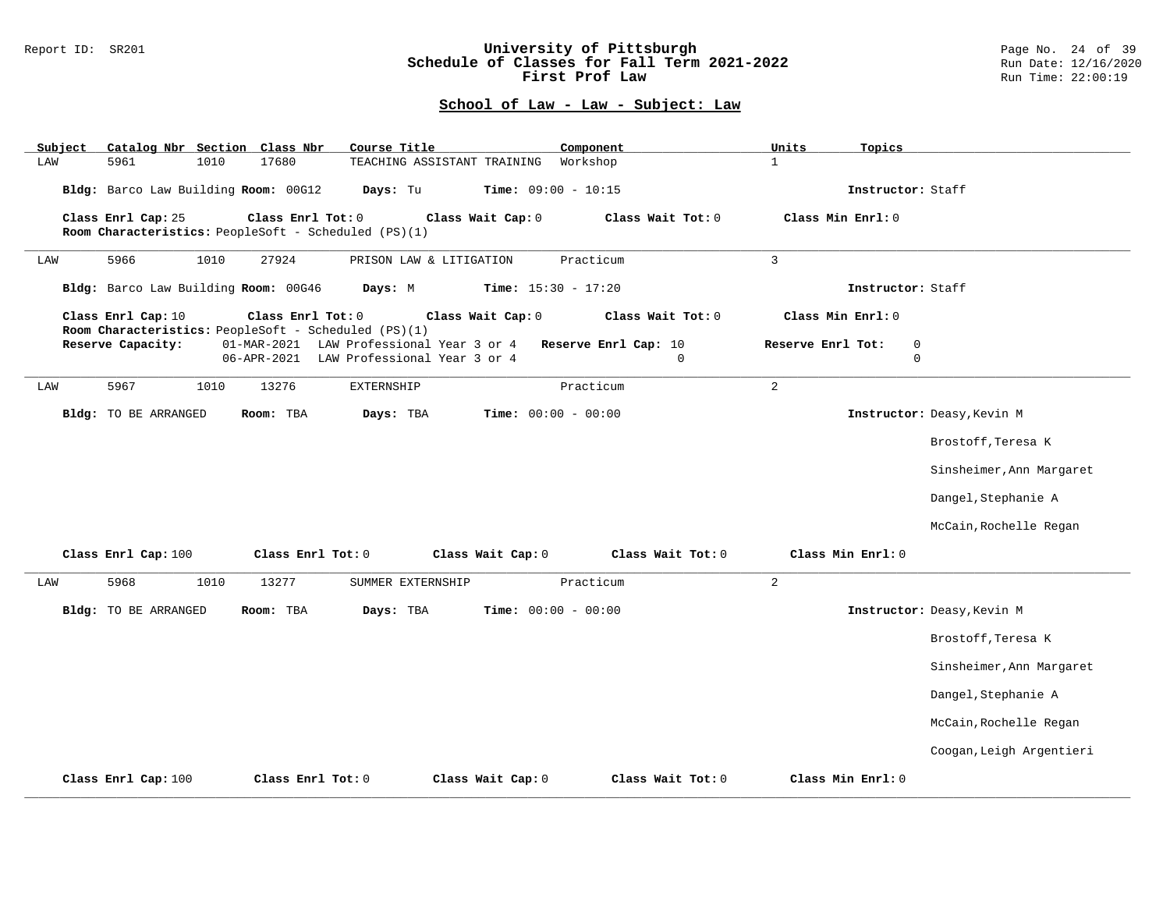### Report ID: SR201 **University of Pittsburgh** Page No. 24 of 39 **Schedule of Classes for Fall Term 2021-2022** Run Date: 12/16/2020 **First Prof Law Run Time: 22:00:19** Run Time: 22:00:19

| Catalog Nbr Section Class Nbr<br>Subject                                                        | Course Title                                                             | Component                        | Units<br>Topics                                 |                            |
|-------------------------------------------------------------------------------------------------|--------------------------------------------------------------------------|----------------------------------|-------------------------------------------------|----------------------------|
| 5961<br>1010<br>17680<br>LAW                                                                    | TEACHING ASSISTANT TRAINING                                              | Workshop                         | $\mathbf{1}$                                    |                            |
| Bldg: Barco Law Building Room: 00G12                                                            | Time: $09:00 - 10:15$<br>Days: Tu                                        |                                  | Instructor: Staff                               |                            |
| Class Enrl Cap: 25<br>Class Enrl Tot: 0<br>Room Characteristics: PeopleSoft - Scheduled (PS)(1) | Class Wait Cap: 0                                                        | Class Wait Tot: 0                | Class Min Enrl: 0                               |                            |
| 1010<br>27924<br>5966<br>LAW                                                                    | PRISON LAW & LITIGATION                                                  | Practicum                        | $\overline{3}$                                  |                            |
| Bldg: Barco Law Building Room: 00G46                                                            | Days: M<br><b>Time:</b> $15:30 - 17:20$                                  |                                  | Instructor: Staff                               |                            |
| Class Enrl Cap: 10<br>Class Enrl Tot: 0                                                         | Class Wait Cap: 0                                                        | Class Wait Tot: 0                | Class Min Enrl: 0                               |                            |
| Room Characteristics: PeopleSoft - Scheduled (PS)(1)<br>Reserve Capacity:<br>06-APR-2021        | 01-MAR-2021 LAW Professional Year 3 or 4<br>LAW Professional Year 3 or 4 | Reserve Enrl Cap: 10<br>$\Omega$ | $\mathbf 0$<br>Reserve Enrl Tot:<br>$\mathbf 0$ |                            |
| 5967<br>13276<br>LAW<br>1010                                                                    | EXTERNSHIP                                                               | Practicum                        | 2                                               |                            |
| Bldg: TO BE ARRANGED<br>Room: TBA                                                               | <b>Time:</b> $00:00 - 00:00$<br>Days: TBA                                |                                  |                                                 | Instructor: Deasy, Kevin M |
|                                                                                                 |                                                                          |                                  |                                                 | Brostoff, Teresa K         |
|                                                                                                 |                                                                          |                                  |                                                 | Sinsheimer, Ann Margaret   |
|                                                                                                 |                                                                          |                                  |                                                 | Dangel, Stephanie A        |
|                                                                                                 |                                                                          |                                  |                                                 | McCain, Rochelle Regan     |
| Class Enrl Cap: 100<br>Class Enrl Tot: 0                                                        | Class Wait Cap: 0                                                        | Class Wait Tot: 0                | Class Min Enrl: 0                               |                            |
| 5968<br>13277<br>1010<br>LAW                                                                    | SUMMER EXTERNSHIP                                                        | Practicum                        | 2                                               |                            |
| Bldg: TO BE ARRANGED<br>Room: TBA                                                               | <b>Time:</b> $00:00 - 00:00$<br>Days: TBA                                |                                  |                                                 | Instructor: Deasy, Kevin M |
|                                                                                                 |                                                                          |                                  |                                                 | Brostoff, Teresa K         |
|                                                                                                 |                                                                          |                                  |                                                 | Sinsheimer, Ann Margaret   |
|                                                                                                 |                                                                          |                                  |                                                 | Dangel, Stephanie A        |
|                                                                                                 |                                                                          |                                  |                                                 | McCain, Rochelle Regan     |
|                                                                                                 |                                                                          |                                  |                                                 | Coogan, Leigh Argentieri   |
| Class Enrl Cap: 100<br>Class Enrl Tot: 0                                                        | Class Wait Cap: 0                                                        | Class Wait Tot: 0                | Class Min Enrl: 0                               |                            |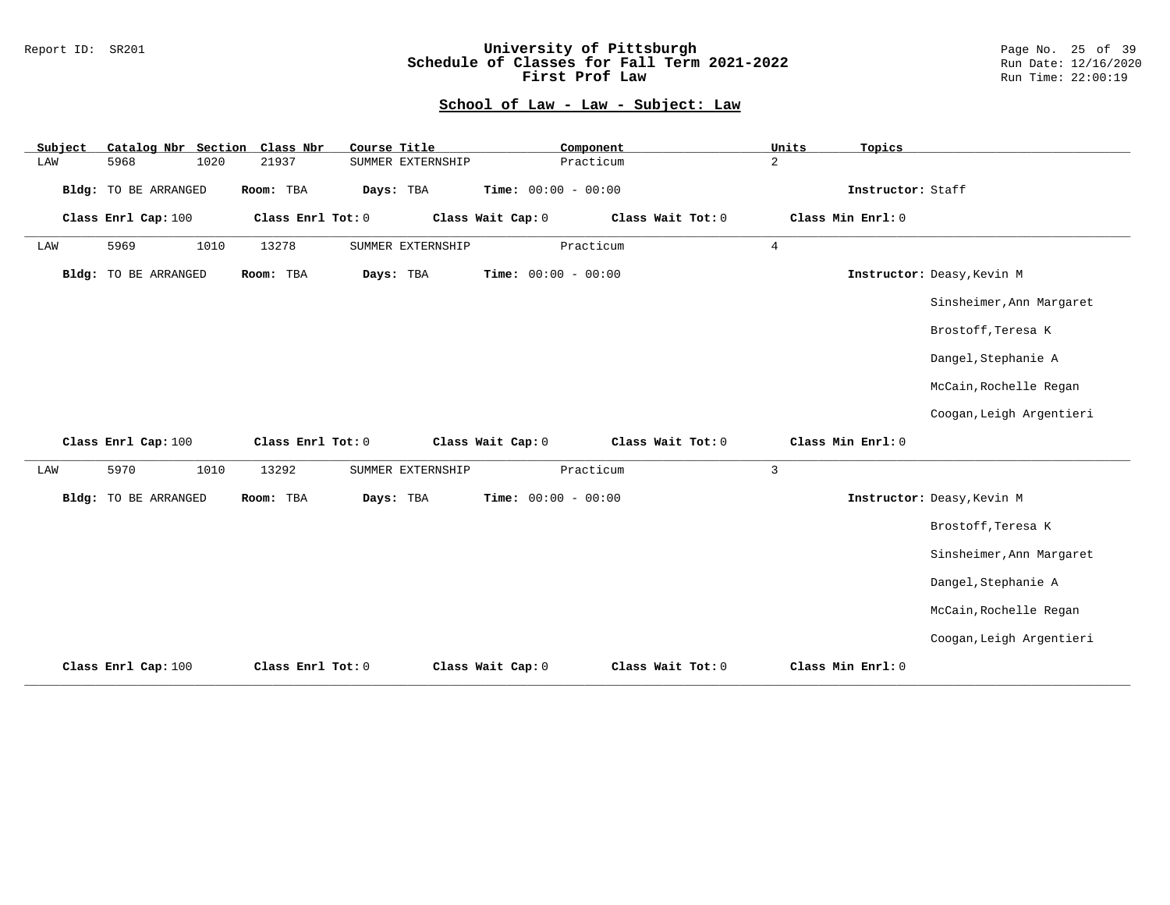### Report ID: SR201 **University of Pittsburgh** Page No. 25 of 39 **Schedule of Classes for Fall Term 2021-2022** Run Date: 12/16/2020 **First Prof Law Run Time: 22:00:19** Run Time: 22:00:19

| Subject |                             |      | Catalog Nbr Section Class Nbr | Course Title |                   |                       | Component         | Units          | Topics            |                            |
|---------|-----------------------------|------|-------------------------------|--------------|-------------------|-----------------------|-------------------|----------------|-------------------|----------------------------|
| LAW     | 5968                        | 1020 | 21937                         |              | SUMMER EXTERNSHIP |                       | Practicum         | $\overline{a}$ |                   |                            |
|         | <b>Bldg:</b> TO BE ARRANGED |      | Room: TBA                     | Days: TBA    |                   | Time: $00:00 - 00:00$ |                   |                | Instructor: Staff |                            |
|         | Class Enrl Cap: 100         |      | Class Enrl Tot: 0             |              |                   | Class Wait Cap: 0     | Class Wait Tot: 0 |                | Class Min Enrl: 0 |                            |
| LAW     | 5969                        | 1010 | 13278                         |              | SUMMER EXTERNSHIP |                       | Practicum         | $\overline{4}$ |                   |                            |
|         | <b>Bldg:</b> TO BE ARRANGED |      | Room: TBA                     | Days: TBA    |                   | Time: $00:00 - 00:00$ |                   |                |                   | Instructor: Deasy, Kevin M |
|         |                             |      |                               |              |                   |                       |                   |                |                   | Sinsheimer, Ann Margaret   |
|         |                             |      |                               |              |                   |                       |                   |                |                   | Brostoff, Teresa K         |
|         |                             |      |                               |              |                   |                       |                   |                |                   | Dangel, Stephanie A        |
|         |                             |      |                               |              |                   |                       |                   |                |                   | McCain, Rochelle Regan     |
|         |                             |      |                               |              |                   |                       |                   |                |                   | Coogan, Leigh Argentieri   |
|         | Class Enrl Cap: 100         |      | Class Enrl Tot: 0             |              |                   | Class Wait Cap: 0     | Class Wait Tot: 0 |                | Class Min Enrl: 0 |                            |
| LAW     | 5970                        | 1010 | 13292                         |              | SUMMER EXTERNSHIP |                       | Practicum         | $\mathbf{3}$   |                   |                            |
|         | <b>Bldg:</b> TO BE ARRANGED |      | Room: TBA                     | Days: TBA    |                   | Time: $00:00 - 00:00$ |                   |                |                   | Instructor: Deasy, Kevin M |
|         |                             |      |                               |              |                   |                       |                   |                |                   | Brostoff, Teresa K         |
|         |                             |      |                               |              |                   |                       |                   |                |                   | Sinsheimer, Ann Margaret   |
|         |                             |      |                               |              |                   |                       |                   |                |                   | Dangel, Stephanie A        |
|         |                             |      |                               |              |                   |                       |                   |                |                   | McCain, Rochelle Regan     |
|         |                             |      |                               |              |                   |                       |                   |                |                   | Coogan, Leigh Argentieri   |
|         | Class Enrl Cap: 100         |      | Class Enrl Tot: 0             |              |                   | Class Wait Cap: 0     | Class Wait Tot: 0 |                | Class Min Enrl: 0 |                            |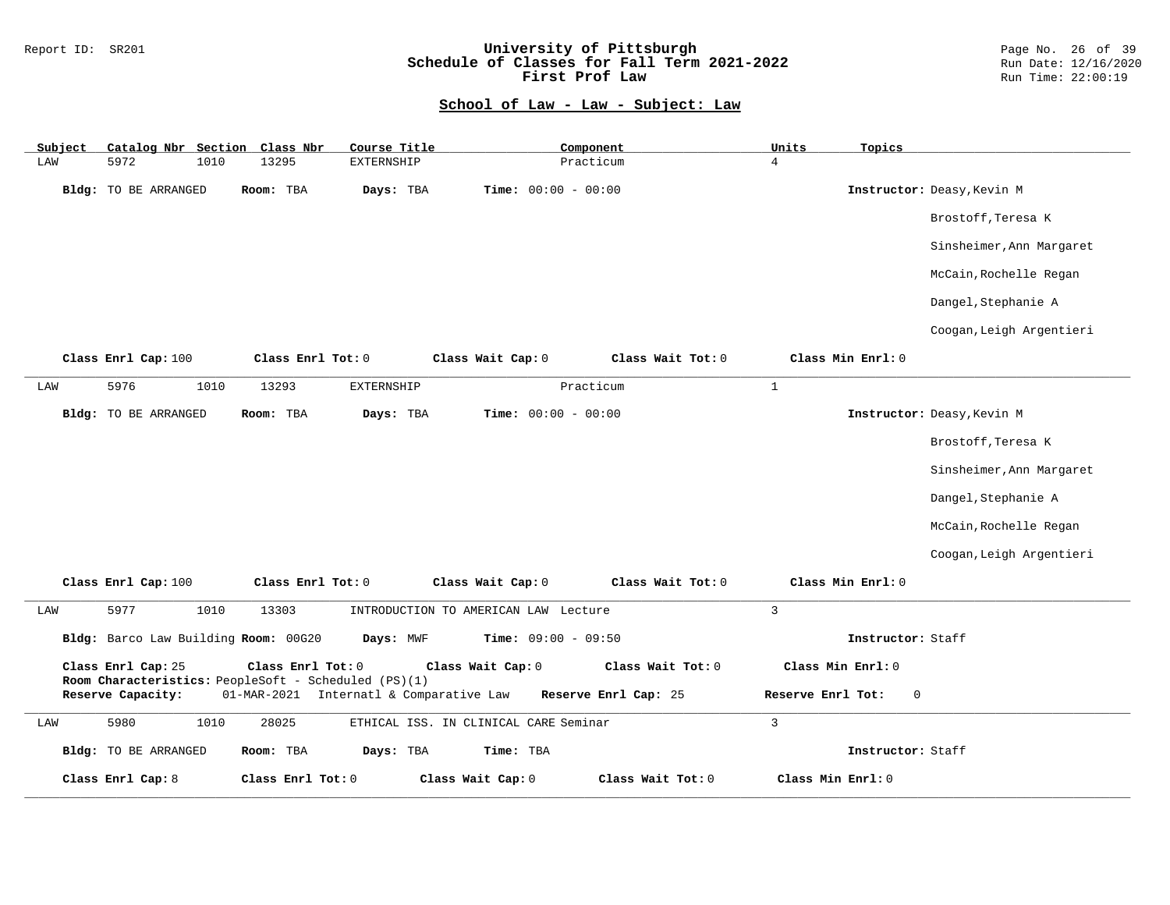### Report ID: SR201 **University of Pittsburgh** Page No. 26 of 39 **Schedule of Classes for Fall Term 2021-2022** Run Date: 12/16/2020 **First Prof Law Run Time: 22:00:19** Run Time: 22:00:19

| Subject | Catalog Nbr Section Class Nbr                                              |                   | Course Title                            |                                       | Component            | Units             | Topics            |                            |
|---------|----------------------------------------------------------------------------|-------------------|-----------------------------------------|---------------------------------------|----------------------|-------------------|-------------------|----------------------------|
| LAW     | 5972<br>1010                                                               | 13295             | <b>EXTERNSHIP</b>                       |                                       | Practicum            | $\overline{4}$    |                   |                            |
|         | Bldg: TO BE ARRANGED                                                       | Room: TBA         | Days: TBA                               | <b>Time:</b> $00:00 - 00:00$          |                      |                   |                   | Instructor: Deasy, Kevin M |
|         |                                                                            |                   |                                         |                                       |                      |                   |                   | Brostoff, Teresa K         |
|         |                                                                            |                   |                                         |                                       |                      |                   |                   | Sinsheimer, Ann Margaret   |
|         |                                                                            |                   |                                         |                                       |                      |                   |                   | McCain, Rochelle Regan     |
|         |                                                                            |                   |                                         |                                       |                      |                   |                   | Dangel, Stephanie A        |
|         |                                                                            |                   |                                         |                                       |                      |                   |                   | Coogan, Leigh Argentieri   |
|         | Class Enrl Cap: 100                                                        | Class Enrl Tot: 0 |                                         | Class Wait Cap: 0                     | Class Wait Tot: 0    |                   | Class Min Enrl: 0 |                            |
| LAW     | 5976<br>1010                                                               | 13293             | EXTERNSHIP                              |                                       | Practicum            | $\mathbf{1}$      |                   |                            |
|         | <b>Bldg:</b> TO BE ARRANGED                                                | Room: TBA         | Days: TBA                               | <b>Time:</b> $00:00 - 00:00$          |                      |                   |                   | Instructor: Deasy, Kevin M |
|         |                                                                            |                   |                                         |                                       |                      |                   |                   | Brostoff, Teresa K         |
|         |                                                                            |                   |                                         |                                       |                      |                   |                   | Sinsheimer, Ann Margaret   |
|         |                                                                            |                   |                                         |                                       |                      |                   |                   | Dangel, Stephanie A        |
|         |                                                                            |                   |                                         |                                       |                      |                   |                   | McCain, Rochelle Regan     |
|         |                                                                            |                   |                                         |                                       |                      |                   |                   | Coogan, Leigh Argentieri   |
|         | Class Enrl Cap: 100                                                        | Class Enrl Tot: 0 |                                         | Class Wait Cap: 0                     | Class Wait Tot: 0    |                   | Class Min Enrl: 0 |                            |
| LAW     | 5977<br>1010                                                               | 13303             |                                         | INTRODUCTION TO AMERICAN LAW Lecture  |                      | $\overline{3}$    |                   |                            |
|         | Bldg: Barco Law Building Room: 00G20                                       |                   | Days: MWF                               | <b>Time:</b> $09:00 - 09:50$          |                      |                   | Instructor: Staff |                            |
|         | Class Enrl Cap: 25<br>Room Characteristics: PeopleSoft - Scheduled (PS)(1) | Class Enrl Tot: 0 |                                         | Class Wait Cap: 0                     | Class Wait Tot: 0    |                   | Class Min Enrl: 0 |                            |
|         | Reserve Capacity:                                                          |                   | 01-MAR-2021 Internatl & Comparative Law |                                       | Reserve Enrl Cap: 25 | Reserve Enrl Tot: | 0                 |                            |
| LAW     | 5980<br>1010                                                               | 28025             |                                         | ETHICAL ISS. IN CLINICAL CARE Seminar |                      | $\mathbf{3}$      |                   |                            |
|         | Bldg: TO BE ARRANGED                                                       | Room: TBA         | Days: TBA                               | Time: TBA                             |                      |                   | Instructor: Staff |                            |
|         | Class Enrl Cap: 8                                                          | Class Enrl Tot: 0 |                                         | Class Wait Cap: 0                     | Class Wait Tot: 0    | Class Min Enrl: 0 |                   |                            |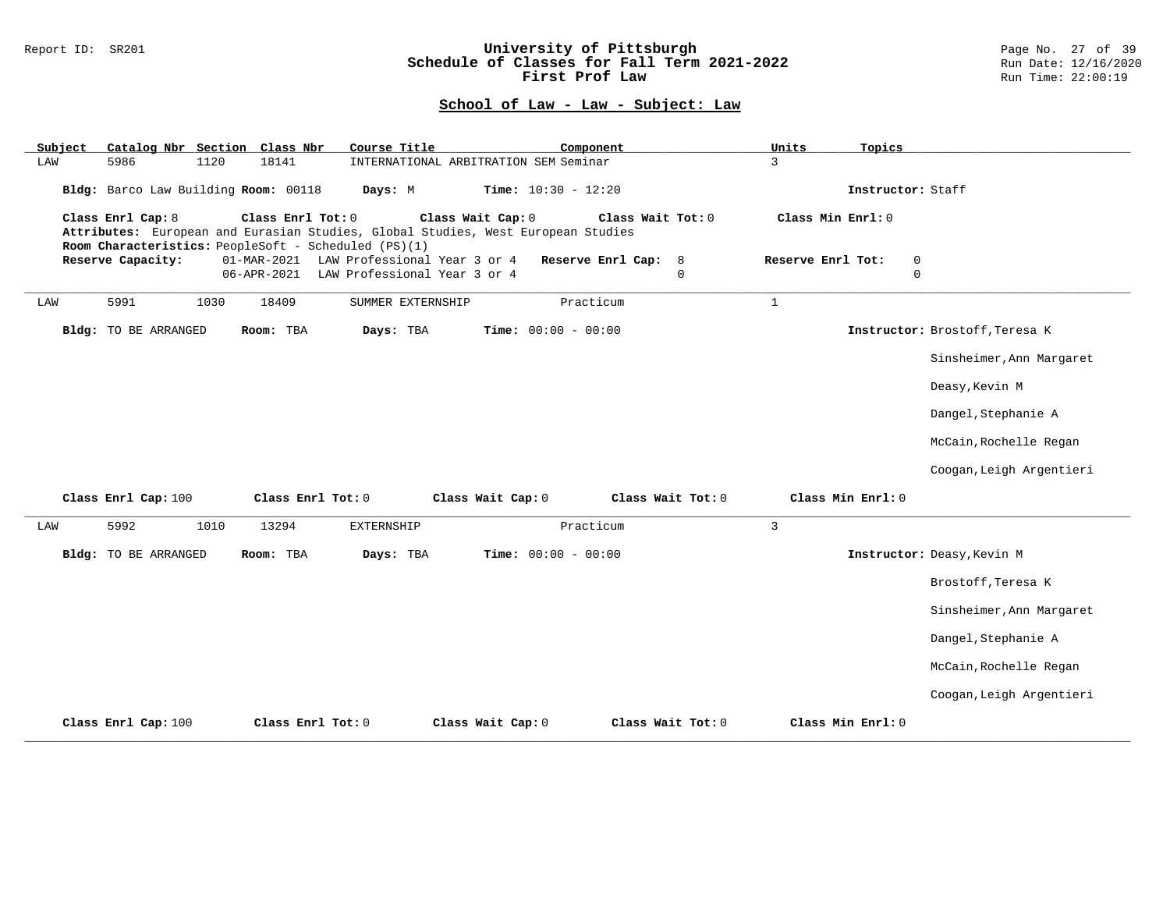### Report ID: SR201 **University of Pittsburgh** Page No. 27 of 39 **Schedule of Classes for Fall Term 2021-2022** Run Date: 12/16/2020 **First Prof Law Run Time: 22:00:19** Run Time: 22:00:19

| Catalog Nbr Section Class Nbr<br>Subject | Course Title                                                                                                                                                                       | Component                   | Units<br>Topics                  |                                |  |  |
|------------------------------------------|------------------------------------------------------------------------------------------------------------------------------------------------------------------------------------|-----------------------------|----------------------------------|--------------------------------|--|--|
| 5986<br>1120<br>LAW                      | 18141<br>INTERNATIONAL ARBITRATION SEM Seminar                                                                                                                                     | 3                           |                                  |                                |  |  |
| Bldg: Barco Law Building Room: 00118     | Time: $10:30 - 12:20$<br>Days: M                                                                                                                                                   |                             | Instructor: Staff                |                                |  |  |
| Class Enrl Cap: 8                        | Class Enrl Tot: 0<br>Class Wait Cap: 0<br>Attributes: European and Eurasian Studies, Global Studies, West European Studies<br>Room Characteristics: PeopleSoft - Scheduled (PS)(1) | Class Wait Tot: 0           | Class Min Enrl: 0                |                                |  |  |
| Reserve Capacity:                        | LAW Professional Year 3 or 4<br>01-MAR-2021                                                                                                                                        | Reserve Enrl Cap: 8         | Reserve Enrl Tot:<br>$\mathbf 0$ |                                |  |  |
|                                          | 06-APR-2021<br>LAW Professional Year 3 or 4                                                                                                                                        | $\mathbf 0$                 | $\mathbf 0$                      |                                |  |  |
| 5991<br>1030<br>LAW                      | 18409<br>SUMMER EXTERNSHIP                                                                                                                                                         | Practicum<br>$\mathbf{1}$   |                                  |                                |  |  |
| <b>Bldg:</b> TO BE ARRANGED              | Room: TBA<br>Days: TBA<br><b>Time:</b> $00:00 - 00:00$                                                                                                                             |                             |                                  | Instructor: Brostoff, Teresa K |  |  |
|                                          |                                                                                                                                                                                    |                             |                                  | Sinsheimer, Ann Margaret       |  |  |
|                                          |                                                                                                                                                                                    |                             |                                  | Deasy, Kevin M                 |  |  |
|                                          |                                                                                                                                                                                    |                             |                                  | Dangel, Stephanie A            |  |  |
|                                          |                                                                                                                                                                                    |                             |                                  | McCain, Rochelle Regan         |  |  |
|                                          |                                                                                                                                                                                    |                             |                                  | Coogan, Leigh Argentieri       |  |  |
| Class Enrl Cap: 100                      | Class Enrl Tot: 0<br>Class Wait Cap: 0                                                                                                                                             | Class Wait Tot: 0           | Class Min Enrl: 0                |                                |  |  |
| 5992<br>LAW<br>1010                      | 13294<br>EXTERNSHIP                                                                                                                                                                | Practicum<br>$\overline{3}$ |                                  |                                |  |  |
| <b>Bldg:</b> TO BE ARRANGED              | Room: TBA<br>Days: TBA<br><b>Time:</b> $00:00 - 00:00$                                                                                                                             |                             |                                  | Instructor: Deasy, Kevin M     |  |  |
|                                          |                                                                                                                                                                                    |                             |                                  | Brostoff, Teresa K             |  |  |
|                                          |                                                                                                                                                                                    |                             |                                  | Sinsheimer, Ann Margaret       |  |  |
|                                          |                                                                                                                                                                                    |                             |                                  | Dangel, Stephanie A            |  |  |
|                                          |                                                                                                                                                                                    |                             |                                  | McCain, Rochelle Regan         |  |  |
|                                          |                                                                                                                                                                                    |                             |                                  | Coogan, Leigh Argentieri       |  |  |
| Class Enrl Cap: 100                      | Class Enrl Tot: 0<br>Class Wait Cap: 0                                                                                                                                             | Class Wait Tot: 0           | Class Min Enrl: 0                |                                |  |  |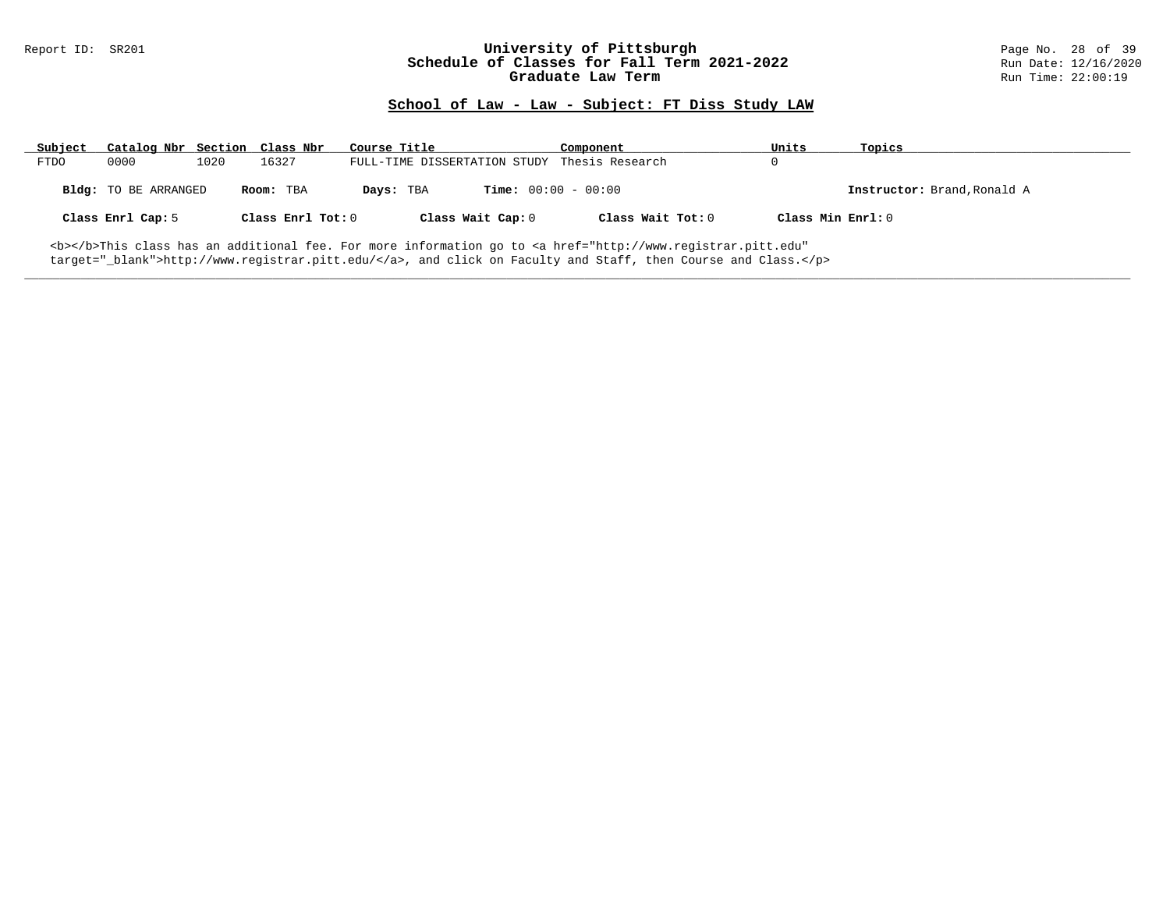### Report ID: SR201 **University of Pittsburgh University of Pittsburgh** Page No. 28 of 39<br>**Schedule of Classes for Fall Term 2021-2022** Run Date: 12/16/2020 **Schedule of Classes for Fall Term 2021-2022** Run Date: 12/16/2021<br>Graduate Law Term 2021-2022<br>Run Time: 22:00:19 **Graduate Law Term**

## **School of Law - Law - Subject: FT Diss Study LAW**

| Subject     | Catalog Nbr Section Class Nbr |      |                   | Course Title                                 | Component         | Units             | Topics                      |
|-------------|-------------------------------|------|-------------------|----------------------------------------------|-------------------|-------------------|-----------------------------|
| <b>FTDO</b> | 0000                          | 1020 | 16327             | FULL-TIME DISSERTATION STUDY Thesis Research |                   |                   |                             |
|             | Bldg: TO BE ARRANGED          |      | Room: TBA         | <b>Time:</b> $00:00 - 00:00$<br>Days: TBA    |                   |                   | Instructor: Brand, Ronald A |
|             | Class Enrl Cap: 5             |      | Class Enrl Tot: 0 | Class Wait Cap: 0                            | Class Wait Tot: 0 | Class Min Enrl: 0 |                             |

**\_\_\_\_\_\_\_\_\_\_\_\_\_\_\_\_\_\_\_\_\_\_\_\_\_\_\_\_\_\_\_\_\_\_\_\_\_\_\_\_\_\_\_\_\_\_\_\_\_\_\_\_\_\_\_\_\_\_\_\_\_\_\_\_\_\_\_\_\_\_\_\_\_\_\_\_\_\_\_\_\_\_\_\_\_\_\_\_\_\_\_\_\_\_\_\_\_\_\_\_\_\_\_\_\_\_\_\_\_\_\_\_\_\_\_\_\_\_\_\_\_\_\_\_\_\_\_\_\_\_\_\_\_\_\_\_\_\_\_\_\_\_\_\_\_\_\_\_\_\_\_\_\_\_\_\_**

<b></b>This class has an additional fee. For more information go to <a href="http://www.registrar.pitt.edu" target="\_blank">http://www.registrar.pitt.edu/</a>, and click on Faculty and Staff, then Course and Class.</p>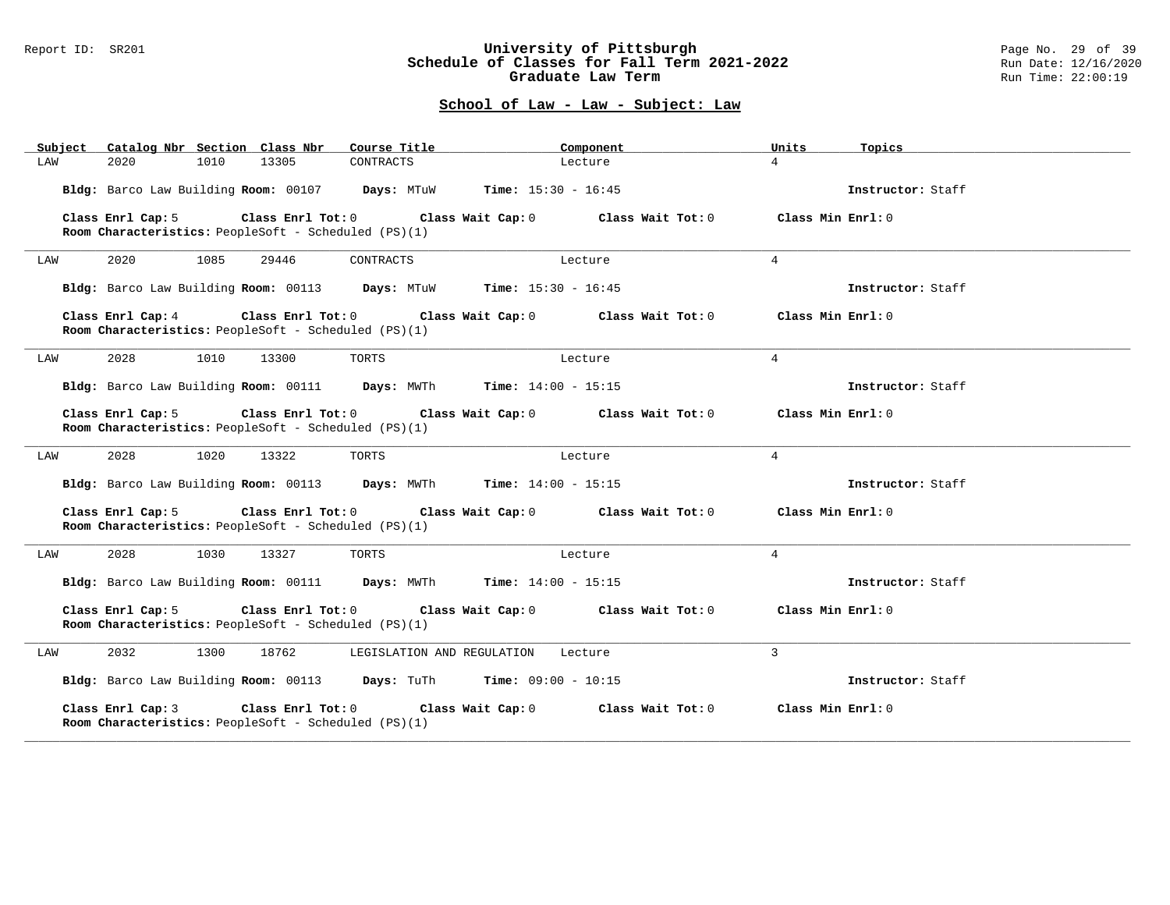### Report ID: SR201 **University of Pittsburgh** Page No. 29 of 39 **Schedule of Classes for Fall Term 2021-2022** Run Date: 12/16/2020 **Graduate Law Term Run Time: 22:00:19**

| Subject Catalog Nbr Section Class Nbr                                                                | Course Title                        | Component         | Units<br>Topics    |
|------------------------------------------------------------------------------------------------------|-------------------------------------|-------------------|--------------------|
| 2020<br>1010<br>13305<br>LAW                                                                         | CONTRACTS                           | Lecture           | $\overline{4}$     |
| Bldg: Barco Law Building Room: 00107 Days: MTuW Time: 15:30 - 16:45                                  |                                     |                   | Instructor: Staff  |
| $Class$ $Enr1$ $Tot: 0$<br>Class Enrl Cap: 5<br>Room Characteristics: PeopleSoft - Scheduled (PS)(1) | Class Wait Cap: 0                   | Class Wait Tot: 0 | Class Min Enrl: 0  |
| 2020<br>1085<br>LAW<br>29446                                                                         | CONTRACTS                           | Lecture           | $\overline{4}$     |
| Bldg: Barco Law Building Room: 00113 Days: MTuW Time: 15:30 - 16:45                                  |                                     |                   | Instructor: Staff  |
| Class Enrl Cap: 4<br>Room Characteristics: PeopleSoft - Scheduled (PS)(1)                            | Class Enrl Tot: 0 Class Wait Cap: 0 | Class Wait Tot: 0 | Class Min Enrl: 0  |
| 2028<br>1010<br>13300<br>LAW                                                                         | TORTS                               | Lecture           | $\overline{4}$     |
| Bldg: Barco Law Building Room: 00111 Days: MWTh Time: 14:00 - 15:15                                  |                                     |                   | Instructor: Staff  |
| Class Enrl Cap: 5<br>Room Characteristics: PeopleSoft - Scheduled (PS)(1)                            | Class Enrl Tot: 0 Class Wait Cap: 0 | Class Wait Tot: 0 | Class Min Enrl: 0  |
| 2028<br>1020<br>13322<br>LAW                                                                         | TORTS                               | Lecture           | $\overline{4}$     |
| Bldg: Barco Law Building Room: 00113 Days: MWTh                                                      | <b>Time:</b> $14:00 - 15:15$        |                   | Instructor: Staff  |
| Class Enrl Cap: 5<br>Room Characteristics: PeopleSoft - Scheduled (PS)(1)                            | Class Enrl Tot: 0 Class Wait Cap: 0 | Class Wait Tot: 0 | Class Min $Enr1:0$ |
| LAW<br>2028<br>1030<br>13327                                                                         | TORTS                               | Lecture           | $\overline{4}$     |
| Bldg: Barco Law Building Room: 00111 Days: MWTh                                                      | <b>Time:</b> $14:00 - 15:15$        |                   | Instructor: Staff  |
| Class Enrl Cap: 5<br>Room Characteristics: PeopleSoft - Scheduled (PS)(1)                            | Class Enrl Tot: 0 Class Wait Cap: 0 | Class Wait Tot: 0 | Class Min Enrl: 0  |
| 2032<br>1300<br>18762<br>LAW                                                                         | LEGISLATION AND REGULATION          | Lecture           | $\overline{3}$     |
| Bldg: Barco Law Building Room: 00113 Days: TuTh Time: 09:00 - 10:15                                  |                                     |                   | Instructor: Staff  |
| Class Enrl Cap: 3<br>Class $Enr1$ Tot: $0$<br>Room Characteristics: PeopleSoft - Scheduled (PS)(1)   | Class Wait Cap: 0                   | Class Wait Tot: 0 | Class Min Enrl: 0  |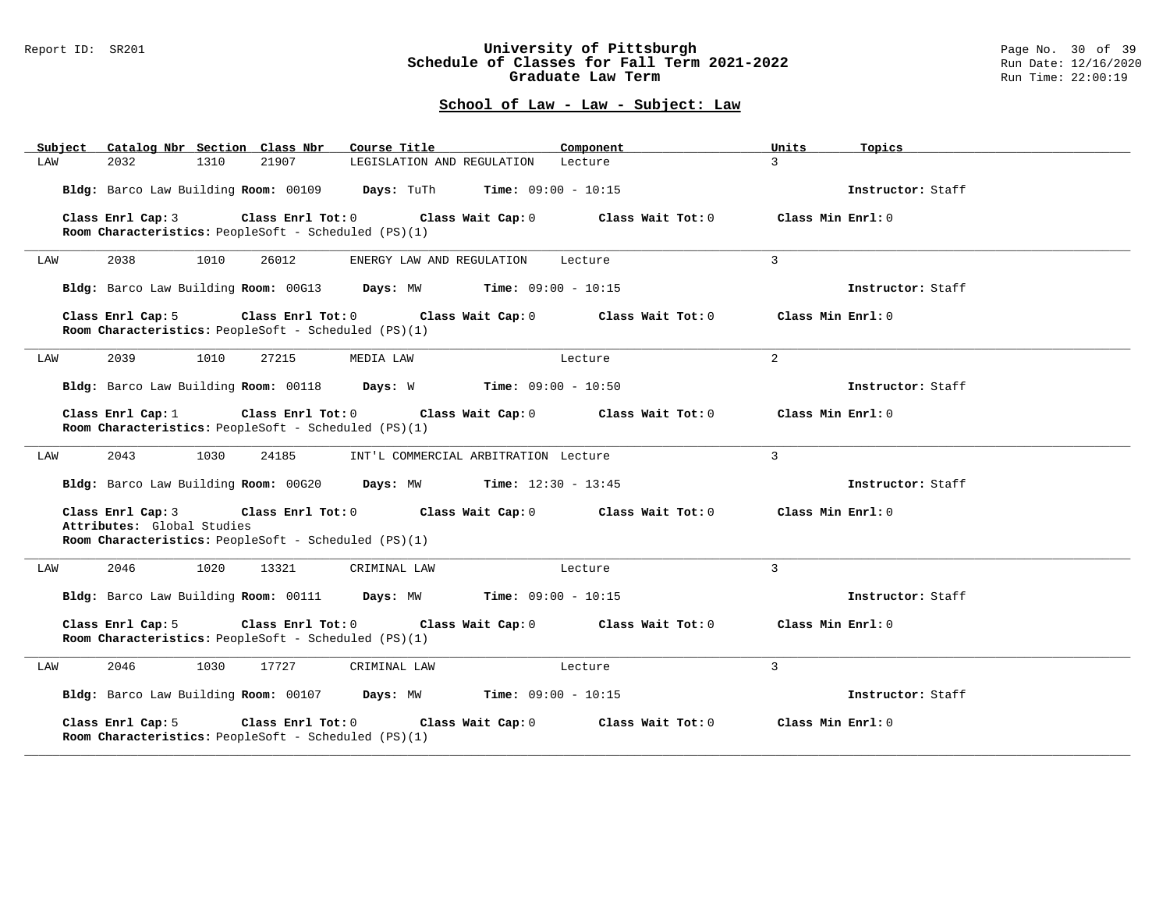#### Report ID: SR201 **University of Pittsburgh** Page No. 30 of 39 **Schedule of Classes for Fall Term 2021-2022** Run Date: 12/16/2020 **Graduate Law Term Run Time: 22:00:19**

| Subject |                                                 |      | Catalog Nbr Section Class Nbr                                                   | Course Title                                                        | Component         | Units             | Topics            |
|---------|-------------------------------------------------|------|---------------------------------------------------------------------------------|---------------------------------------------------------------------|-------------------|-------------------|-------------------|
| LAW     | 2032                                            | 1310 | 21907                                                                           | LEGISLATION AND REGULATION Lecture                                  |                   | $\overline{3}$    |                   |
|         |                                                 |      |                                                                                 | Bldg: Barco Law Building Room: 00109 Days: TuTh Time: 09:00 - 10:15 |                   |                   | Instructor: Staff |
|         | Class Enrl Cap: 3                               |      | $Class$ $Enr1$ $Tot: 0$<br>Room Characteristics: PeopleSoft - Scheduled (PS)(1) | Class Wait Cap: 0                                                   | Class Wait Tot: 0 | Class Min Enrl: 0 |                   |
| LAW     | 2038                                            | 1010 | 26012                                                                           | ENERGY LAW AND REGULATION                                           | Lecture           | 3                 |                   |
|         |                                                 |      |                                                                                 | Bldg: Barco Law Building Room: 00G13 Days: MW Time: 09:00 - 10:15   |                   |                   | Instructor: Staff |
|         | Class Enrl Cap: 5                               |      | $Class$ $Enr1$ $Tot: 0$<br>Room Characteristics: PeopleSoft - Scheduled (PS)(1) | Class Wait Cap: 0                                                   | Class Wait Tot: 0 | Class Min Enrl: 0 |                   |
| LAW     | 2039                                            | 1010 | 27215                                                                           | MEDIA LAW                                                           | Lecture           | 2                 |                   |
|         |                                                 |      |                                                                                 | Bldg: Barco Law Building Room: 00118 Days: W Time: 09:00 - 10:50    |                   |                   | Instructor: Staff |
|         | Class Enrl Cap: 1                               |      | $Class$ $Enr1$ $Tot: 0$<br>Room Characteristics: PeopleSoft - Scheduled (PS)(1) | Class Wait Cap: 0                                                   | Class Wait Tot: 0 | Class Min Enrl: 0 |                   |
| LAW     | 2043                                            | 1030 | 24185                                                                           | INT'L COMMERCIAL ARBITRATION Lecture                                |                   | 3                 |                   |
|         |                                                 |      |                                                                                 | Bldg: Barco Law Building Room: 00G20 Days: MW Time: 12:30 - 13:45   |                   |                   | Instructor: Staff |
|         | Class Enrl Cap: 3<br>Attributes: Global Studies |      | Room Characteristics: PeopleSoft - Scheduled (PS)(1)                            | Class Enrl Tot: 0 Class Wait Cap: 0                                 | Class Wait Tot: 0 | Class Min Enrl: 0 |                   |
|         |                                                 |      |                                                                                 |                                                                     |                   |                   |                   |
| LAW     | 2046                                            | 1020 | 13321                                                                           | CRIMINAL LAW                                                        | Lecture           | 3                 |                   |
|         |                                                 |      |                                                                                 | Bldg: Barco Law Building Room: 00111 Days: MW Time: 09:00 - 10:15   |                   |                   | Instructor: Staff |
|         | Class Enrl Cap: 5                               |      | Class Enrl Tot: 0<br>Room Characteristics: PeopleSoft - Scheduled (PS)(1)       | Class Wait Cap: 0                                                   | Class Wait Tot: 0 | Class Min Enrl: 0 |                   |
| LAW     | 2046                                            | 1030 | 17727                                                                           | CRIMINAL LAW                                                        | Lecture           | 3                 |                   |
|         |                                                 |      |                                                                                 | Bldg: Barco Law Building Room: 00107 Days: MW Time: 09:00 - 10:15   |                   |                   | Instructor: Staff |
|         | Class Enrl Cap: 5                               |      | Class Enrl Tot: 0<br>Room Characteristics: PeopleSoft - Scheduled (PS)(1)       | Class Wait Cap: 0                                                   | Class Wait Tot: 0 | Class Min Enrl: 0 |                   |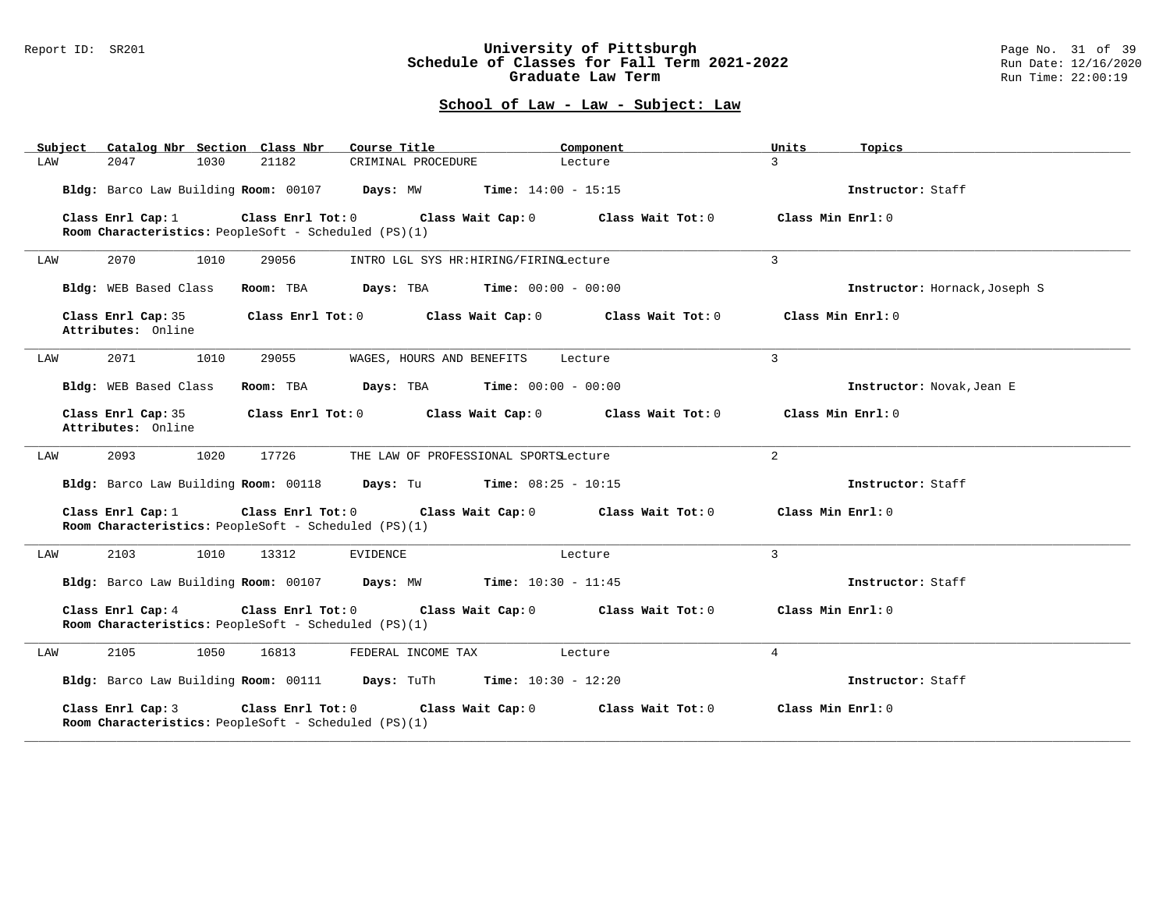### Report ID: SR201 **University of Pittsburgh** Page No. 31 of 39 **Schedule of Classes for Fall Term 2021-2022** Run Date: 12/16/2020 **Graduate Law Term Run Time: 22:00:19**

| Catalog Nbr Section Class Nbr<br>Subject                                                       | Course Title                                 | Component         | Units<br>Topics     |                               |
|------------------------------------------------------------------------------------------------|----------------------------------------------|-------------------|---------------------|-------------------------------|
| 2047<br>1030<br>21182<br>LAW                                                                   | CRIMINAL PROCEDURE                           | Lecture           | $\mathcal{L}$       |                               |
| Bldg: Barco Law Building Room: 00107 Days: MW Time: 14:00 - 15:15                              |                                              |                   | Instructor: Staff   |                               |
| Class Enrl Tot: 0<br>Class Enrl Cap: 1<br>Room Characteristics: PeopleSoft - Scheduled (PS)(1) | Class Wait Cap: 0                            | Class Wait Tot: 0 | Class Min $Enr1: 0$ |                               |
| 2070<br>1010<br>29056<br>LAW                                                                   | INTRO LGL SYS HR: HIRING/FIRINGLecture       |                   | 3                   |                               |
| Bldg: WEB Based Class<br>Room: TBA                                                             | $Days: TBA$ $Time: 00:00 - 00:00$            |                   |                     | Instructor: Hornack, Joseph S |
| Class Enrl Cap: 35<br>Attributes: Online                                                       | Class Enrl Tot: 0 Class Wait Cap: 0          | Class Wait Tot: 0 | Class Min Enrl: 0   |                               |
| 2071<br>1010<br>29055<br>LAW                                                                   | WAGES, HOURS AND BENEFITS                    | Lecture           | 3                   |                               |
| Bldg: WEB Based Class<br>Room: TBA                                                             | $Days: TBA$ $Time: 00:00 - 00:00$            |                   |                     | Instructor: Novak, Jean E     |
| Class Enrl Cap: 35<br>Class Enrl Tot: 0<br>Attributes: Online                                  | Class Wait Cap: 0                            | Class Wait Tot: 0 | Class Min Enrl: 0   |                               |
| 17726<br>2093<br>1020<br>LAW                                                                   | THE LAW OF PROFESSIONAL SPORTSLecture        |                   | $\overline{a}$      |                               |
| Bldg: Barco Law Building Room: 00118                                                           | <b>Days:</b> Tu <b>Time:</b> $08:25 - 10:15$ |                   | Instructor: Staff   |                               |
| Class Enrl Cap: 1<br>Class Enrl Tot: 0<br>Room Characteristics: PeopleSoft - Scheduled (PS)(1) | Class Wait Cap: 0                            | Class Wait Tot: 0 | Class Min Enrl: 0   |                               |
| 2103<br>LAW<br>1010<br>13312                                                                   | EVIDENCE                                     | Lecture           | $\overline{3}$      |                               |
| Bldg: Barco Law Building Room: 00107 Days: MW                                                  | <b>Time:</b> $10:30 - 11:45$                 |                   | Instructor: Staff   |                               |
| Class Enrl Cap: 4<br>Class Enrl Tot: 0<br>Room Characteristics: PeopleSoft - Scheduled (PS)(1) | Class Wait Cap: 0                            | Class Wait Tot: 0 | Class Min Enrl: 0   |                               |
| 2105<br>1050<br>16813<br>LAW                                                                   | FEDERAL INCOME TAX                           | Lecture           | $\overline{4}$      |                               |
| Bldg: Barco Law Building Room: 00111 Days: TuTh Time: 10:30 - 12:20                            |                                              |                   | Instructor: Staff   |                               |
| Class Enrl Cap: 3<br>Class Enrl Tot: 0<br>Room Characteristics: PeopleSoft - Scheduled (PS)(1) | Class Wait Cap: 0                            | Class Wait Tot: 0 | Class Min Enrl: 0   |                               |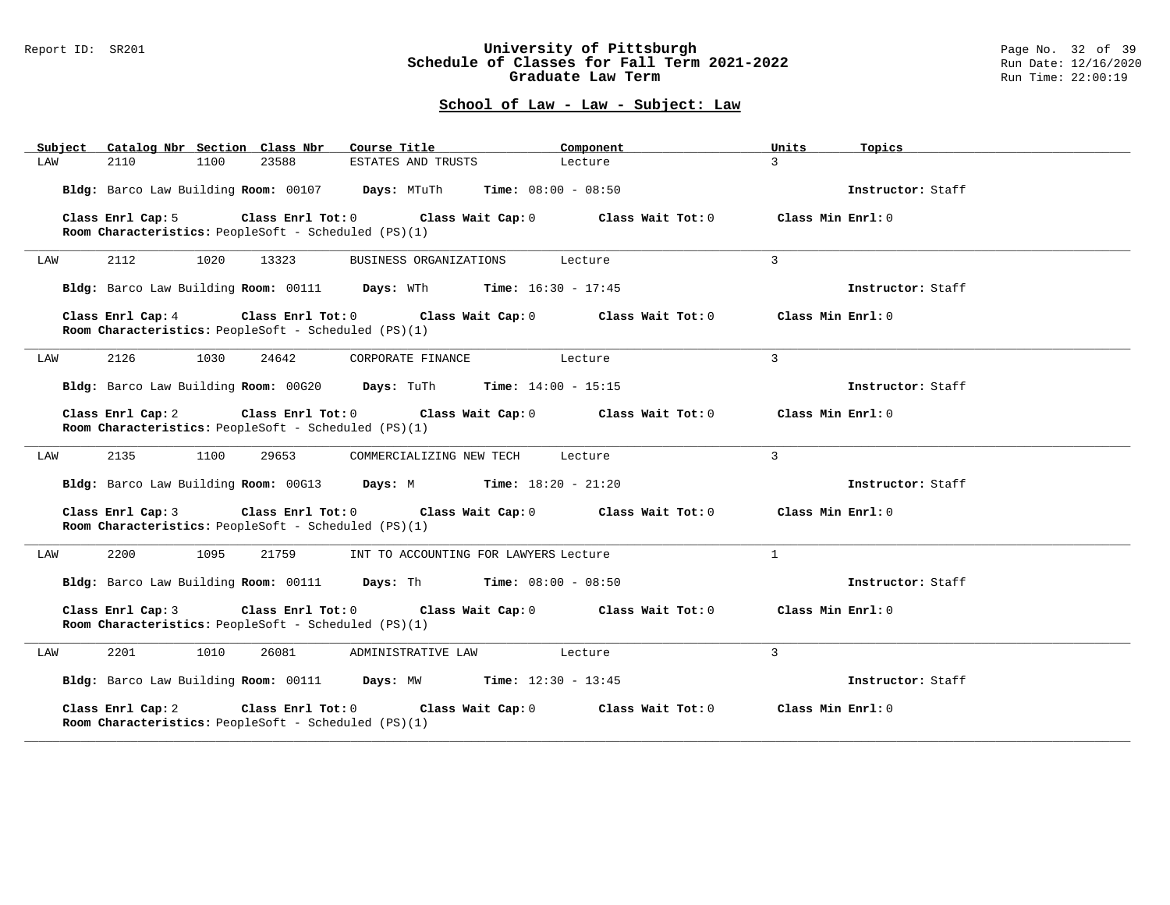### Report ID: SR201 **University of Pittsburgh** Page No. 32 of 39 **Schedule of Classes for Fall Term 2021-2022** Run Date: 12/16/2020 **Graduate Law Term Run Time: 22:00:19**

| Subject<br>Catalog Nbr Section Class Nbr                                                             | Course Title                            | Component         | Units<br>Topics   |
|------------------------------------------------------------------------------------------------------|-----------------------------------------|-------------------|-------------------|
| 2110<br>1100<br>23588<br>LAW                                                                         | ESTATES AND TRUSTS                      | Lecture           | $\mathcal{L}$     |
| Bldg: Barco Law Building Room: 00107 Days: MTuTh Time: 08:00 - 08:50                                 |                                         |                   | Instructor: Staff |
| $Class$ $Enrl$ $Tot: 0$<br>Class Enrl Cap: 5<br>Room Characteristics: PeopleSoft - Scheduled (PS)(1) | Class Wait Cap: 0                       | Class Wait Tot: 0 | Class Min Enrl: 0 |
| 2112<br>1020<br>13323<br>LAW                                                                         | BUSINESS ORGANIZATIONS                  | Lecture           | 3                 |
| Bldg: Barco Law Building Room: 00111 Days: WTh Time: 16:30 - 17:45                                   |                                         |                   | Instructor: Staff |
| Class Enrl Cap: 4<br>Room Characteristics: PeopleSoft - Scheduled (PS)(1)                            | Class Enrl Tot: 0 Class Wait Cap: 0     | Class Wait Tot: 0 | Class Min Enrl: 0 |
| 2126<br>1030<br>24642<br>LAW                                                                         | CORPORATE FINANCE                       | Lecture           | $\mathcal{L}$     |
| Bldg: Barco Law Building Room: 00G20 Days: TuTh Time: 14:00 - 15:15                                  |                                         |                   | Instructor: Staff |
| Class Enrl Cap: 2<br>Room Characteristics: PeopleSoft - Scheduled (PS)(1)                            | Class Enrl Tot: 0 Class Wait Cap: 0     | Class Wait Tot: 0 | Class Min Enrl: 0 |
| 2135<br>1100<br>29653<br>LAW                                                                         | COMMERCIALIZING NEW TECH                | Lecture           | 3                 |
| Bldg: Barco Law Building Room: 00G13 Days: M Time: 18:20 - 21:20                                     |                                         |                   | Instructor: Staff |
| Class Enrl Cap: 3<br>Room Characteristics: PeopleSoft - Scheduled (PS)(1)                            | Class Enrl Tot: 0 Class Wait Cap: 0     | Class Wait Tot: 0 | Class Min Enrl: 0 |
| 2200<br>1095<br>21759<br>LAW                                                                         | INT TO ACCOUNTING FOR LAWYERS Lecture   |                   | $\mathbf{1}$      |
| Bldg: Barco Law Building Room: 00111 Days: Th Time: 08:00 - 08:50                                    |                                         |                   | Instructor: Staff |
| Class Enrl Cap: 3<br>Room Characteristics: PeopleSoft - Scheduled (PS)(1)                            | Class Enrl Tot: $0$ Class Wait Cap: $0$ | Class Wait Tot: 0 | Class Min Enrl: 0 |
| 2201<br>1010<br>26081<br>LAW                                                                         | ADMINISTRATIVE LAW                      | Lecture           | $\overline{3}$    |
| Bldg: Barco Law Building Room: 00111 Days: MW Time: 12:30 - 13:45                                    |                                         |                   | Instructor: Staff |
| Class Enrl Cap: 2<br>Class Enrl Tot: 0<br>Room Characteristics: PeopleSoft - Scheduled (PS)(1)       | Class Wait Cap: 0                       | Class Wait Tot: 0 | Class Min Enrl: 0 |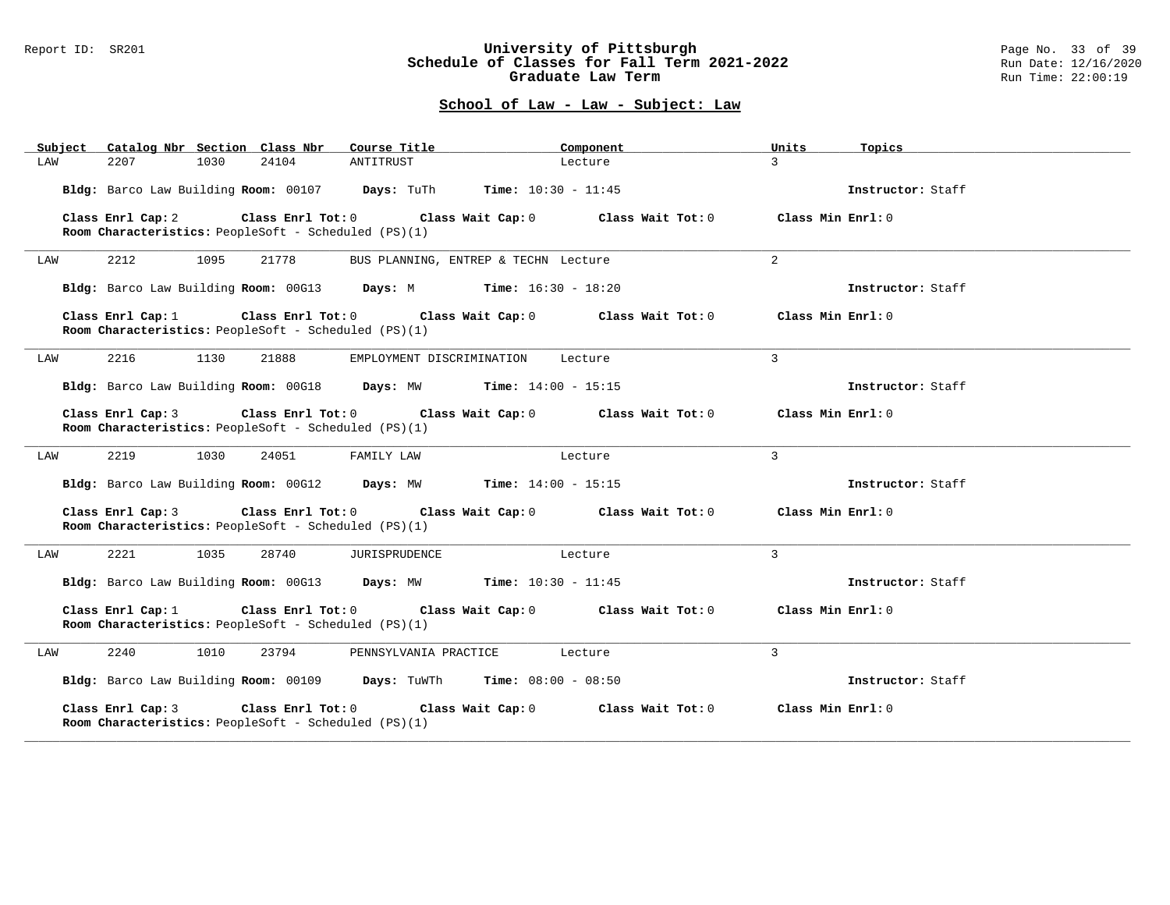#### Report ID: SR201 **University of Pittsburgh** Page No. 33 of 39 **Schedule of Classes for Fall Term 2021-2022** Run Date: 12/16/2020 **Graduate Law Term Run Time: 22:00:19**

| Subject Catalog Nbr Section Class Nbr Course Title                                                   |                                      | Component         | Units<br>Topics    |  |
|------------------------------------------------------------------------------------------------------|--------------------------------------|-------------------|--------------------|--|
| 2207<br>1030<br>24104<br>LAW                                                                         | ANTITRUST                            | Lecture           | $\mathcal{L}$      |  |
| Bldg: Barco Law Building Room: 00107 Days: TuTh Time: 10:30 - 11:45                                  |                                      |                   | Instructor: Staff  |  |
| Class Enrl Cap: 2<br>Room Characteristics: PeopleSoft - Scheduled (PS)(1)                            | Class Enrl Tot: 0 Class Wait Cap: 0  | Class Wait Tot: 0 | Class Min Ernst: 0 |  |
| 2212<br>1095<br>21778<br>LAW                                                                         | BUS PLANNING, ENTREP & TECHN Lecture |                   | 2                  |  |
| Bldg: Barco Law Building Room: 00G13 Days: M Time: 16:30 - 18:20                                     |                                      |                   | Instructor: Staff  |  |
| Class Enrl Cap: 1<br>Room Characteristics: PeopleSoft - Scheduled (PS)(1)                            | Class Enrl Tot: 0 Class Wait Cap: 0  | Class Wait Tot: 0 | Class Min Enrl: 0  |  |
| 2216<br>1130<br>21888<br>LAW                                                                         | EMPLOYMENT DISCRIMINATION            | Lecture           | $\mathbf{3}$       |  |
| Bldg: Barco Law Building Room: 00G18 Days: MW Time: 14:00 - 15:15                                    |                                      |                   | Instructor: Staff  |  |
| Class Enrl Cap: 3<br>Room Characteristics: PeopleSoft - Scheduled (PS)(1)                            | Class Enrl Tot: 0 Class Wait Cap: 0  | Class Wait Tot: 0 | Class Min Enrl: 0  |  |
| 2219<br>1030<br>24051<br>LAW                                                                         | FAMILY LAW                           | Lecture           | $\mathbf{3}$       |  |
| Bldg: Barco Law Building Room: 00G12 Days: MW Time: 14:00 - 15:15                                    |                                      |                   | Instructor: Staff  |  |
| Class Enrl Cap: 3<br>Room Characteristics: PeopleSoft - Scheduled (PS)(1)                            | Class Enrl Tot: 0 Class Wait Cap: 0  | Class Wait Tot: 0 | Class Min Enrl: 0  |  |
| 2221<br>1035<br>28740<br>LAW                                                                         | JURISPRUDENCE                        | Lecture           | $\overline{3}$     |  |
| Bldg: Barco Law Building Room: 00G13 Days: MW Time: 10:30 - 11:45                                    |                                      |                   | Instructor: Staff  |  |
| Class Enrl Cap: 1<br>Room Characteristics: PeopleSoft - Scheduled (PS)(1)                            | Class Enrl Tot: 0 Class Wait Cap: 0  | Class Wait Tot: 0 | Class Min Enrl: 0  |  |
| 2240<br>1010<br>23794<br>LAW                                                                         | PENNSYLVANIA PRACTICE                | Lecture           | $\overline{3}$     |  |
| Bldg: Barco Law Building Room: 00109 Days: TuWTh Time: 08:00 - 08:50                                 |                                      |                   | Instructor: Staff  |  |
| Class Enrl Cap: 3<br>Class Enrl Tot:0<br><b>Room Characteristics:</b> PeopleSoft - Scheduled (PS)(1) | Class Wait Cap: 0                    | Class Wait Tot: 0 | Class Min Enrl: 0  |  |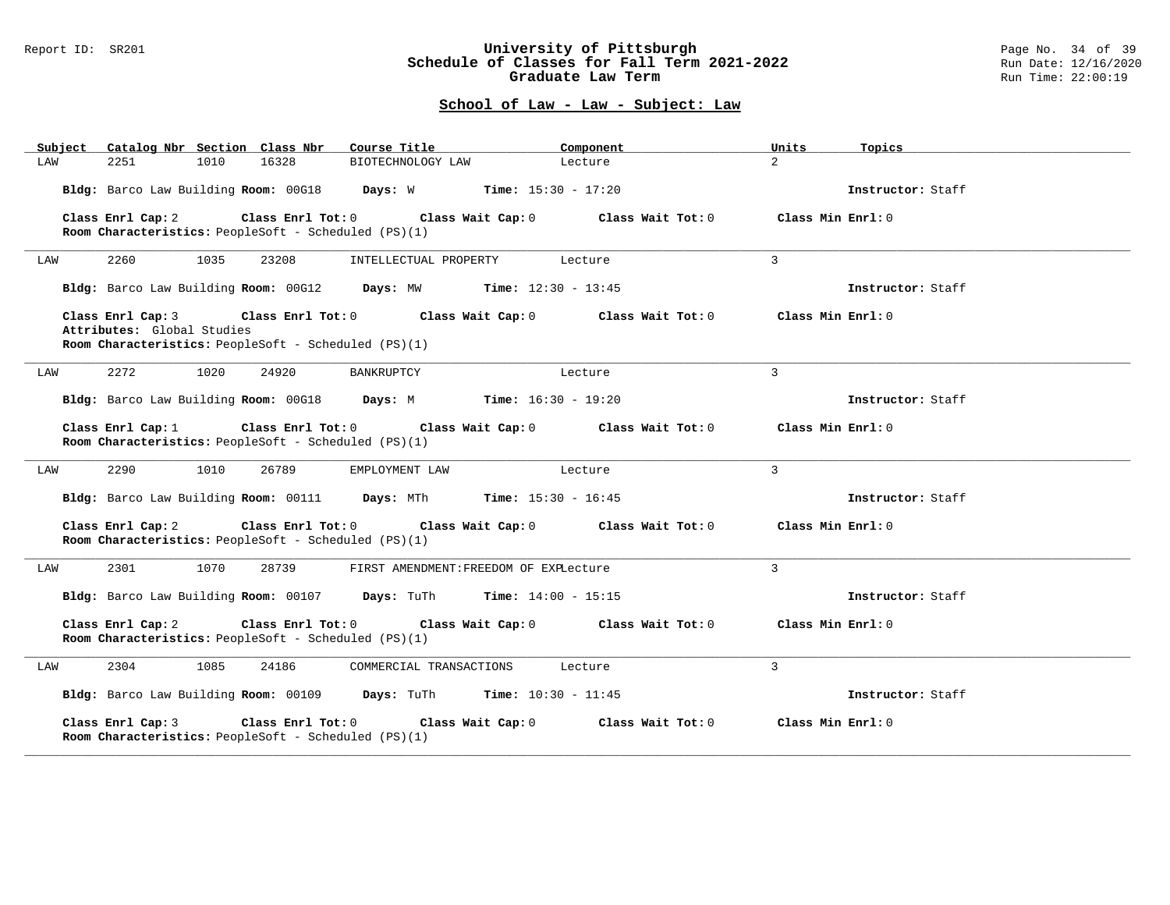### Report ID: SR201 **University of Pittsburgh** Page No. 34 of 39 **Schedule of Classes for Fall Term 2021-2022** Run Date: 12/16/2020 **Graduate Law Term Run Time: 22:00:19**

| Catalog Nbr Section Class Nbr<br>Subject                                           | Course Title                                                        | Component<br>Units                     | Topics            |
|------------------------------------------------------------------------------------|---------------------------------------------------------------------|----------------------------------------|-------------------|
| 2251<br>1010<br>LAW                                                                | 16328<br>BIOTECHNOLOGY LAW                                          | $\overline{a}$<br>Lecture              |                   |
|                                                                                    | Bldg: Barco Law Building Room: 00G18 Days: W Time: 15:30 - 17:20    |                                        | Instructor: Staff |
| Class Enrl Cap: 2<br>Room Characteristics: PeopleSoft - Scheduled (PS)(1)          | Class Enrl Tot: 0 Class Wait Cap: 0                                 | Class Min Enrl: 0<br>Class Wait Tot: 0 |                   |
|                                                                                    |                                                                     |                                        |                   |
| 2260<br>1035<br>LAW                                                                | 23208<br>INTELLECTUAL PROPERTY                                      | 3<br>Lecture                           |                   |
|                                                                                    | Bldg: Barco Law Building Room: 00G12 Days: MW Time: 12:30 - 13:45   |                                        | Instructor: Staff |
| Class Enrl Cap: 3                                                                  | Class Enrl Tot: 0 Class Wait Cap: 0                                 | Class Min Enrl: 0<br>Class Wait Tot: 0 |                   |
| Attributes: Global Studies<br>Room Characteristics: PeopleSoft - Scheduled (PS)(1) |                                                                     |                                        |                   |
| 2272<br>1020<br>LAW                                                                | 24920<br>BANKRUPTCY                                                 | 3<br>Lecture                           |                   |
|                                                                                    | Bldg: Barco Law Building Room: 00G18 Days: M Time: 16:30 - 19:20    |                                        | Instructor: Staff |
| Class Enrl Cap: 1<br>Room Characteristics: PeopleSoft - Scheduled (PS)(1)          | Class Enrl Tot: 0<br>Class Wait Cap: $0$ Class Wait Tot: $0$        | Class Min Enrl: 0                      |                   |
| 2290<br>1010<br>LAW                                                                | 26789<br>EMPLOYMENT LAW                                             | 3<br>Lecture                           |                   |
|                                                                                    | Bldg: Barco Law Building Room: 00111 Days: MTh Time: 15:30 - 16:45  |                                        | Instructor: Staff |
| Class Enrl Cap: 2<br>Room Characteristics: PeopleSoft - Scheduled (PS)(1)          | Class Enrl Tot: $0$ Class Wait Cap: $0$ Class Wait Tot: $0$         | Class Min Enrl: 0                      |                   |
| 2301<br>1070<br>LAW                                                                | 28739<br>FIRST AMENDMENT: FREEDOM OF EXPLecture                     | 3                                      |                   |
|                                                                                    | Bldg: Barco Law Building Room: 00107 Days: TuTh Time: 14:00 - 15:15 |                                        | Instructor: Staff |
| Class Enrl Cap: 2<br>Room Characteristics: PeopleSoft - Scheduled (PS)(1)          | Class Enrl Tot: 0 Class Wait Cap: 0                                 | Class Wait Tot: 0<br>Class Min Enrl: 0 |                   |
| 2304<br>1085<br>LAW                                                                | 24186<br>COMMERCIAL TRANSACTIONS                                    | 3<br>Lecture                           |                   |
|                                                                                    | Bldg: Barco Law Building Room: 00109 Days: TuTh Time: 10:30 - 11:45 |                                        | Instructor: Staff |
| Class Enrl Cap: 3<br>Room Characteristics: PeopleSoft - Scheduled (PS)(1)          | Class Enrl Tot: 0<br>Class Wait Cap: 0                              | Class Wait Tot: 0<br>Class Min Enrl: 0 |                   |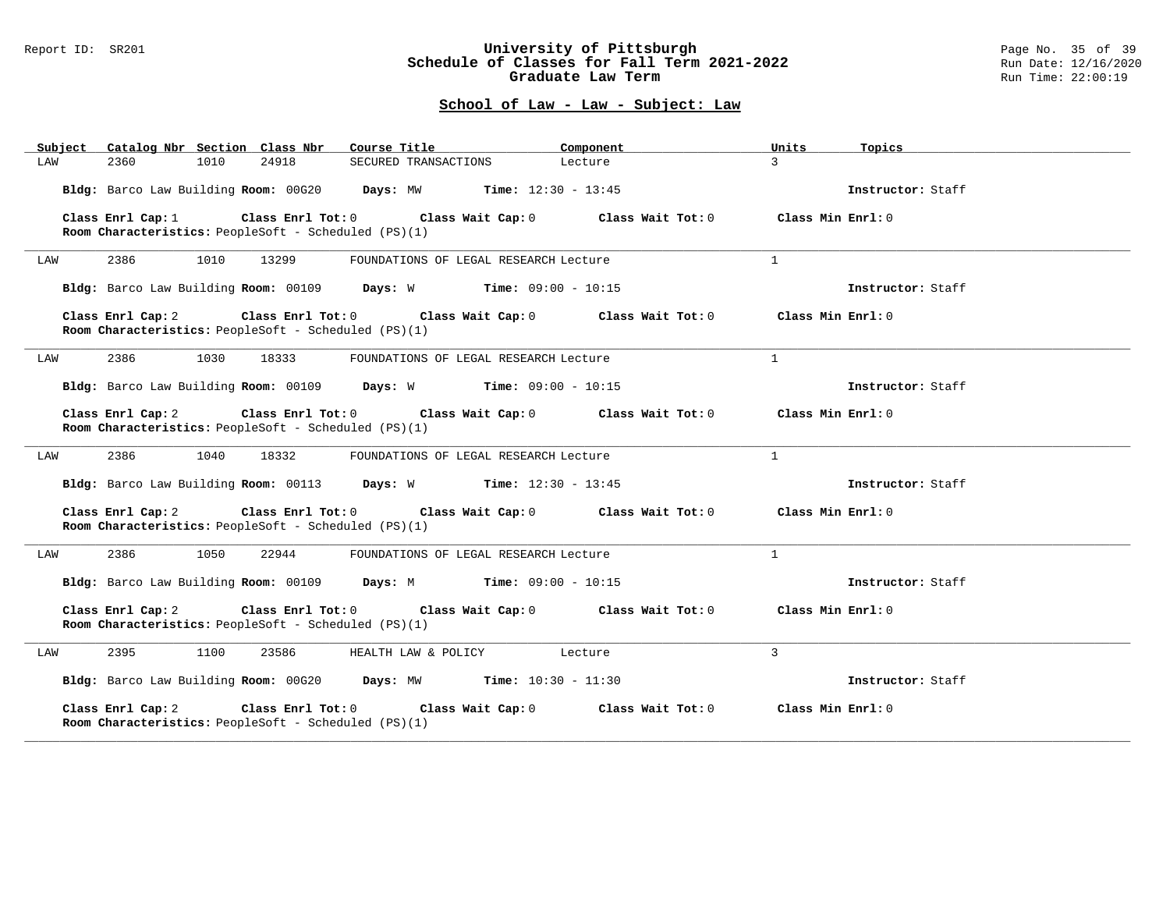#### Report ID: SR201 **University of Pittsburgh** Page No. 35 of 39 **Schedule of Classes for Fall Term 2021-2022** Run Date: 12/16/2020 **Graduate Law Term Run Time: 22:00:19**

| Subject Catalog Nbr Section Class Nbr                                                            | Course Title                          | Component         | Units              | Topics            |
|--------------------------------------------------------------------------------------------------|---------------------------------------|-------------------|--------------------|-------------------|
| 2360<br>1010<br>24918<br>LAW                                                                     | SECURED TRANSACTIONS                  | Lecture           | $\mathbf{3}$       |                   |
| Bldg: Barco Law Building Room: 00G20 Days: MW Time: 12:30 - 13:45                                |                                       |                   |                    | Instructor: Staff |
| Class Enrl Cap: 1<br>Room Characteristics: PeopleSoft - Scheduled (PS)(1)                        | Class Enrl Tot: 0 Class Wait Cap: 0   | Class Wait Tot: 0 | Class Min $Enr1:0$ |                   |
| 2386<br>1010<br>13299<br>LAW                                                                     | FOUNDATIONS OF LEGAL RESEARCH Lecture |                   | $\mathbf{1}$       |                   |
| Bldg: Barco Law Building Room: 00109 Days: W Time: 09:00 - 10:15                                 |                                       |                   |                    | Instructor: Staff |
| Class Enrl Cap: 2<br>Room Characteristics: PeopleSoft - Scheduled (PS)(1)                        | Class Enrl Tot: 0 Class Wait Cap: 0   | Class Wait Tot: 0 | Class Min $Enr1:0$ |                   |
| 2386<br>1030<br>18333<br>LAW                                                                     | FOUNDATIONS OF LEGAL RESEARCH Lecture |                   | 1                  |                   |
| Bldg: Barco Law Building Room: 00109 Days: W Time: 09:00 - 10:15                                 |                                       |                   |                    | Instructor: Staff |
| Class Enrl Cap: 2<br>Room Characteristics: PeopleSoft - Scheduled (PS)(1)                        | Class Enrl Tot: 0 Class Wait Cap: 0   | Class Wait Tot: 0 | Class Min Enrl: 0  |                   |
| 2386<br>1040<br>18332<br>LAW                                                                     | FOUNDATIONS OF LEGAL RESEARCH Lecture |                   | $\mathbf{1}$       |                   |
| Bldg: Barco Law Building Room: 00113 Days: W Time: 12:30 - 13:45                                 |                                       |                   |                    | Instructor: Staff |
| Class Enrl Cap: 2<br>Room Characteristics: PeopleSoft - Scheduled (PS)(1)                        | Class Enrl Tot: 0 Class Wait Cap: 0   | Class Wait Tot: 0 | Class Min Enrl: 0  |                   |
| 2386<br>1050<br>22944<br>LAW                                                                     | FOUNDATIONS OF LEGAL RESEARCH Lecture |                   | $\mathbf{1}$       |                   |
| Bldg: Barco Law Building Room: 00109 Days: M Time: 09:00 - 10:15                                 |                                       |                   |                    | Instructor: Staff |
| Class Enrl Cap: 2<br>Room Characteristics: PeopleSoft - Scheduled (PS)(1)                        | Class Enrl Tot: 0 Class Wait Cap: 0   | Class Wait Tot: 0 | Class Min Enrl: 0  |                   |
| 2395<br>1100<br>23586<br>LAW                                                                     | HEALTH LAW & POLICY Lecture           |                   | 3                  |                   |
| Bldg: Barco Law Building Room: 00G20 Days: MW Time: 10:30 - 11:30                                |                                       |                   |                    | Instructor: Staff |
| Class Enrl Cap: 2<br>Class Enrl Tot: $0$<br>Room Characteristics: PeopleSoft - Scheduled (PS)(1) | Class Wait Cap: 0                     | Class Wait Tot: 0 | Class Min Enrl: 0  |                   |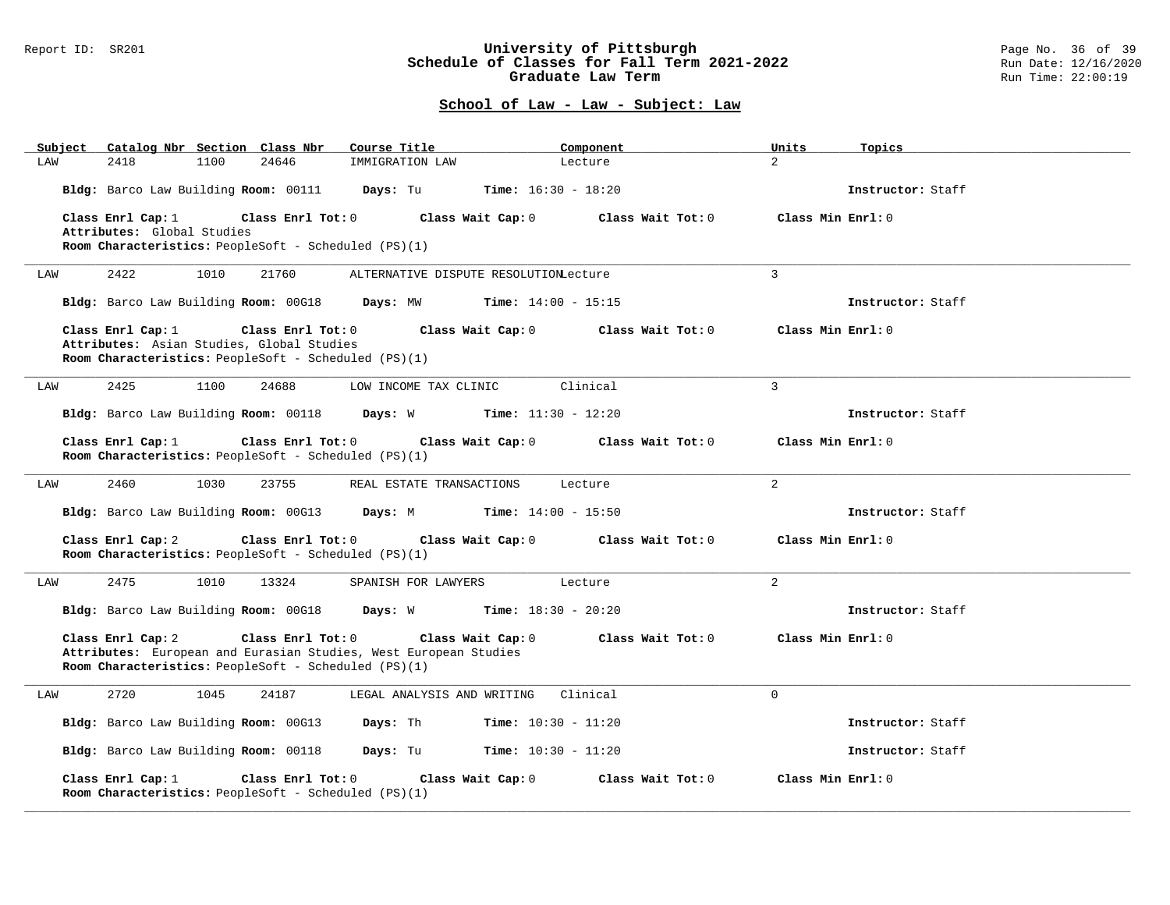#### Report ID: SR201 **University of Pittsburgh** Page No. 36 of 39 **Schedule of Classes for Fall Term 2021-2022** Run Date: 12/16/2020 **Graduate Law Term Run Time: 22:00:19**

| Subject | Catalog Nbr Section Class Nbr                                                    |      |                                                                                  | Course Title                                                     |                              | Component         | Units              | Topics            |
|---------|----------------------------------------------------------------------------------|------|----------------------------------------------------------------------------------|------------------------------------------------------------------|------------------------------|-------------------|--------------------|-------------------|
| LAW     | 2418                                                                             | 1100 | 24646                                                                            | IMMIGRATION LAW                                                  |                              | Lecture           | $\overline{2}$     |                   |
|         |                                                                                  |      | Bldg: Barco Law Building Room: 00111 Days: Tu                                    |                                                                  | <b>Time:</b> $16:30 - 18:20$ |                   |                    | Instructor: Staff |
|         | Class Enrl Cap: 1<br>Class Enrl Tot: 0<br>Class Wait Cap: 0<br>Class Wait Tot: 0 |      |                                                                                  |                                                                  |                              |                   | Class Min Enrl: 0  |                   |
|         | Attributes: Global Studies                                                       |      |                                                                                  |                                                                  |                              |                   |                    |                   |
|         |                                                                                  |      | Room Characteristics: PeopleSoft - Scheduled (PS)(1)                             |                                                                  |                              |                   |                    |                   |
| LAW     | 2422                                                                             | 1010 | 21760                                                                            | ALTERNATIVE DISPUTE RESOLUTIONLecture                            |                              |                   | $\overline{3}$     |                   |
|         | Bldg: Barco Law Building Room: 00G18                                             |      |                                                                                  | Days: MW                                                         | <b>Time:</b> $14:00 - 15:15$ |                   |                    | Instructor: Staff |
|         | Class Enrl Cap: 1                                                                |      | Class Enrl Tot: 0                                                                |                                                                  | Class Wait Cap: 0            | Class Wait Tot: 0 | Class Min Enrl: 0  |                   |
|         |                                                                                  |      | Attributes: Asian Studies, Global Studies                                        |                                                                  |                              |                   |                    |                   |
|         |                                                                                  |      | Room Characteristics: PeopleSoft - Scheduled (PS)(1)                             |                                                                  |                              |                   |                    |                   |
| LAW     | 2425                                                                             | 1100 | 24688                                                                            | LOW INCOME TAX CLINIC                                            |                              | Clinical          | 3                  |                   |
|         | Bldg: Barco Law Building Room: 00118                                             |      |                                                                                  | Days: W                                                          | <b>Time:</b> $11:30 - 12:20$ |                   |                    | Instructor: Staff |
|         | Class Enrl Cap: 1                                                                |      | Class Enrl Tot: 0                                                                |                                                                  | Class Wait Cap: 0            | Class Wait Tot: 0 | Class Min Enrl: 0  |                   |
|         |                                                                                  |      | Room Characteristics: PeopleSoft - Scheduled (PS)(1)                             |                                                                  |                              |                   |                    |                   |
| LAW     | 2460                                                                             | 1030 | 23755                                                                            | REAL ESTATE TRANSACTIONS                                         |                              | Lecture           | 2                  |                   |
|         | Bldg: Barco Law Building Room: 00G13                                             |      |                                                                                  | Days: M                                                          | <b>Time:</b> $14:00 - 15:50$ |                   |                    | Instructor: Staff |
|         | Class Enrl Cap: 2                                                                |      | Class Enrl Tot: 0<br>Room Characteristics: PeopleSoft - Scheduled (PS)(1)        |                                                                  | Class Wait Cap: 0            | Class Wait Tot: 0 | Class Min Enrl: 0  |                   |
|         |                                                                                  |      |                                                                                  |                                                                  |                              |                   |                    |                   |
| LAW     | 2475                                                                             | 1010 | 13324                                                                            | SPANISH FOR LAWYERS                                              |                              | Lecture           | $\overline{2}$     |                   |
|         |                                                                                  |      | Bldg: Barco Law Building Room: 00G18 Days: W                                     |                                                                  | Time: $18:30 - 20:20$        |                   |                    | Instructor: Staff |
|         | Class Enrl Cap: 2                                                                |      | Class Enrl Tot: 0                                                                | Attributes: European and Eurasian Studies, West European Studies | Class Wait Cap: 0            | Class Wait Tot: 0 | Class Min Enrl: 0  |                   |
|         |                                                                                  |      | Room Characteristics: PeopleSoft - Scheduled (PS)(1)                             |                                                                  |                              |                   |                    |                   |
|         | 2720                                                                             | 1045 | 24187                                                                            | LEGAL ANALYSIS AND WRITING                                       |                              | Clinical          | $\Omega$           |                   |
| LAW     |                                                                                  |      |                                                                                  |                                                                  |                              |                   |                    |                   |
|         | Bldg: Barco Law Building Room: 00G13                                             |      |                                                                                  | Days: Th                                                         | <b>Time:</b> $10:30 - 11:20$ |                   |                    | Instructor: Staff |
|         | Bldg: Barco Law Building Room: 00118                                             |      |                                                                                  | <b>Days:</b> Tu <b>Time:</b> $10:30 - 11:20$                     |                              |                   |                    | Instructor: Staff |
|         | Class Enrl Cap: 1                                                                |      | Class Enrl Tot: 0<br><b>Room Characteristics:</b> PeopleSoft - Scheduled (PS)(1) |                                                                  | Class Wait Cap: 0            | Class Wait Tot: 0 | Class Min $Enr1:0$ |                   |
|         |                                                                                  |      |                                                                                  |                                                                  |                              |                   |                    |                   |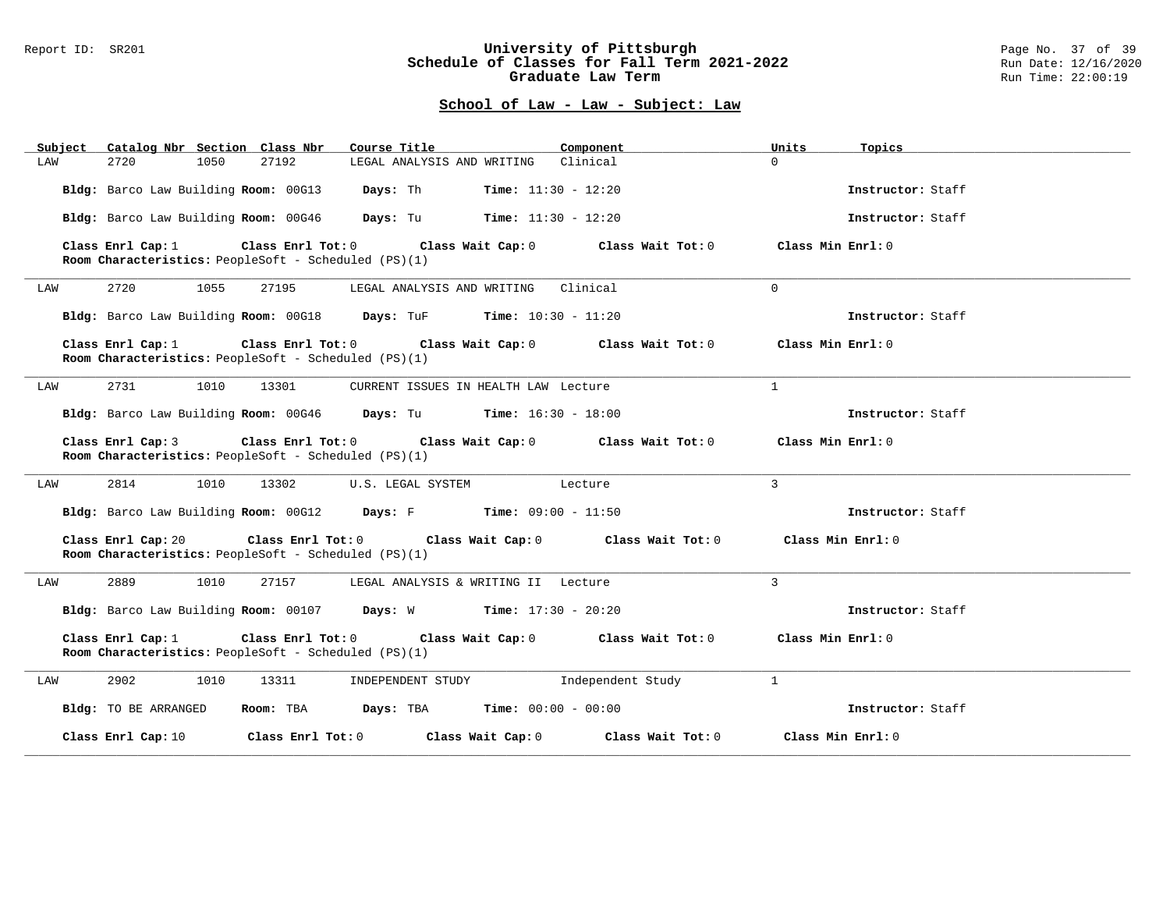### Report ID: SR201 **University of Pittsburgh** Page No. 37 of 39 **Schedule of Classes for Fall Term 2021-2022** Run Date: 12/16/2020 **Graduate Law Term Run Time: 22:00:19**

| Catalog Nbr Section Class Nbr<br>Subject                                                                                                                   | Course Title<br>Component                                                                          | Units<br>Topics   |  |  |  |
|------------------------------------------------------------------------------------------------------------------------------------------------------------|----------------------------------------------------------------------------------------------------|-------------------|--|--|--|
| 2720<br>1050<br>27192<br>LAW                                                                                                                               | LEGAL ANALYSIS AND WRITING Clinical                                                                | $\Omega$          |  |  |  |
| Bldg: Barco Law Building Room: 00G13                                                                                                                       | Days: Th<br><b>Time:</b> $11:30 - 12:20$                                                           | Instructor: Staff |  |  |  |
| Bldg: Barco Law Building Room: 00G46                                                                                                                       | <b>Days:</b> Tu <b>Time:</b> $11:30 - 12:20$                                                       | Instructor: Staff |  |  |  |
| Class Enrl Tot: $0$<br>Class Enrl Cap: 1<br><b>Room Characteristics:</b> PeopleSoft - Scheduled (PS)(1)                                                    | Class Wait Cap: 0<br>Class Wait Tot: $0$ $Class$ Min Enrl: $0$                                     |                   |  |  |  |
| 2720<br>1055<br>27195<br>LAW                                                                                                                               | Clinical<br>LEGAL ANALYSIS AND WRITING                                                             | $\Omega$          |  |  |  |
|                                                                                                                                                            | Bldg: Barco Law Building Room: 00G18 Days: TuF Time: 10:30 - 11:20                                 | Instructor: Staff |  |  |  |
| Class Enrl Cap: 1<br>Room Characteristics: PeopleSoft - Scheduled (PS)(1)                                                                                  | Class Enrl Tot: 0 Class Wait Cap: 0<br>Class Wait Tot: $0$ Class Min Enrl: $0$                     |                   |  |  |  |
| 13301<br>2731<br>1010<br>LAW                                                                                                                               | CURRENT ISSUES IN HEALTH LAW Lecture                                                               | $\mathbf{1}$      |  |  |  |
|                                                                                                                                                            | Bldg: Barco Law Building Room: 00G46 Days: Tu Time: 16:30 - 18:00                                  | Instructor: Staff |  |  |  |
| Class Enrl Cap: 3<br><b>Room Characteristics:</b> PeopleSoft - Scheduled (PS)(1)                                                                           | Class Enrl Tot: $0$ Class Wait Cap: $0$ Class Wait Tot: $0$ Class Min Enrl: $0$                    |                   |  |  |  |
| 2814<br>1010<br>13302<br>LAW                                                                                                                               | U.S. LEGAL SYSTEM<br>Lecture                                                                       | $\mathcal{L}$     |  |  |  |
|                                                                                                                                                            | Bldg: Barco Law Building Room: 00G12 Days: F Time: 09:00 - 11:50                                   | Instructor: Staff |  |  |  |
| Class Enrl Cap: 20<br>Room Characteristics: PeopleSoft - Scheduled (PS)(1)                                                                                 | Class Enrl Tot: 0 $\qquad$ Class Wait Cap: 0 $\qquad$ Class Wait Tot: 0 $\qquad$ Class Min Enrl: 0 |                   |  |  |  |
| 2889<br>1010<br>27157<br>LAW                                                                                                                               | LEGAL ANALYSIS & WRITING II Lecture                                                                | 3                 |  |  |  |
|                                                                                                                                                            | Bldg: Barco Law Building Room: 00107 Days: W Time: 17:30 - 20:20                                   | Instructor: Staff |  |  |  |
| Class Enrl Cap: 1<br>Class Enrl Tot: 0 Class Wait Cap: 0<br>Class Min Enrl: 0<br>Class Wait Tot: 0<br>Room Characteristics: PeopleSoft - Scheduled (PS)(1) |                                                                                                    |                   |  |  |  |
| 2902<br>1010<br>13311<br>LAW                                                                                                                               | INDEPENDENT STUDY 1ndependent Study                                                                | $\mathbf{1}$      |  |  |  |
| Bldg: TO BE ARRANGED                                                                                                                                       | Room: TBA $Days:$ TBA $Time: 00:00 - 00:00$                                                        | Instructor: Staff |  |  |  |
| Class Enrl Cap: 10                                                                                                                                         | Class Enrl Tot: $0$ class Wait Cap: $0$ class Wait Tot: $0$ class Min Enrl: $0$                    |                   |  |  |  |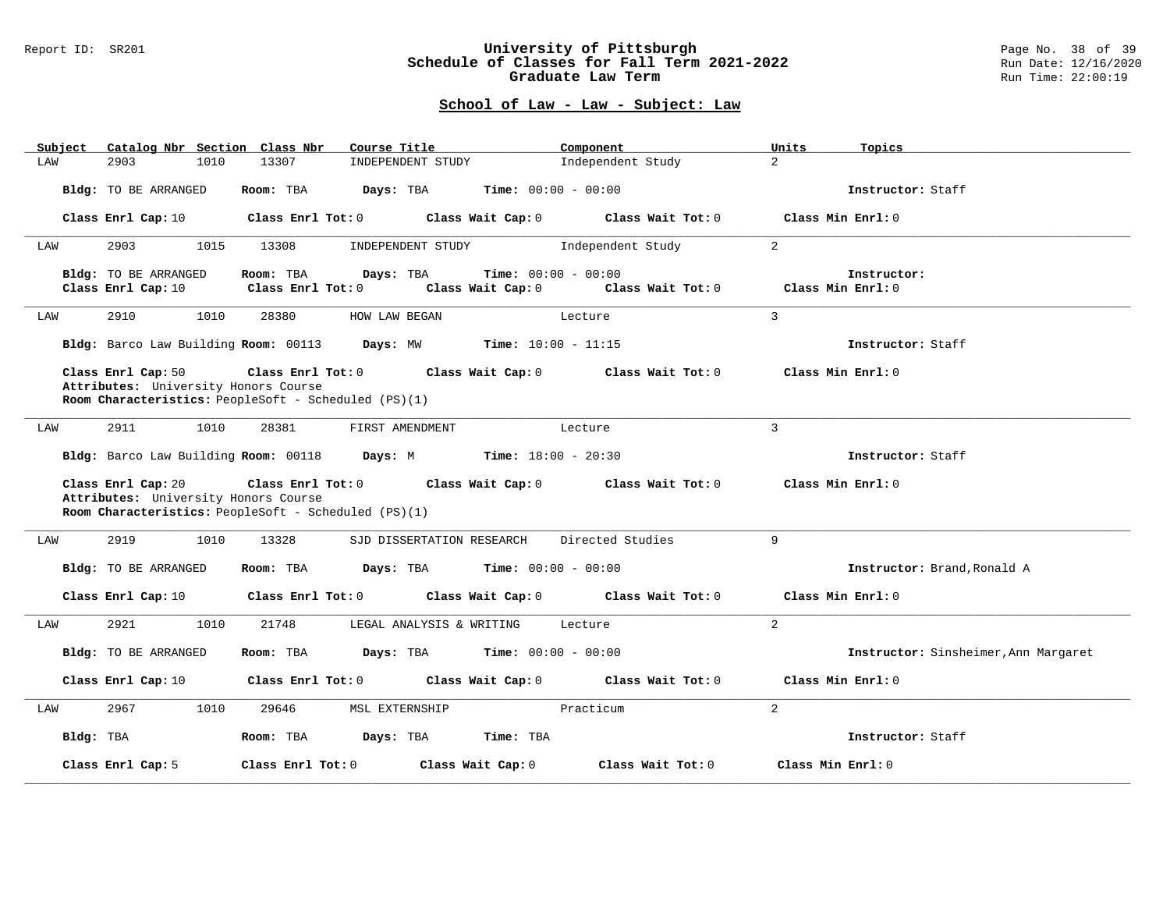### Report ID: SR201 **University of Pittsburgh** Page No. 38 of 39 **Schedule of Classes for Fall Term 2021-2022** Run Date: 12/16/2020 **Graduate Law Term Run Time: 22:00:19**

| Subject   | Catalog Nbr Section Class Nbr                              | Course Title                                                                                                                    | Component                                         | Units<br>Topics                      |
|-----------|------------------------------------------------------------|---------------------------------------------------------------------------------------------------------------------------------|---------------------------------------------------|--------------------------------------|
| LAW       | 2903<br>1010                                               | 13307<br>INDEPENDENT STUDY                                                                                                      | Independent Study                                 | $\overline{2}$                       |
|           | Bldg: TO BE ARRANGED                                       | Room: TBA<br>Days: TBA                                                                                                          | <b>Time:</b> $00:00 - 00:00$                      | Instructor: Staff                    |
|           | Class Enrl Cap: 10                                         | Class Enrl Tot: 0 Class Wait Cap: 0 Class Wait Tot: 0                                                                           |                                                   | Class Min Enrl: 0                    |
| LAW       | 2903<br>1015                                               | 13308<br>INDEPENDENT STUDY                                                                                                      | Independent Study                                 | 2                                    |
|           | Bldg: TO BE ARRANGED<br>Class Enrl Cap: 10                 | Room: TBA<br>Days: TBA<br>Class Enrl Tot: 0<br>Class Wait Cap: 0                                                                | <b>Time:</b> $00:00 - 00:00$<br>Class Wait Tot: 0 | Instructor:<br>Class Min Enrl: 0     |
| LAW       | 2910<br>1010                                               | 28380<br>HOW LAW BEGAN                                                                                                          | Lecture                                           | $\overline{3}$                       |
|           |                                                            | Bldg: Barco Law Building Room: 00113 Days: MW Time: 10:00 - 11:15                                                               |                                                   | Instructor: Staff                    |
|           | Class Enrl Cap: 50<br>Attributes: University Honors Course | Class Enrl Tot: 0<br>Room Characteristics: PeopleSoft - Scheduled (PS)(1)                                                       | Class Wait Cap: $0$ Class Wait Tot: $0$           | Class Min Enrl: 0                    |
| LAW       | 2911<br>1010                                               | 28381<br>FIRST AMENDMENT                                                                                                        | Lecture                                           | 3                                    |
|           |                                                            | Bldg: Barco Law Building Room: 00118 Days: M Time: 18:00 - 20:30                                                                |                                                   | Instructor: Staff                    |
|           | Class Enrl Cap: 20<br>Attributes: University Honors Course | Class Enrl Tot: 0 Class Wait Cap: 0 Class Wait Tot: 0 Class Min Enrl: 0<br>Room Characteristics: PeopleSoft - Scheduled (PS)(1) |                                                   |                                      |
| LAW       | 2919<br>1010                                               | 13328<br>SJD DISSERTATION RESEARCH                                                                                              | Directed Studies                                  | $\mathsf{Q}$                         |
|           | Bldg: TO BE ARRANGED                                       | Days: TBA<br>Room: TBA                                                                                                          | <b>Time:</b> $00:00 - 00:00$                      | Instructor: Brand, Ronald A          |
|           | Class Enrl Cap: 10                                         | Class Enrl Tot: 0 Class Wait Cap: 0 Class Wait Tot: 0                                                                           |                                                   | Class Min Enrl: 0                    |
| LAW       | 2921<br>1010                                               | 21748<br>LEGAL ANALYSIS & WRITING                                                                                               | Lecture                                           | $\overline{2}$                       |
|           | Bldg: TO BE ARRANGED                                       | Room: TBA<br><b>Days:</b> TBA <b>Time:</b> $00:00 - 00:00$                                                                      |                                                   | Instructor: Sinsheimer, Ann Margaret |
|           | Class Enrl Cap: 10                                         | Class Enrl Tot: 0 Class Wait Cap: 0 Class Wait Tot: 0                                                                           |                                                   | Class Min Enrl: 0                    |
| LAW       | 2967<br>1010                                               | 29646<br>MSL EXTERNSHIP                                                                                                         | Practicum                                         | $\overline{2}$                       |
| Bldg: TBA |                                                            | Room: TBA<br>Days: TBA                                                                                                          | Time: TBA                                         | Instructor: Staff                    |
|           | Class Enrl Cap: 5                                          | Class Wait Cap: 0<br>Class Enrl Tot: 0                                                                                          | Class Wait Tot: 0                                 | Class Min Enrl: 0                    |